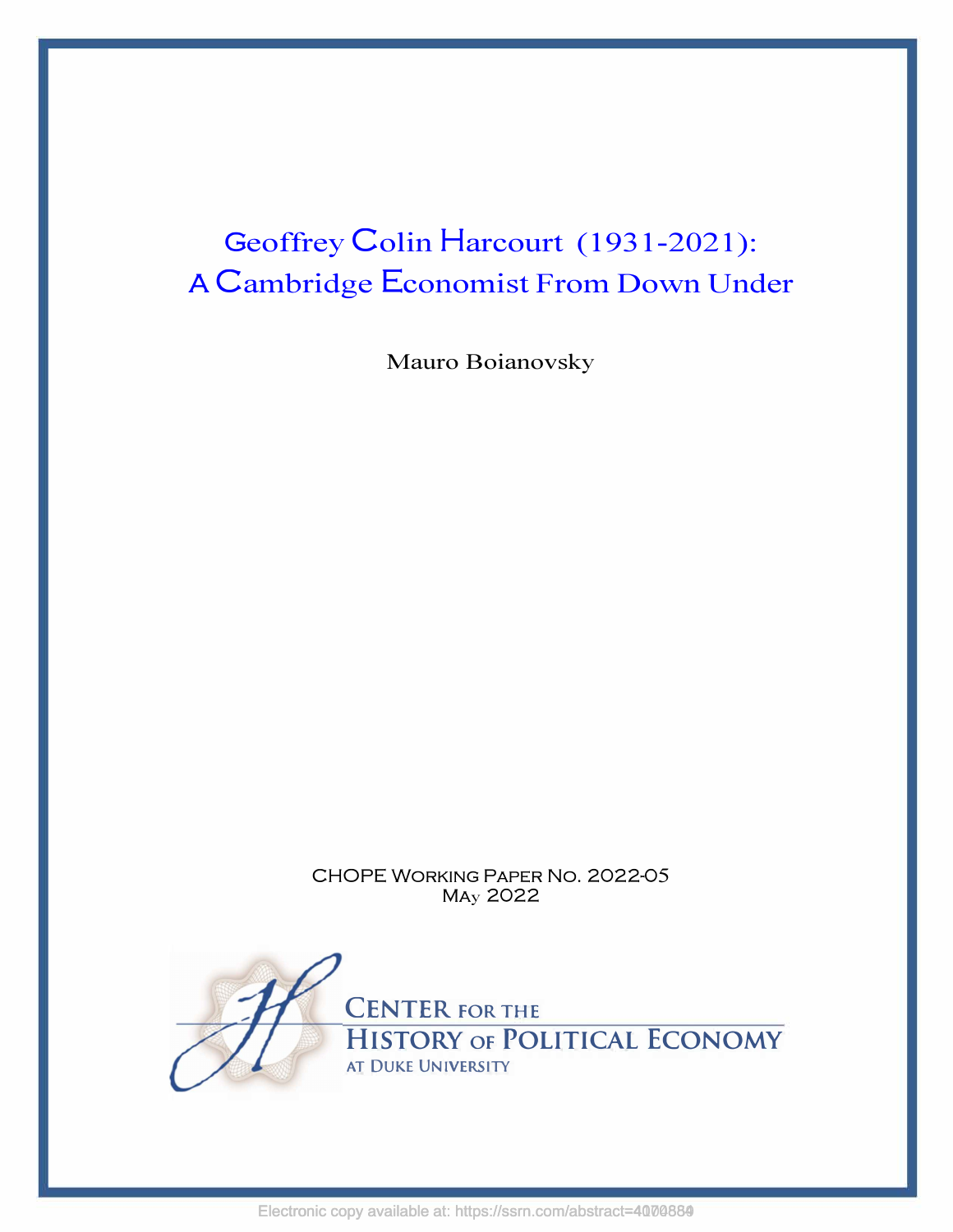# Geoffrey Colin Harcourt (1931-2021): A Cambridge Economist From Down Under

Mauro Boianovsky

CHOPE WORKING PAPER No. 2022-05 MAy 2022

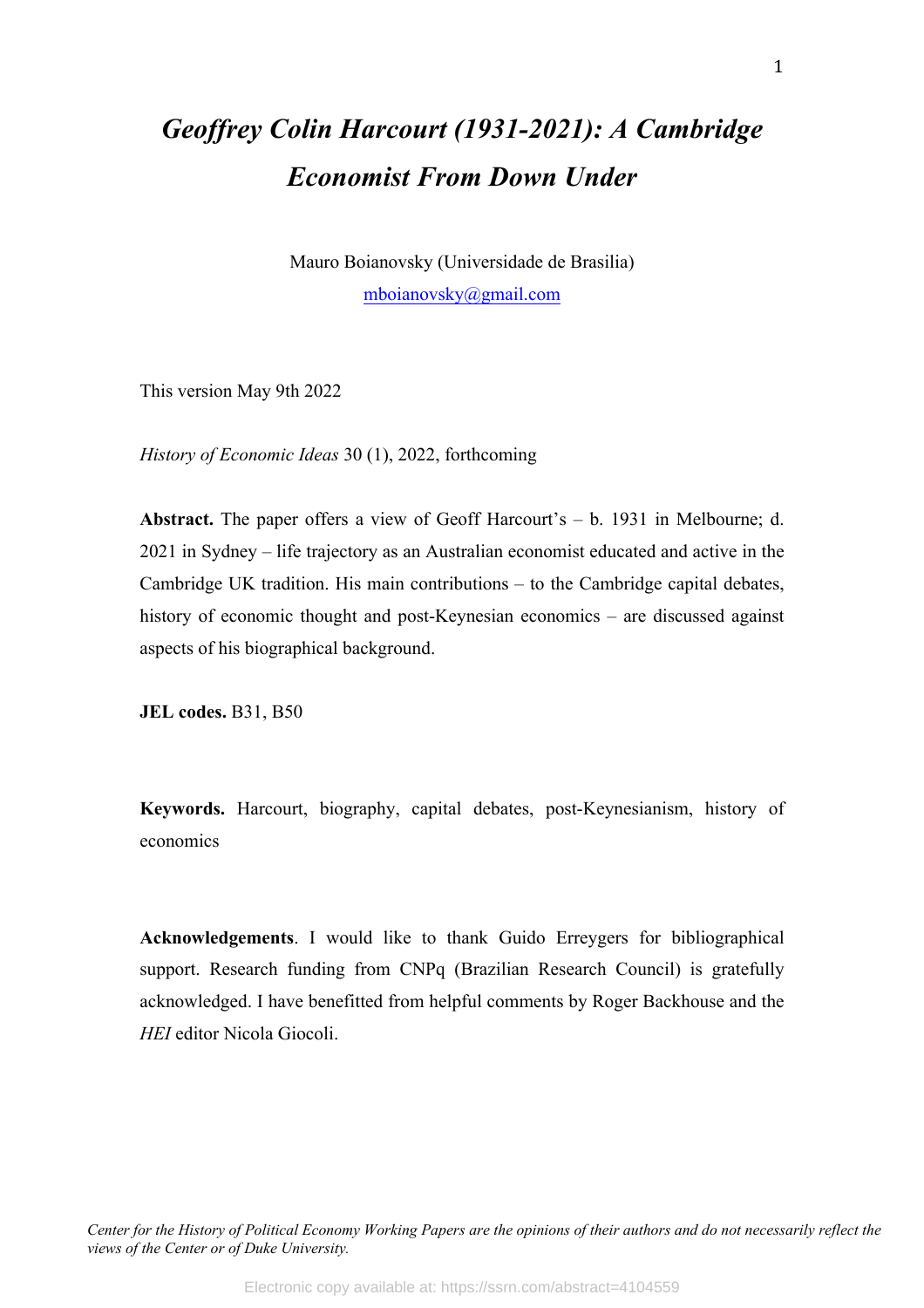## *Geoffrey Colin Harcourt (1931-2021): A Cambridge Economist From Down Under*

Mauro Boianovsky (Universidade de Brasilia) mboianovsky@gmail.com

This version May 9th 2022

*History of Economic Ideas* 30 (1), 2022, forthcoming

**Abstract.** The paper offers a view of Geoff Harcourt's – b. 1931 in Melbourne; d. 2021 in Sydney – life trajectory as an Australian economist educated and active in the Cambridge UK tradition. His main contributions – to the Cambridge capital debates, history of economic thought and post-Keynesian economics – are discussed against aspects of his biographical background.

**JEL codes.** B31, B50

**Keywords.** Harcourt, biography, capital debates, post-Keynesianism, history of economics

**Acknowledgements**. I would like to thank Guido Erreygers for bibliographical support. Research funding from CNPq (Brazilian Research Council) is gratefully acknowledged. I have benefitted from helpful comments by Roger Backhouse and the *HEI* editor Nicola Giocoli.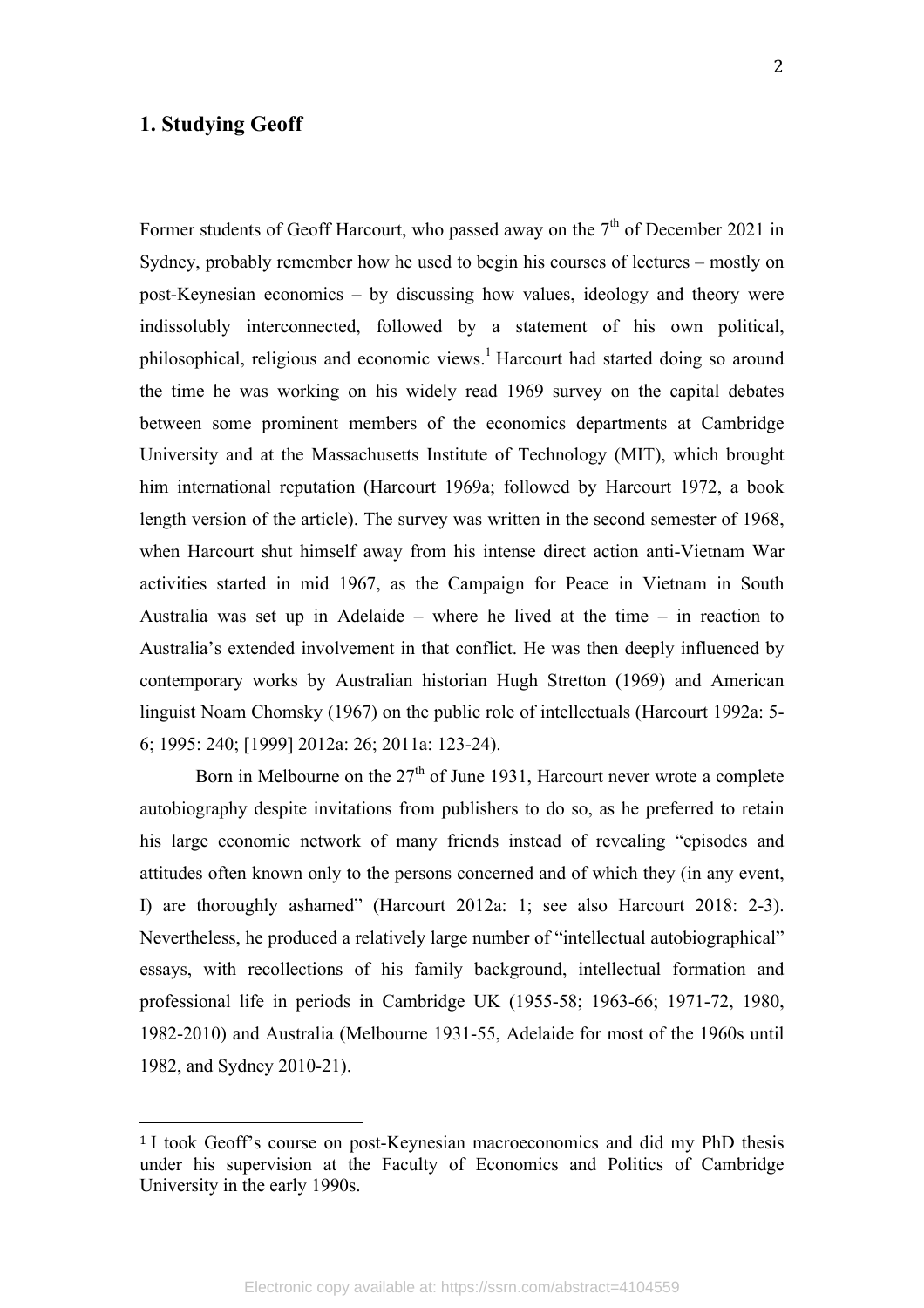## **1. Studying Geoff**

Former students of Geoff Harcourt, who passed away on the  $7<sup>th</sup>$  of December 2021 in Sydney, probably remember how he used to begin his courses of lectures – mostly on post-Keynesian economics – by discussing how values, ideology and theory were indissolubly interconnected, followed by a statement of his own political, philosophical, religious and economic views.<sup>1</sup> Harcourt had started doing so around the time he was working on his widely read 1969 survey on the capital debates between some prominent members of the economics departments at Cambridge University and at the Massachusetts Institute of Technology (MIT), which brought him international reputation (Harcourt 1969a; followed by Harcourt 1972, a book length version of the article). The survey was written in the second semester of 1968, when Harcourt shut himself away from his intense direct action anti-Vietnam War activities started in mid 1967, as the Campaign for Peace in Vietnam in South

Australia was set up in Adelaide – where he lived at the time – in reaction to Australia's extended involvement in that conflict. He was then deeply influenced by contemporary works by Australian historian Hugh Stretton (1969) and American linguist Noam Chomsky (1967) on the public role of intellectuals (Harcourt 1992a: 5- 6; 1995: 240; [1999] 2012a: 26; 2011a: 123-24).

Born in Melbourne on the  $27<sup>th</sup>$  of June 1931, Harcourt never wrote a complete autobiography despite invitations from publishers to do so, as he preferred to retain his large economic network of many friends instead of revealing "episodes and attitudes often known only to the persons concerned and of which they (in any event, I) are thoroughly ashamed" (Harcourt 2012a: 1; see also Harcourt 2018: 2-3). Nevertheless, he produced a relatively large number of "intellectual autobiographical" essays, with recollections of his family background, intellectual formation and professional life in periods in Cambridge UK (1955-58; 1963-66; 1971-72, 1980, 1982-2010) and Australia (Melbourne 1931-55, Adelaide for most of the 1960s until 1982, and Sydney 2010-21).

<sup>&</sup>lt;sup>1</sup> I took Geoff's course on post-Keynesian macroeconomics and did my PhD thesis under his supervision at the Faculty of Economics and Politics of Cambridge University in the early 1990s.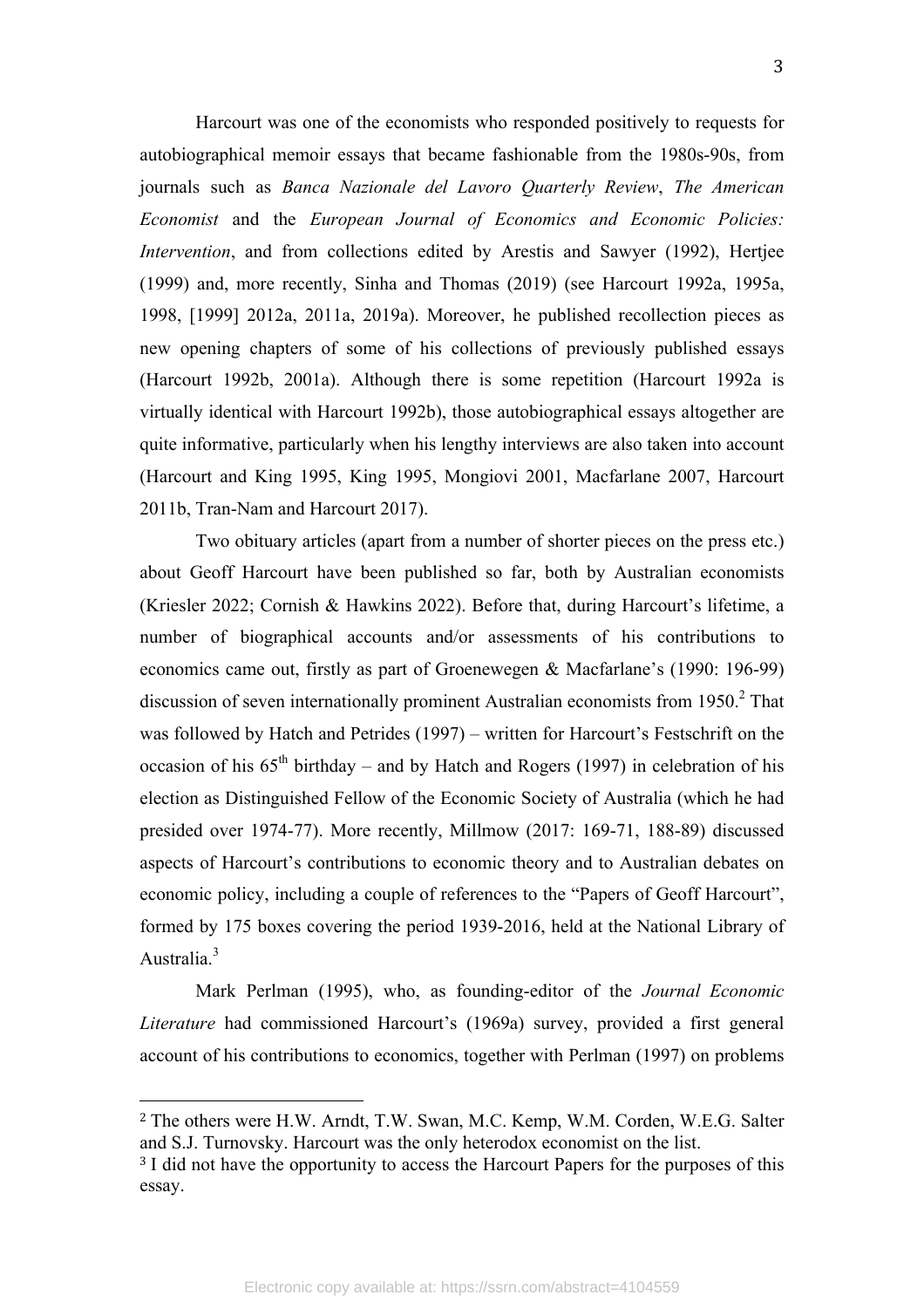Harcourt was one of the economists who responded positively to requests for autobiographical memoir essays that became fashionable from the 1980s-90s, from journals such as *Banca Nazionale del Lavoro Quarterly Review*, *The American Economist* and the *European Journal of Economics and Economic Policies: Intervention*, and from collections edited by Arestis and Sawyer (1992), Hertjee (1999) and, more recently, Sinha and Thomas (2019) (see Harcourt 1992a, 1995a, 1998, [1999] 2012a, 2011a, 2019a). Moreover, he published recollection pieces as new opening chapters of some of his collections of previously published essays (Harcourt 1992b, 2001a). Although there is some repetition (Harcourt 1992a is virtually identical with Harcourt 1992b), those autobiographical essays altogether are quite informative, particularly when his lengthy interviews are also taken into account (Harcourt and King 1995, King 1995, Mongiovi 2001, Macfarlane 2007, Harcourt 2011b, Tran-Nam and Harcourt 2017).

Two obituary articles (apart from a number of shorter pieces on the press etc.) about Geoff Harcourt have been published so far, both by Australian economists (Kriesler 2022; Cornish & Hawkins 2022). Before that, during Harcourt's lifetime, a number of biographical accounts and/or assessments of his contributions to economics came out, firstly as part of Groenewegen & Macfarlane's (1990: 196-99) discussion of seven internationally prominent Australian economists from  $1950<sup>2</sup>$ . That was followed by Hatch and Petrides (1997) – written for Harcourt's Festschrift on the occasion of his  $65<sup>th</sup>$  birthday – and by Hatch and Rogers (1997) in celebration of his election as Distinguished Fellow of the Economic Society of Australia (which he had presided over 1974-77). More recently, Millmow (2017: 169-71, 188-89) discussed aspects of Harcourt's contributions to economic theory and to Australian debates on economic policy, including a couple of references to the "Papers of Geoff Harcourt", formed by 175 boxes covering the period 1939-2016, held at the National Library of Australia<sup>3</sup>

Mark Perlman (1995), who, as founding-editor of the *Journal Economic Literature* had commissioned Harcourt's (1969a) survey, provided a first general account of his contributions to economics, together with Perlman (1997) on problems

<sup>2</sup> The others were H.W. Arndt, T.W. Swan, M.C. Kemp, W.M. Corden, W.E.G. Salter and S.J. Turnovsky. Harcourt was the only heterodox economist on the list.

<sup>&</sup>lt;sup>3</sup> I did not have the opportunity to access the Harcourt Papers for the purposes of this essay.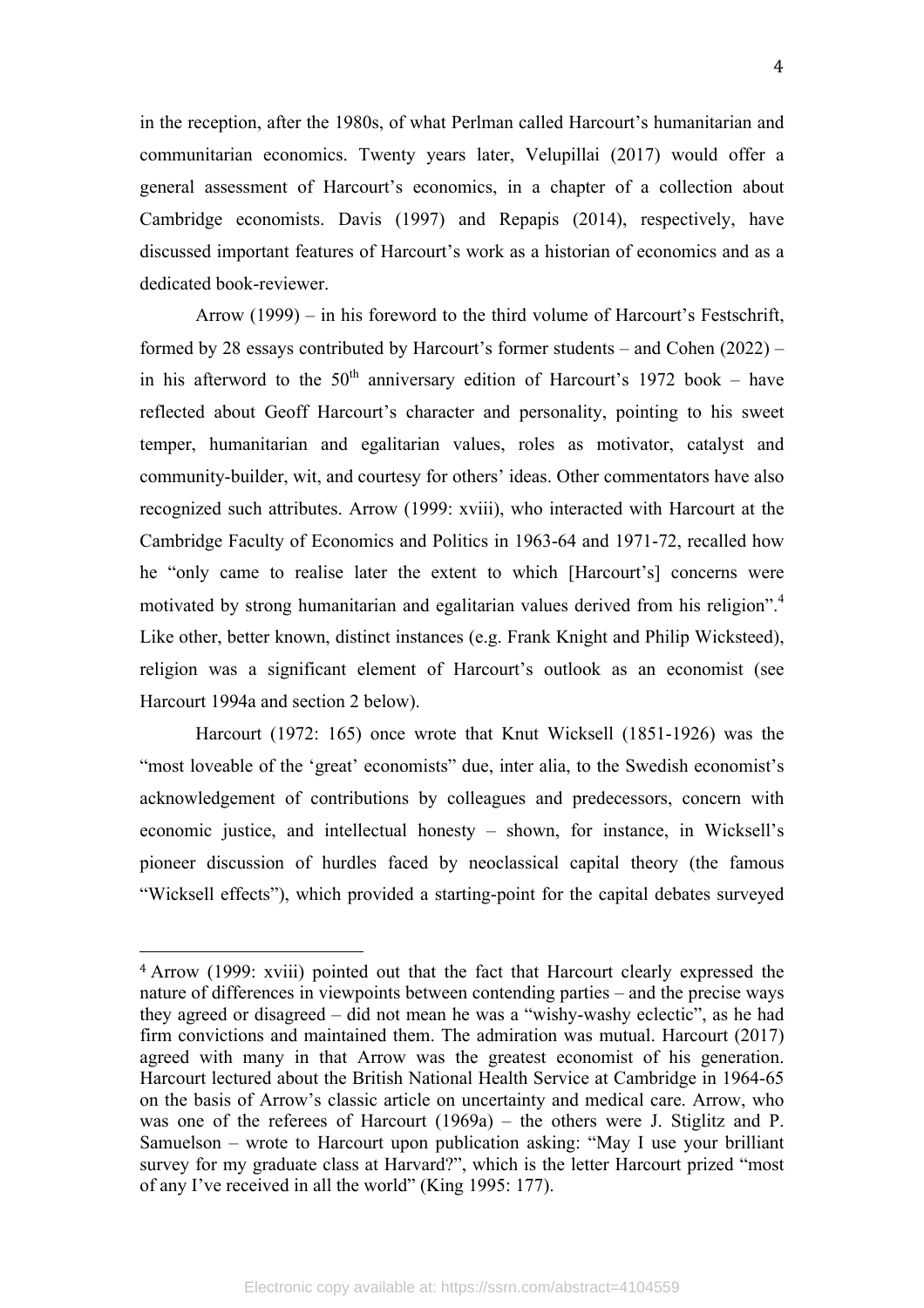in the reception, after the 1980s, of what Perlman called Harcourt's humanitarian and communitarian economics. Twenty years later, Velupillai (2017) would offer a general assessment of Harcourt's economics, in a chapter of a collection about Cambridge economists. Davis (1997) and Repapis (2014), respectively, have discussed important features of Harcourt's work as a historian of economics and as a dedicated book-reviewer.

Arrow (1999) – in his foreword to the third volume of Harcourt's Festschrift, formed by 28 essays contributed by Harcourt's former students – and Cohen (2022) – in his afterword to the  $50<sup>th</sup>$  anniversary edition of Harcourt's 1972 book – have reflected about Geoff Harcourt's character and personality, pointing to his sweet temper, humanitarian and egalitarian values, roles as motivator, catalyst and community-builder, wit, and courtesy for others' ideas. Other commentators have also recognized such attributes. Arrow (1999: xviii), who interacted with Harcourt at the Cambridge Faculty of Economics and Politics in 1963-64 and 1971-72, recalled how he "only came to realise later the extent to which [Harcourt's] concerns were motivated by strong humanitarian and egalitarian values derived from his religion".<sup>4</sup> Like other, better known, distinct instances (e.g. Frank Knight and Philip Wicksteed), religion was a significant element of Harcourt's outlook as an economist (see Harcourt 1994a and section 2 below).

Harcourt (1972: 165) once wrote that Knut Wicksell (1851-1926) was the "most loveable of the 'great' economists" due, inter alia, to the Swedish economist's acknowledgement of contributions by colleagues and predecessors, concern with economic justice, and intellectual honesty – shown, for instance, in Wicksell's pioneer discussion of hurdles faced by neoclassical capital theory (the famous "Wicksell effects"), which provided a starting-point for the capital debates surveyed

<sup>4</sup> Arrow (1999: xviii) pointed out that the fact that Harcourt clearly expressed the nature of differences in viewpoints between contending parties – and the precise ways they agreed or disagreed – did not mean he was a "wishy-washy eclectic", as he had firm convictions and maintained them. The admiration was mutual. Harcourt (2017) agreed with many in that Arrow was the greatest economist of his generation. Harcourt lectured about the British National Health Service at Cambridge in 1964-65 on the basis of Arrow's classic article on uncertainty and medical care. Arrow, who was one of the referees of Harcourt (1969a) – the others were J. Stiglitz and P. Samuelson – wrote to Harcourt upon publication asking: "May I use your brilliant survey for my graduate class at Harvard?", which is the letter Harcourt prized "most of any I've received in all the world" (King 1995: 177).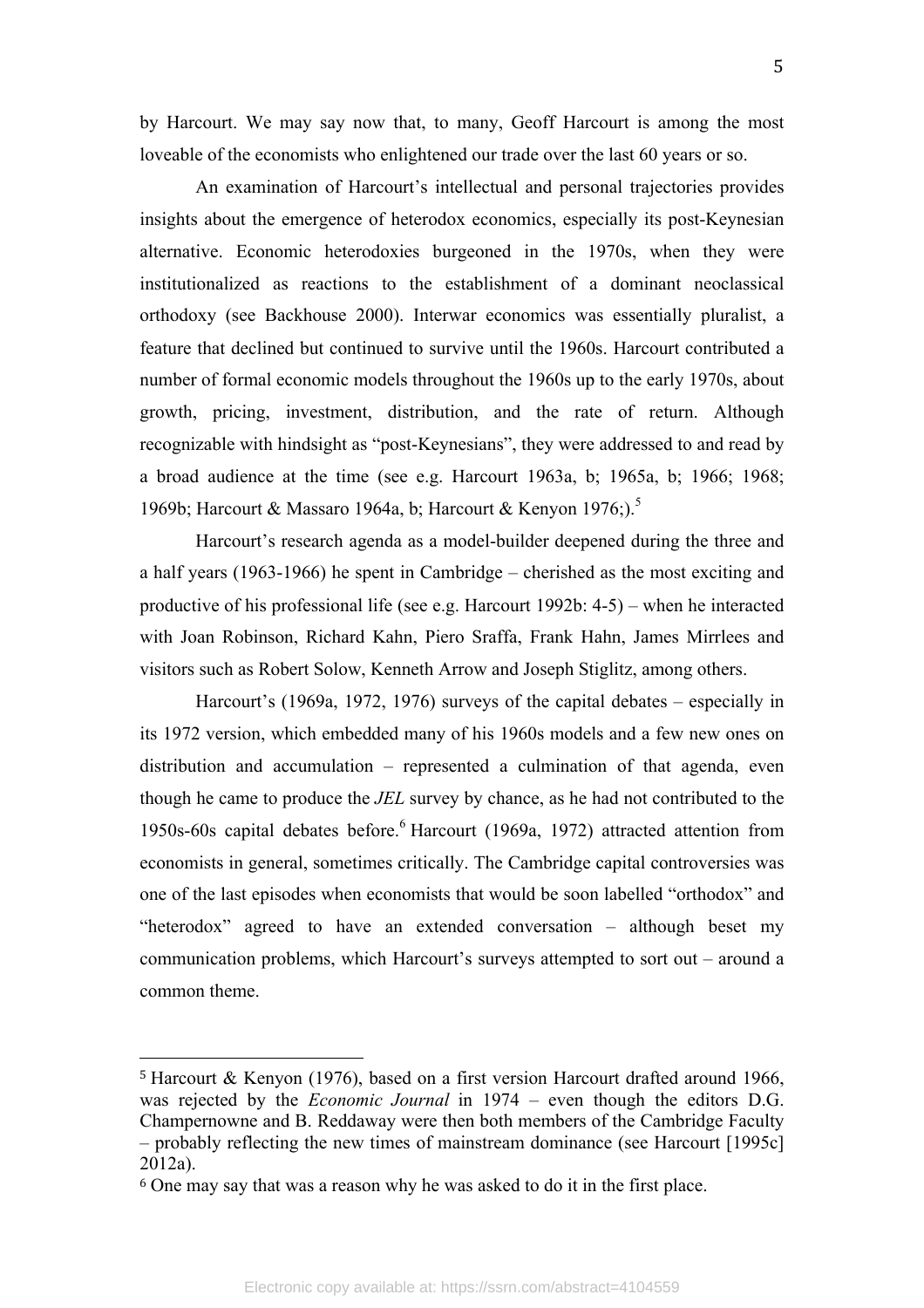by Harcourt. We may say now that, to many, Geoff Harcourt is among the most loveable of the economists who enlightened our trade over the last 60 years or so.

An examination of Harcourt's intellectual and personal trajectories provides insights about the emergence of heterodox economics, especially its post-Keynesian alternative. Economic heterodoxies burgeoned in the 1970s, when they were institutionalized as reactions to the establishment of a dominant neoclassical orthodoxy (see Backhouse 2000). Interwar economics was essentially pluralist, a feature that declined but continued to survive until the 1960s. Harcourt contributed a number of formal economic models throughout the 1960s up to the early 1970s, about growth, pricing, investment, distribution, and the rate of return. Although recognizable with hindsight as "post-Keynesians", they were addressed to and read by a broad audience at the time (see e.g. Harcourt 1963a, b; 1965a, b; 1966; 1968; 1969b; Harcourt & Massaro 1964a, b; Harcourt & Kenyon 1976;).<sup>5</sup>

Harcourt's research agenda as a model-builder deepened during the three and a half years (1963-1966) he spent in Cambridge – cherished as the most exciting and productive of his professional life (see e.g. Harcourt 1992b: 4-5) – when he interacted with Joan Robinson, Richard Kahn, Piero Sraffa, Frank Hahn, James Mirrlees and visitors such as Robert Solow, Kenneth Arrow and Joseph Stiglitz, among others.

Harcourt's (1969a, 1972, 1976) surveys of the capital debates – especially in its 1972 version, which embedded many of his 1960s models and a few new ones on distribution and accumulation – represented a culmination of that agenda, even though he came to produce the *JEL* survey by chance, as he had not contributed to the 1950s-60s capital debates before. <sup>6</sup> Harcourt (1969a, 1972) attracted attention from economists in general, sometimes critically. The Cambridge capital controversies was one of the last episodes when economists that would be soon labelled "orthodox" and "heterodox" agreed to have an extended conversation – although beset my communication problems, which Harcourt's surveys attempted to sort out – around a common theme.

<sup>5</sup> Harcourt & Kenyon (1976), based on a first version Harcourt drafted around 1966, was rejected by the *Economic Journal* in 1974 – even though the editors D.G. Champernowne and B. Reddaway were then both members of the Cambridge Faculty – probably reflecting the new times of mainstream dominance (see Harcourt [1995c] 2012a).

<sup>6</sup> One may say that was a reason why he was asked to do it in the first place.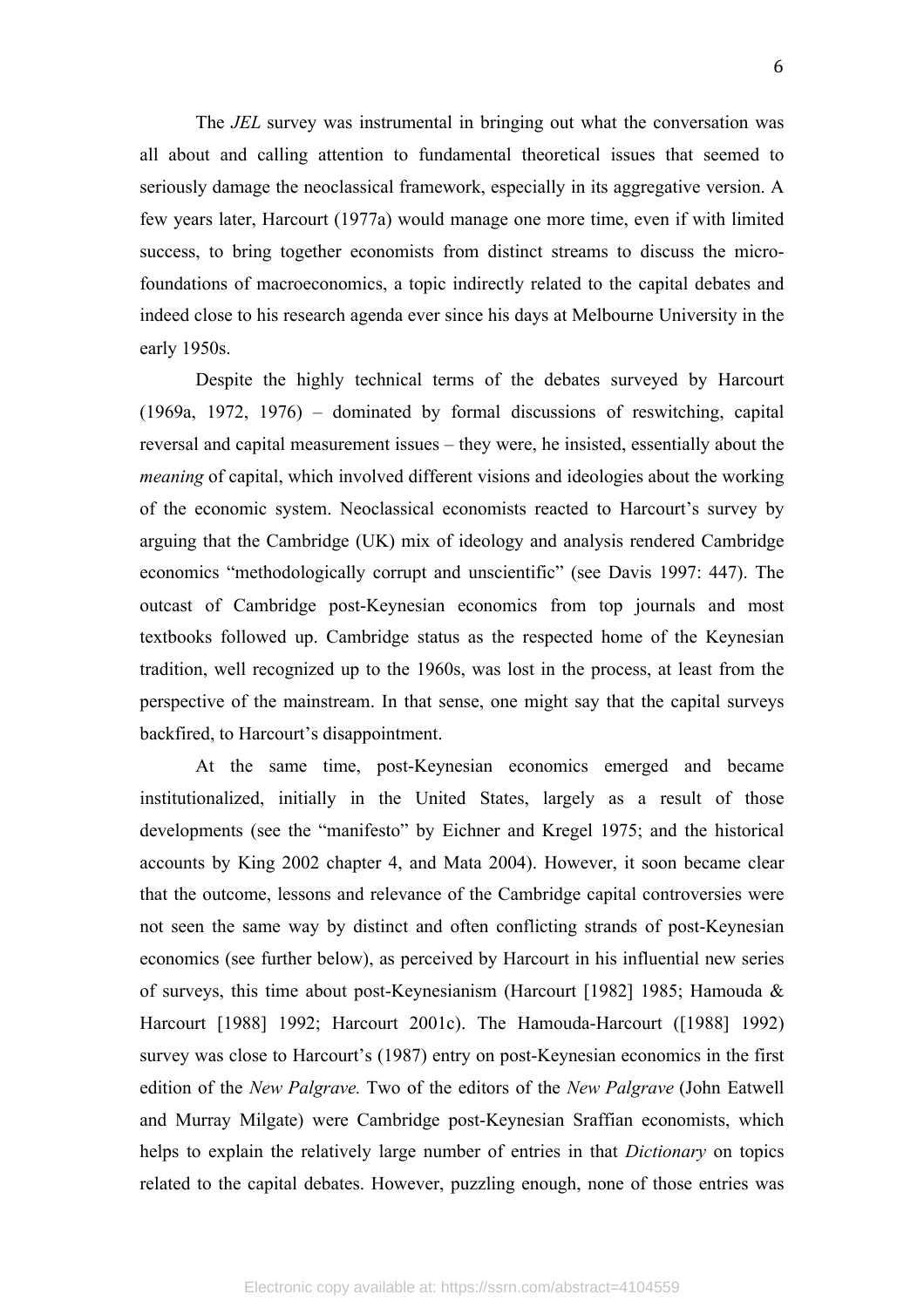The *JEL* survey was instrumental in bringing out what the conversation was all about and calling attention to fundamental theoretical issues that seemed to seriously damage the neoclassical framework, especially in its aggregative version. A few years later, Harcourt (1977a) would manage one more time, even if with limited success, to bring together economists from distinct streams to discuss the microfoundations of macroeconomics, a topic indirectly related to the capital debates and indeed close to his research agenda ever since his days at Melbourne University in the early 1950s.

Despite the highly technical terms of the debates surveyed by Harcourt (1969a, 1972, 1976) – dominated by formal discussions of reswitching, capital reversal and capital measurement issues – they were, he insisted, essentially about the *meaning* of capital, which involved different visions and ideologies about the working of the economic system. Neoclassical economists reacted to Harcourt's survey by arguing that the Cambridge (UK) mix of ideology and analysis rendered Cambridge economics "methodologically corrupt and unscientific" (see Davis 1997: 447). The outcast of Cambridge post-Keynesian economics from top journals and most textbooks followed up. Cambridge status as the respected home of the Keynesian tradition, well recognized up to the 1960s, was lost in the process, at least from the perspective of the mainstream. In that sense, one might say that the capital surveys backfired, to Harcourt's disappointment.

At the same time, post-Keynesian economics emerged and became institutionalized, initially in the United States, largely as a result of those developments (see the "manifesto" by Eichner and Kregel 1975; and the historical accounts by King 2002 chapter 4, and Mata 2004). However, it soon became clear that the outcome, lessons and relevance of the Cambridge capital controversies were not seen the same way by distinct and often conflicting strands of post-Keynesian economics (see further below), as perceived by Harcourt in his influential new series of surveys, this time about post-Keynesianism (Harcourt [1982] 1985; Hamouda & Harcourt [1988] 1992; Harcourt 2001c). The Hamouda-Harcourt ([1988] 1992) survey was close to Harcourt's (1987) entry on post-Keynesian economics in the first edition of the *New Palgrave.* Two of the editors of the *New Palgrave* (John Eatwell and Murray Milgate) were Cambridge post-Keynesian Sraffian economists, which helps to explain the relatively large number of entries in that *Dictionary* on topics related to the capital debates. However, puzzling enough, none of those entries was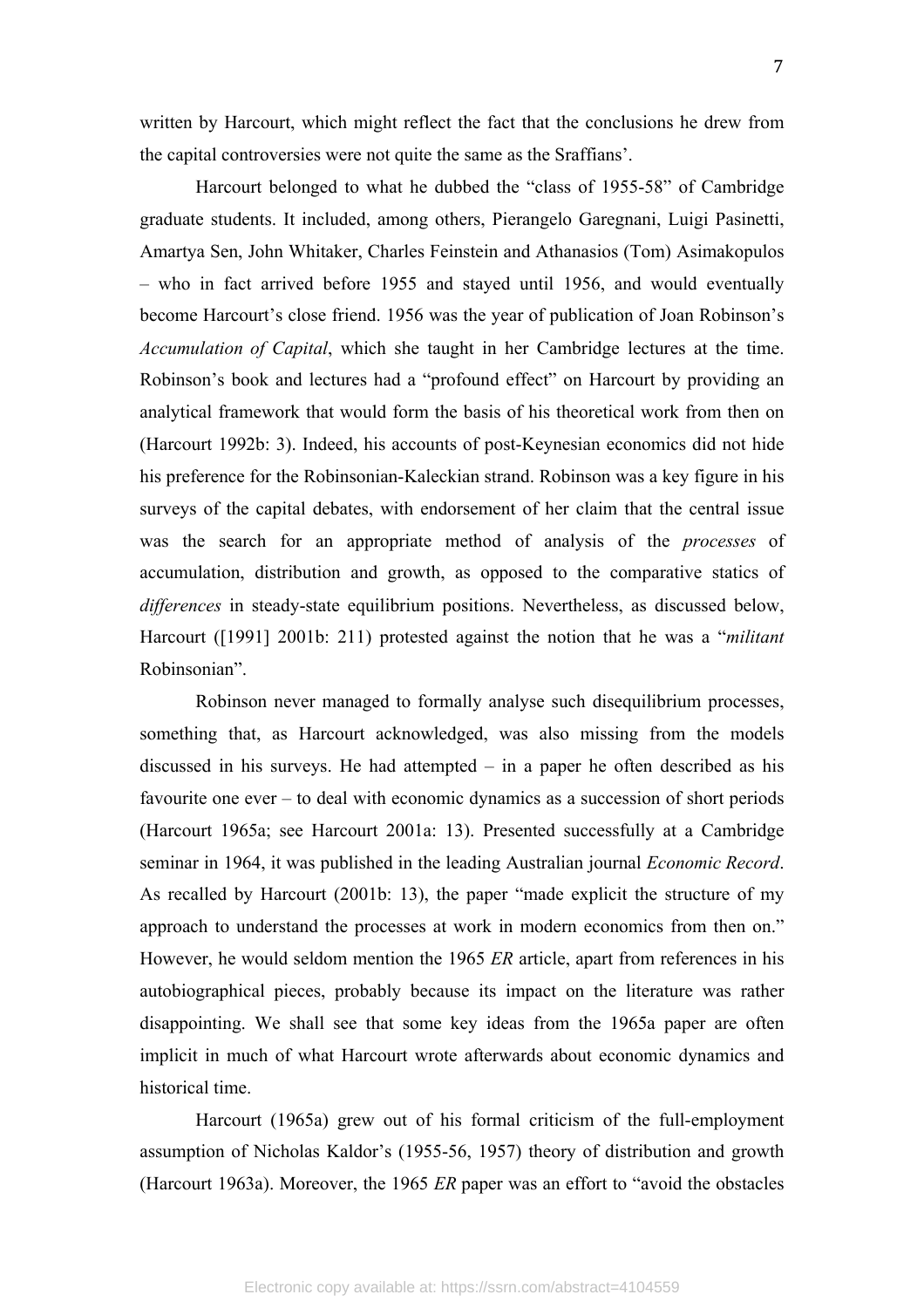written by Harcourt, which might reflect the fact that the conclusions he drew from the capital controversies were not quite the same as the Sraffians'.

Harcourt belonged to what he dubbed the "class of 1955-58" of Cambridge graduate students. It included, among others, Pierangelo Garegnani, Luigi Pasinetti, Amartya Sen, John Whitaker, Charles Feinstein and Athanasios (Tom) Asimakopulos – who in fact arrived before 1955 and stayed until 1956, and would eventually become Harcourt's close friend. 1956 was the year of publication of Joan Robinson's *Accumulation of Capital*, which she taught in her Cambridge lectures at the time. Robinson's book and lectures had a "profound effect" on Harcourt by providing an analytical framework that would form the basis of his theoretical work from then on (Harcourt 1992b: 3). Indeed, his accounts of post-Keynesian economics did not hide his preference for the Robinsonian-Kaleckian strand. Robinson was a key figure in his surveys of the capital debates, with endorsement of her claim that the central issue was the search for an appropriate method of analysis of the *processes* of accumulation, distribution and growth, as opposed to the comparative statics of *differences* in steady-state equilibrium positions. Nevertheless, as discussed below, Harcourt ([1991] 2001b: 211) protested against the notion that he was a "*militant* Robinsonian".

Robinson never managed to formally analyse such disequilibrium processes, something that, as Harcourt acknowledged, was also missing from the models discussed in his surveys. He had attempted – in a paper he often described as his favourite one ever – to deal with economic dynamics as a succession of short periods (Harcourt 1965a; see Harcourt 2001a: 13). Presented successfully at a Cambridge seminar in 1964, it was published in the leading Australian journal *Economic Record*. As recalled by Harcourt (2001b: 13), the paper "made explicit the structure of my approach to understand the processes at work in modern economics from then on." However, he would seldom mention the 1965 *ER* article, apart from references in his autobiographical pieces, probably because its impact on the literature was rather disappointing. We shall see that some key ideas from the 1965a paper are often implicit in much of what Harcourt wrote afterwards about economic dynamics and historical time.

Harcourt (1965a) grew out of his formal criticism of the full-employment assumption of Nicholas Kaldor's (1955-56, 1957) theory of distribution and growth (Harcourt 1963a). Moreover, the 1965 *ER* paper was an effort to "avoid the obstacles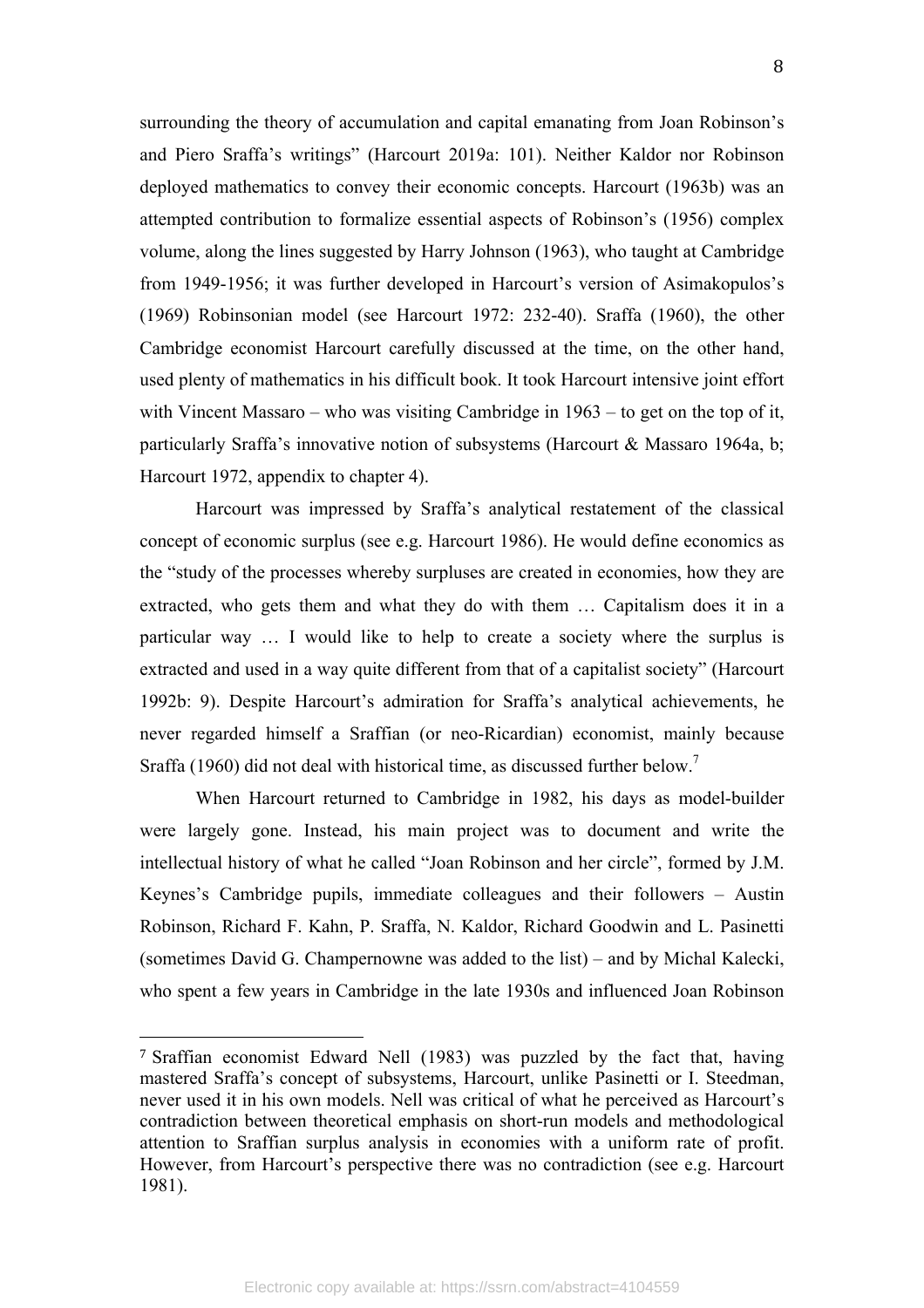surrounding the theory of accumulation and capital emanating from Joan Robinson's and Piero Sraffa's writings" (Harcourt 2019a: 101). Neither Kaldor nor Robinson deployed mathematics to convey their economic concepts. Harcourt (1963b) was an attempted contribution to formalize essential aspects of Robinson's (1956) complex volume, along the lines suggested by Harry Johnson (1963), who taught at Cambridge from 1949-1956; it was further developed in Harcourt's version of Asimakopulos's (1969) Robinsonian model (see Harcourt 1972: 232-40). Sraffa (1960), the other Cambridge economist Harcourt carefully discussed at the time, on the other hand, used plenty of mathematics in his difficult book. It took Harcourt intensive joint effort with Vincent Massaro – who was visiting Cambridge in 1963 – to get on the top of it, particularly Sraffa's innovative notion of subsystems (Harcourt & Massaro 1964a, b; Harcourt 1972, appendix to chapter 4).

Harcourt was impressed by Sraffa's analytical restatement of the classical concept of economic surplus (see e.g. Harcourt 1986). He would define economics as the "study of the processes whereby surpluses are created in economies, how they are extracted, who gets them and what they do with them … Capitalism does it in a particular way … I would like to help to create a society where the surplus is extracted and used in a way quite different from that of a capitalist society" (Harcourt 1992b: 9). Despite Harcourt's admiration for Sraffa's analytical achievements, he never regarded himself a Sraffian (or neo-Ricardian) economist, mainly because Sraffa (1960) did not deal with historical time, as discussed further below.<sup>7</sup>

When Harcourt returned to Cambridge in 1982, his days as model-builder were largely gone. Instead, his main project was to document and write the intellectual history of what he called "Joan Robinson and her circle", formed by J.M. Keynes's Cambridge pupils, immediate colleagues and their followers – Austin Robinson, Richard F. Kahn, P. Sraffa, N. Kaldor, Richard Goodwin and L. Pasinetti (sometimes David G. Champernowne was added to the list) – and by Michal Kalecki, who spent a few years in Cambridge in the late 1930s and influenced Joan Robinson

<sup>7</sup> Sraffian economist Edward Nell (1983) was puzzled by the fact that, having mastered Sraffa's concept of subsystems, Harcourt, unlike Pasinetti or I. Steedman, never used it in his own models. Nell was critical of what he perceived as Harcourt's contradiction between theoretical emphasis on short-run models and methodological attention to Sraffian surplus analysis in economies with a uniform rate of profit. However, from Harcourt's perspective there was no contradiction (see e.g. Harcourt 1981).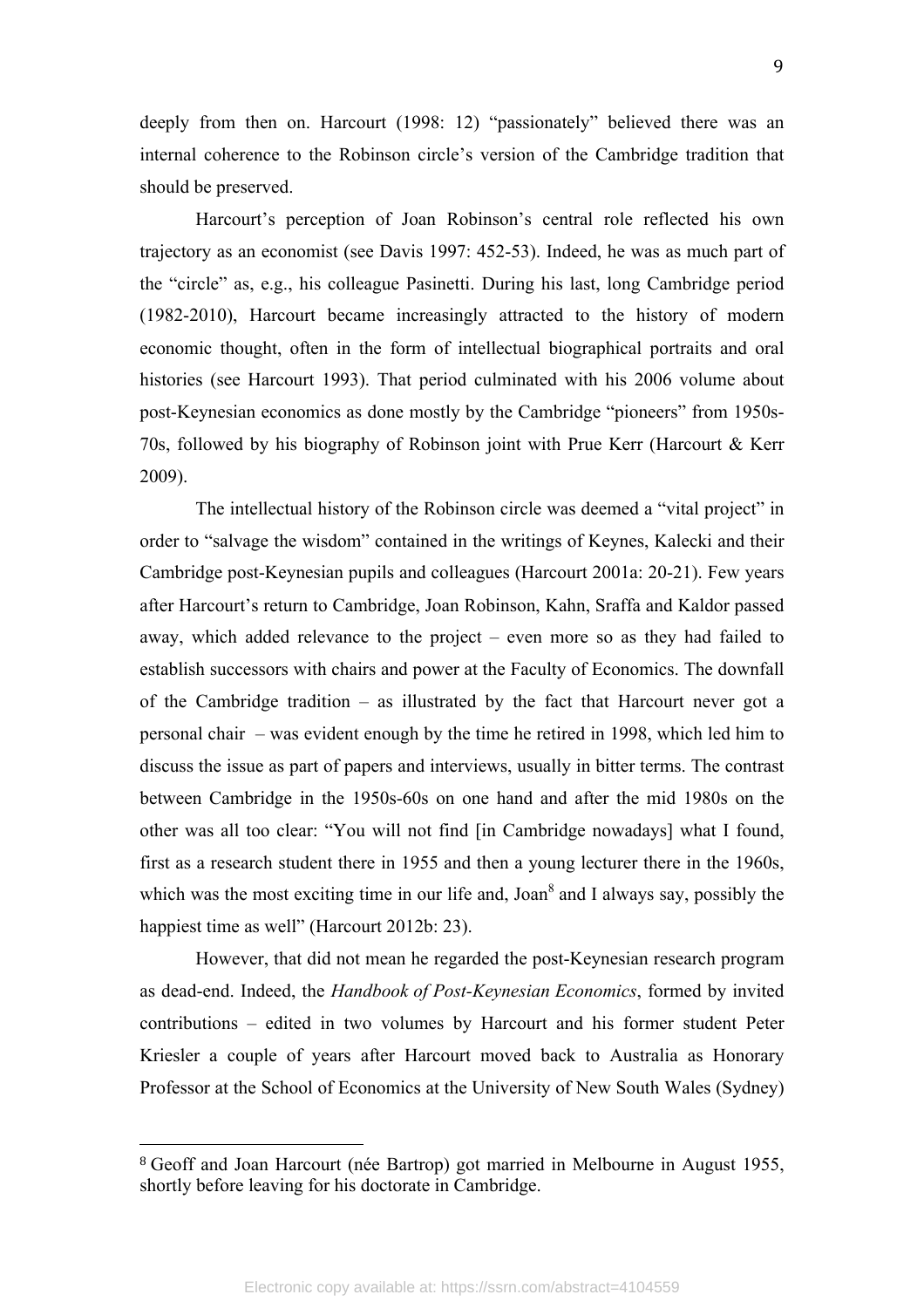deeply from then on. Harcourt (1998: 12) "passionately" believed there was an internal coherence to the Robinson circle's version of the Cambridge tradition that should be preserved.

Harcourt's perception of Joan Robinson's central role reflected his own trajectory as an economist (see Davis 1997: 452-53). Indeed, he was as much part of the "circle" as, e.g., his colleague Pasinetti. During his last, long Cambridge period (1982-2010), Harcourt became increasingly attracted to the history of modern economic thought, often in the form of intellectual biographical portraits and oral histories (see Harcourt 1993). That period culminated with his 2006 volume about post-Keynesian economics as done mostly by the Cambridge "pioneers" from 1950s-70s, followed by his biography of Robinson joint with Prue Kerr (Harcourt & Kerr 2009).

The intellectual history of the Robinson circle was deemed a "vital project" in order to "salvage the wisdom" contained in the writings of Keynes, Kalecki and their Cambridge post-Keynesian pupils and colleagues (Harcourt 2001a: 20-21). Few years after Harcourt's return to Cambridge, Joan Robinson, Kahn, Sraffa and Kaldor passed away, which added relevance to the project – even more so as they had failed to establish successors with chairs and power at the Faculty of Economics. The downfall of the Cambridge tradition – as illustrated by the fact that Harcourt never got a personal chair – was evident enough by the time he retired in 1998, which led him to discuss the issue as part of papers and interviews, usually in bitter terms. The contrast between Cambridge in the 1950s-60s on one hand and after the mid 1980s on the other was all too clear: "You will not find [in Cambridge nowadays] what I found, first as a research student there in 1955 and then a young lecturer there in the 1960s, which was the most exciting time in our life and, Joan<sup>8</sup> and I always say, possibly the happiest time as well" (Harcourt 2012b: 23).

However, that did not mean he regarded the post-Keynesian research program as dead-end. Indeed, the *Handbook of Post-Keynesian Economics*, formed by invited contributions – edited in two volumes by Harcourt and his former student Peter Kriesler a couple of years after Harcourt moved back to Australia as Honorary Professor at the School of Economics at the University of New South Wales (Sydney)

<sup>8</sup> Geoff and Joan Harcourt (née Bartrop) got married in Melbourne in August 1955, shortly before leaving for his doctorate in Cambridge.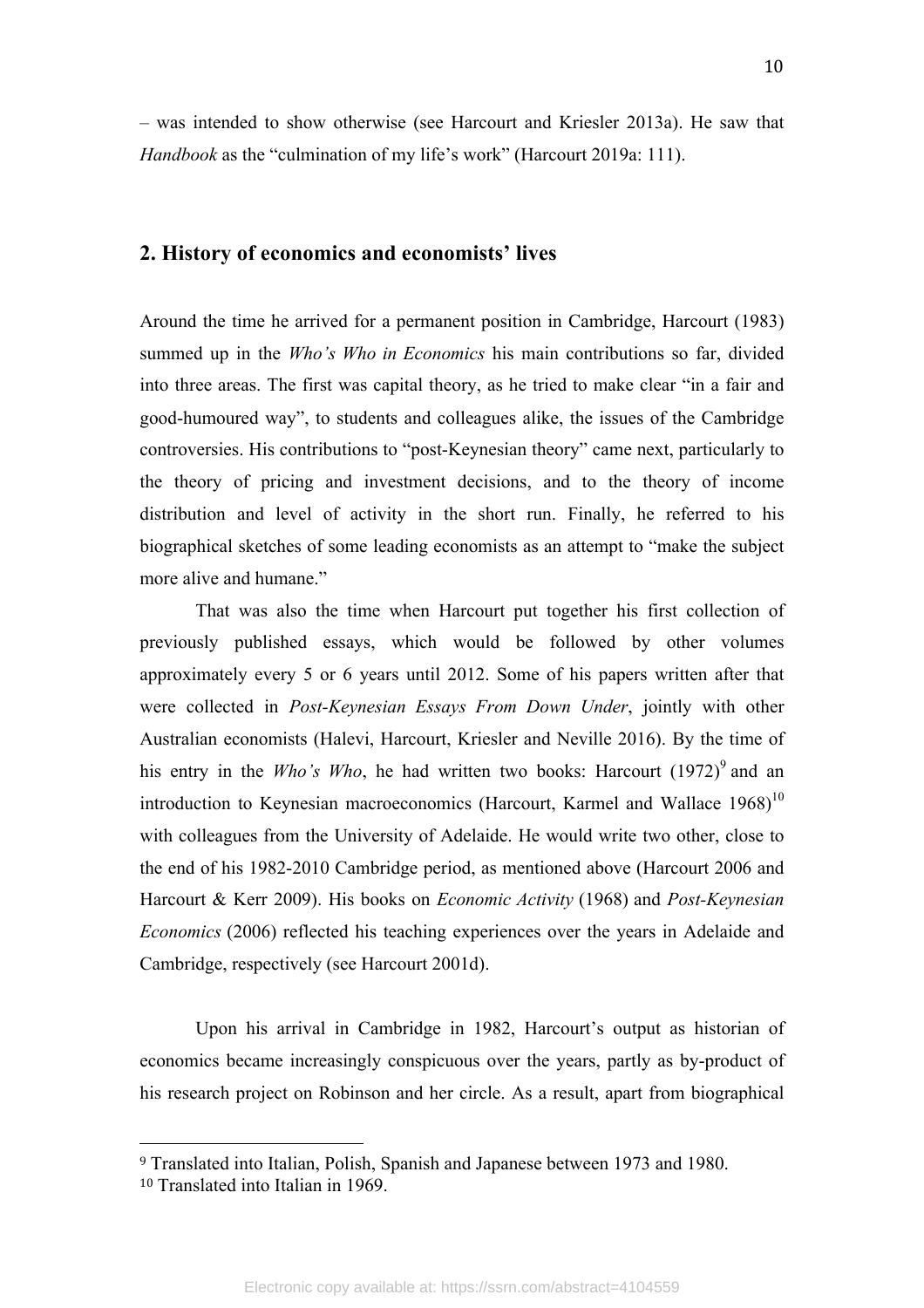– was intended to show otherwise (see Harcourt and Kriesler 2013a). He saw that *Handbook* as the "culmination of my life's work" (Harcourt 2019a: 111).

## **2. History of economics and economists' lives**

Around the time he arrived for a permanent position in Cambridge, Harcourt (1983) summed up in the *Who's Who in Economics* his main contributions so far, divided into three areas. The first was capital theory, as he tried to make clear "in a fair and good-humoured way", to students and colleagues alike, the issues of the Cambridge controversies. His contributions to "post-Keynesian theory" came next, particularly to the theory of pricing and investment decisions, and to the theory of income distribution and level of activity in the short run. Finally, he referred to his biographical sketches of some leading economists as an attempt to "make the subject more alive and humane."

That was also the time when Harcourt put together his first collection of previously published essays, which would be followed by other volumes approximately every 5 or 6 years until 2012. Some of his papers written after that were collected in *Post-Keynesian Essays From Down Under*, jointly with other Australian economists (Halevi, Harcourt, Kriesler and Neville 2016). By the time of his entry in the *Who's Who*, he had written two books: Harcourt  $(1972)^9$  and an introduction to Keynesian macroeconomics (Harcourt, Karmel and Wallace  $1968$ )<sup>10</sup> with colleagues from the University of Adelaide. He would write two other, close to the end of his 1982-2010 Cambridge period, as mentioned above (Harcourt 2006 and Harcourt & Kerr 2009). His books on *Economic Activity* (1968) and *Post-Keynesian Economics* (2006) reflected his teaching experiences over the years in Adelaide and Cambridge, respectively (see Harcourt 2001d).

Upon his arrival in Cambridge in 1982, Harcourt's output as historian of economics became increasingly conspicuous over the years, partly as by-product of his research project on Robinson and her circle. As a result, apart from biographical

<sup>9</sup> Translated into Italian, Polish, Spanish and Japanese between 1973 and 1980.

<sup>10</sup> Translated into Italian in 1969.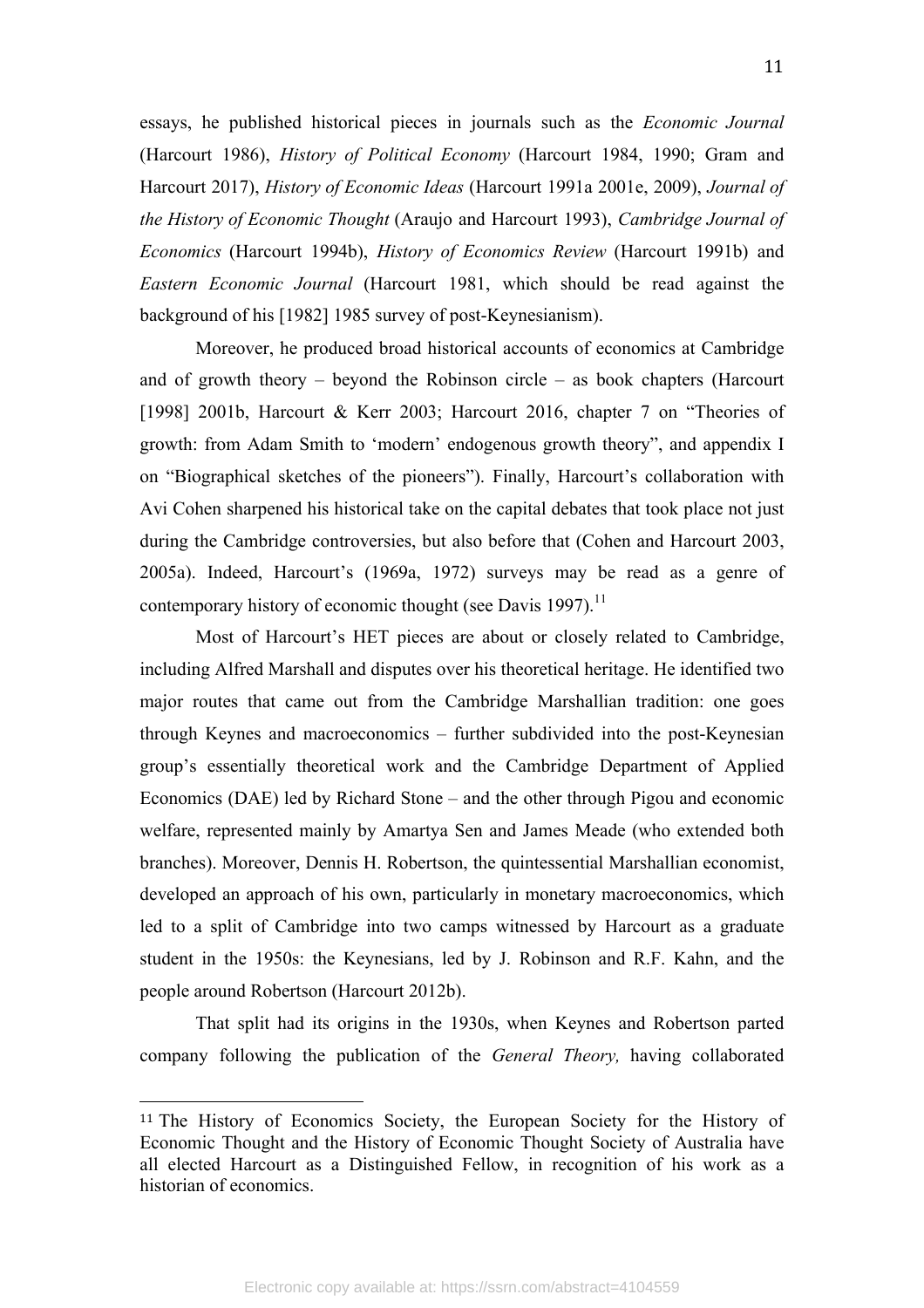essays, he published historical pieces in journals such as the *Economic Journal*  (Harcourt 1986), *History of Political Economy* (Harcourt 1984, 1990; Gram and Harcourt 2017), *History of Economic Ideas* (Harcourt 1991a 2001e, 2009), *Journal of the History of Economic Thought* (Araujo and Harcourt 1993), *Cambridge Journal of Economics* (Harcourt 1994b), *History of Economics Review* (Harcourt 1991b) and *Eastern Economic Journal* (Harcourt 1981, which should be read against the background of his [1982] 1985 survey of post-Keynesianism).

Moreover, he produced broad historical accounts of economics at Cambridge and of growth theory – beyond the Robinson circle – as book chapters (Harcourt [1998] 2001b, Harcourt & Kerr 2003; Harcourt 2016, chapter 7 on "Theories of growth: from Adam Smith to 'modern' endogenous growth theory", and appendix I on "Biographical sketches of the pioneers"). Finally, Harcourt's collaboration with Avi Cohen sharpened his historical take on the capital debates that took place not just during the Cambridge controversies, but also before that (Cohen and Harcourt 2003, 2005a). Indeed, Harcourt's (1969a, 1972) surveys may be read as a genre of contemporary history of economic thought (see Davis 1997).<sup>11</sup>

Most of Harcourt's HET pieces are about or closely related to Cambridge, including Alfred Marshall and disputes over his theoretical heritage. He identified two major routes that came out from the Cambridge Marshallian tradition: one goes through Keynes and macroeconomics – further subdivided into the post-Keynesian group's essentially theoretical work and the Cambridge Department of Applied Economics (DAE) led by Richard Stone – and the other through Pigou and economic welfare, represented mainly by Amartya Sen and James Meade (who extended both branches). Moreover, Dennis H. Robertson, the quintessential Marshallian economist, developed an approach of his own, particularly in monetary macroeconomics, which led to a split of Cambridge into two camps witnessed by Harcourt as a graduate student in the 1950s: the Keynesians, led by J. Robinson and R.F. Kahn, and the people around Robertson (Harcourt 2012b).

That split had its origins in the 1930s, when Keynes and Robertson parted company following the publication of the *General Theory,* having collaborated

<sup>11</sup> The History of Economics Society, the European Society for the History of Economic Thought and the History of Economic Thought Society of Australia have all elected Harcourt as a Distinguished Fellow, in recognition of his work as a historian of economics.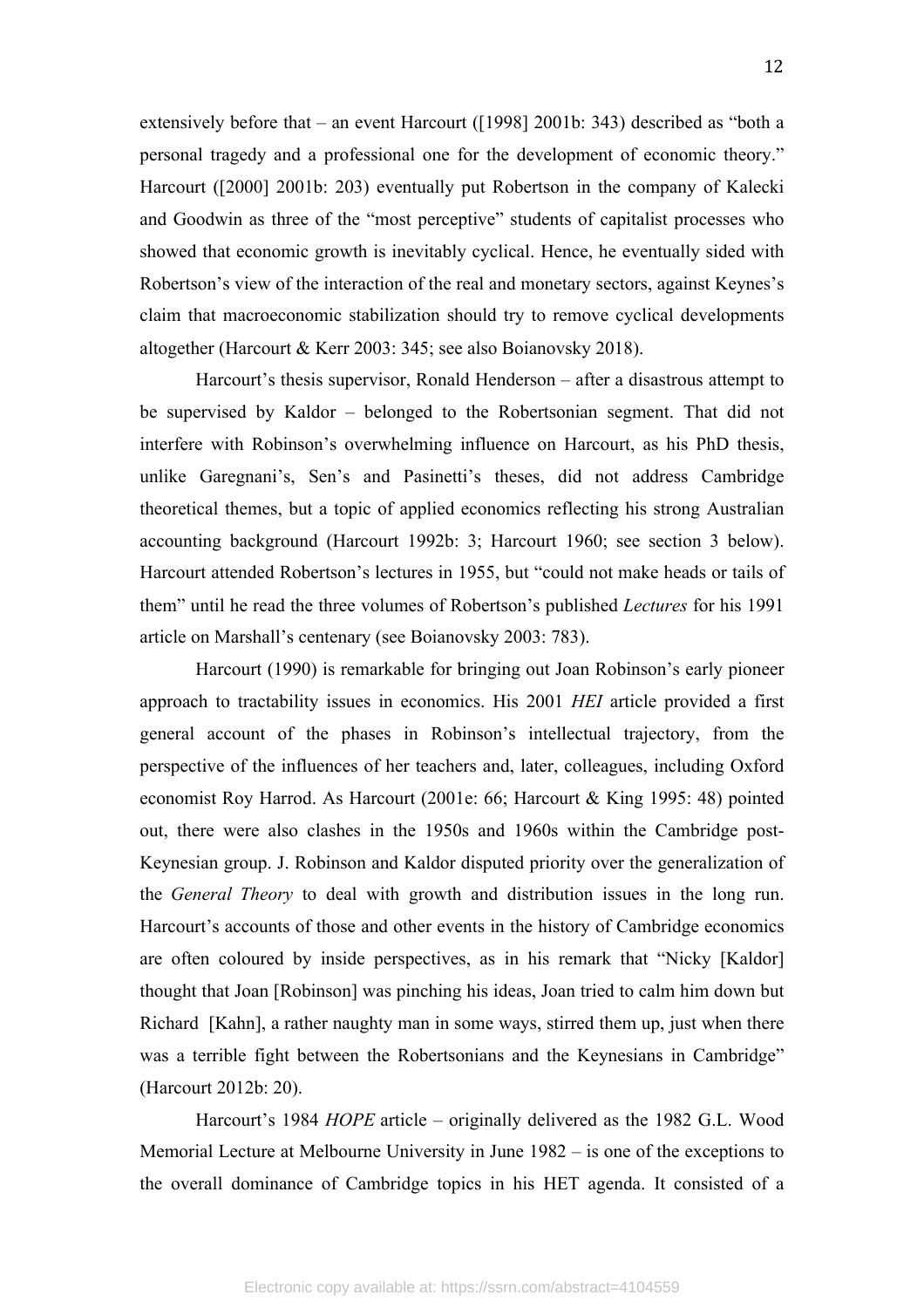extensively before that – an event Harcourt ([1998] 2001b: 343) described as "both a personal tragedy and a professional one for the development of economic theory." Harcourt ([2000] 2001b: 203) eventually put Robertson in the company of Kalecki and Goodwin as three of the "most perceptive" students of capitalist processes who showed that economic growth is inevitably cyclical. Hence, he eventually sided with Robertson's view of the interaction of the real and monetary sectors, against Keynes's claim that macroeconomic stabilization should try to remove cyclical developments altogether (Harcourt & Kerr 2003: 345; see also Boianovsky 2018).

Harcourt's thesis supervisor, Ronald Henderson – after a disastrous attempt to be supervised by Kaldor – belonged to the Robertsonian segment. That did not interfere with Robinson's overwhelming influence on Harcourt, as his PhD thesis, unlike Garegnani's, Sen's and Pasinetti's theses, did not address Cambridge theoretical themes, but a topic of applied economics reflecting his strong Australian accounting background (Harcourt 1992b: 3; Harcourt 1960; see section 3 below). Harcourt attended Robertson's lectures in 1955, but "could not make heads or tails of them" until he read the three volumes of Robertson's published *Lectures* for his 1991 article on Marshall's centenary (see Boianovsky 2003: 783).

Harcourt (1990) is remarkable for bringing out Joan Robinson's early pioneer approach to tractability issues in economics. His 2001 *HEI* article provided a first general account of the phases in Robinson's intellectual trajectory, from the perspective of the influences of her teachers and, later, colleagues, including Oxford economist Roy Harrod. As Harcourt (2001e: 66; Harcourt & King 1995: 48) pointed out, there were also clashes in the 1950s and 1960s within the Cambridge post-Keynesian group. J. Robinson and Kaldor disputed priority over the generalization of the *General Theory* to deal with growth and distribution issues in the long run. Harcourt's accounts of those and other events in the history of Cambridge economics are often coloured by inside perspectives, as in his remark that "Nicky [Kaldor] thought that Joan [Robinson] was pinching his ideas, Joan tried to calm him down but Richard [Kahn], a rather naughty man in some ways, stirred them up, just when there was a terrible fight between the Robertsonians and the Keynesians in Cambridge" (Harcourt 2012b: 20).

Harcourt's 1984 *HOPE* article – originally delivered as the 1982 G.L. Wood Memorial Lecture at Melbourne University in June 1982 – is one of the exceptions to the overall dominance of Cambridge topics in his HET agenda. It consisted of a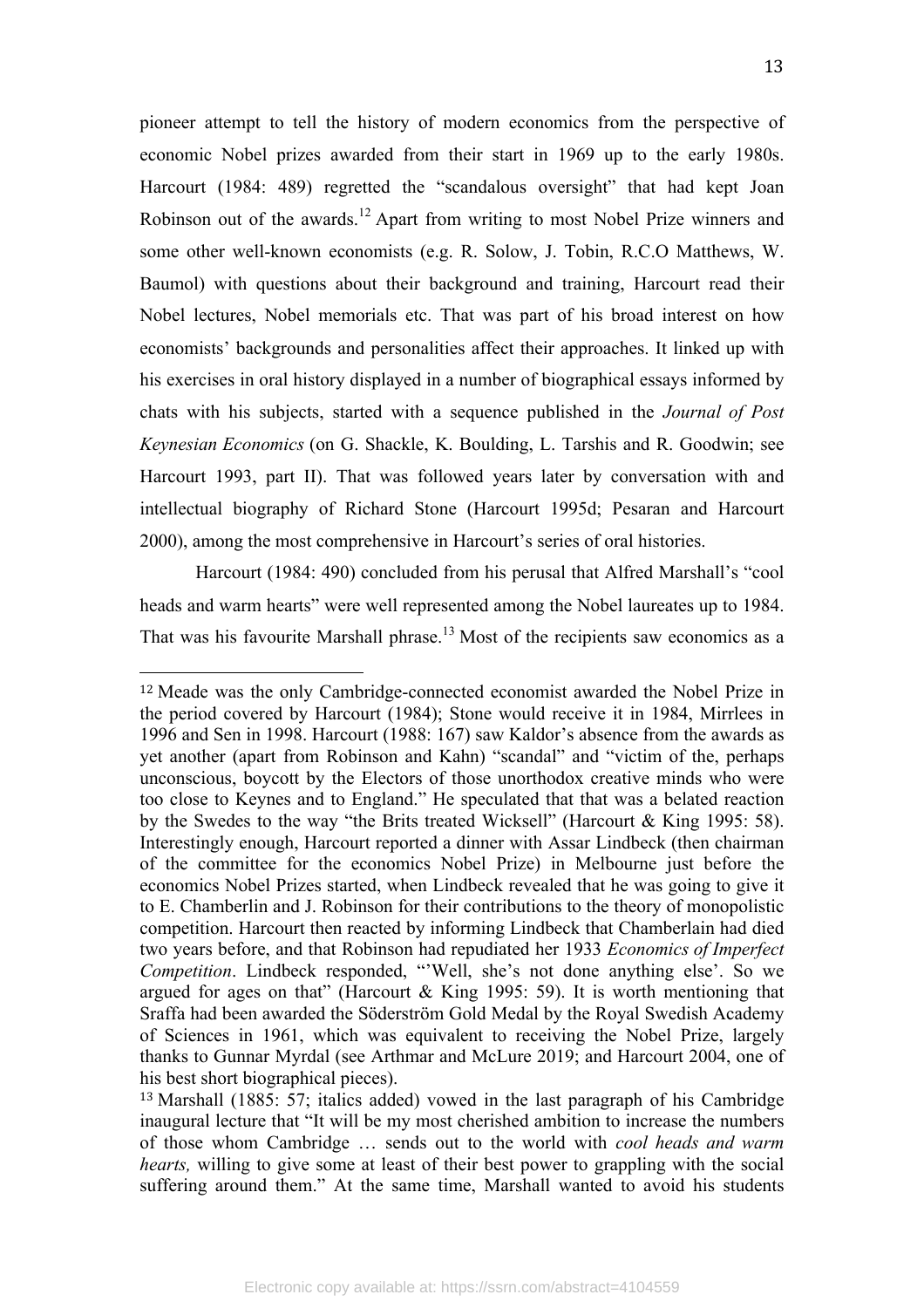pioneer attempt to tell the history of modern economics from the perspective of economic Nobel prizes awarded from their start in 1969 up to the early 1980s. Harcourt (1984: 489) regretted the "scandalous oversight" that had kept Joan Robinson out of the awards.<sup>12</sup> Apart from writing to most Nobel Prize winners and some other well-known economists (e.g. R. Solow, J. Tobin, R.C.O Matthews, W. Baumol) with questions about their background and training, Harcourt read their Nobel lectures, Nobel memorials etc. That was part of his broad interest on how economists' backgrounds and personalities affect their approaches. It linked up with his exercises in oral history displayed in a number of biographical essays informed by chats with his subjects, started with a sequence published in the *Journal of Post Keynesian Economics* (on G. Shackle, K. Boulding, L. Tarshis and R. Goodwin; see Harcourt 1993, part II). That was followed years later by conversation with and intellectual biography of Richard Stone (Harcourt 1995d; Pesaran and Harcourt 2000), among the most comprehensive in Harcourt's series of oral histories.

Harcourt (1984: 490) concluded from his perusal that Alfred Marshall's "cool heads and warm hearts" were well represented among the Nobel laureates up to 1984. That was his favourite Marshall phrase.<sup>13</sup> Most of the recipients saw economics as a

<sup>12</sup> Meade was the only Cambridge-connected economist awarded the Nobel Prize in the period covered by Harcourt (1984); Stone would receive it in 1984, Mirrlees in 1996 and Sen in 1998. Harcourt (1988: 167) saw Kaldor's absence from the awards as yet another (apart from Robinson and Kahn) "scandal" and "victim of the, perhaps unconscious, boycott by the Electors of those unorthodox creative minds who were too close to Keynes and to England." He speculated that that was a belated reaction by the Swedes to the way "the Brits treated Wicksell" (Harcourt & King 1995: 58). Interestingly enough, Harcourt reported a dinner with Assar Lindbeck (then chairman of the committee for the economics Nobel Prize) in Melbourne just before the economics Nobel Prizes started, when Lindbeck revealed that he was going to give it to E. Chamberlin and J. Robinson for their contributions to the theory of monopolistic competition. Harcourt then reacted by informing Lindbeck that Chamberlain had died two years before, and that Robinson had repudiated her 1933 *Economics of Imperfect Competition*. Lindbeck responded, "'Well, she's not done anything else'. So we argued for ages on that" (Harcourt  $& King 1995: 59$ ). It is worth mentioning that Sraffa had been awarded the Söderström Gold Medal by the Royal Swedish Academy of Sciences in 1961, which was equivalent to receiving the Nobel Prize, largely thanks to Gunnar Myrdal (see Arthmar and McLure 2019; and Harcourt 2004, one of his best short biographical pieces).

<sup>13</sup> Marshall (1885: 57; italics added) vowed in the last paragraph of his Cambridge inaugural lecture that "It will be my most cherished ambition to increase the numbers of those whom Cambridge … sends out to the world with *cool heads and warm hearts*, willing to give some at least of their best power to grappling with the social suffering around them." At the same time, Marshall wanted to avoid his students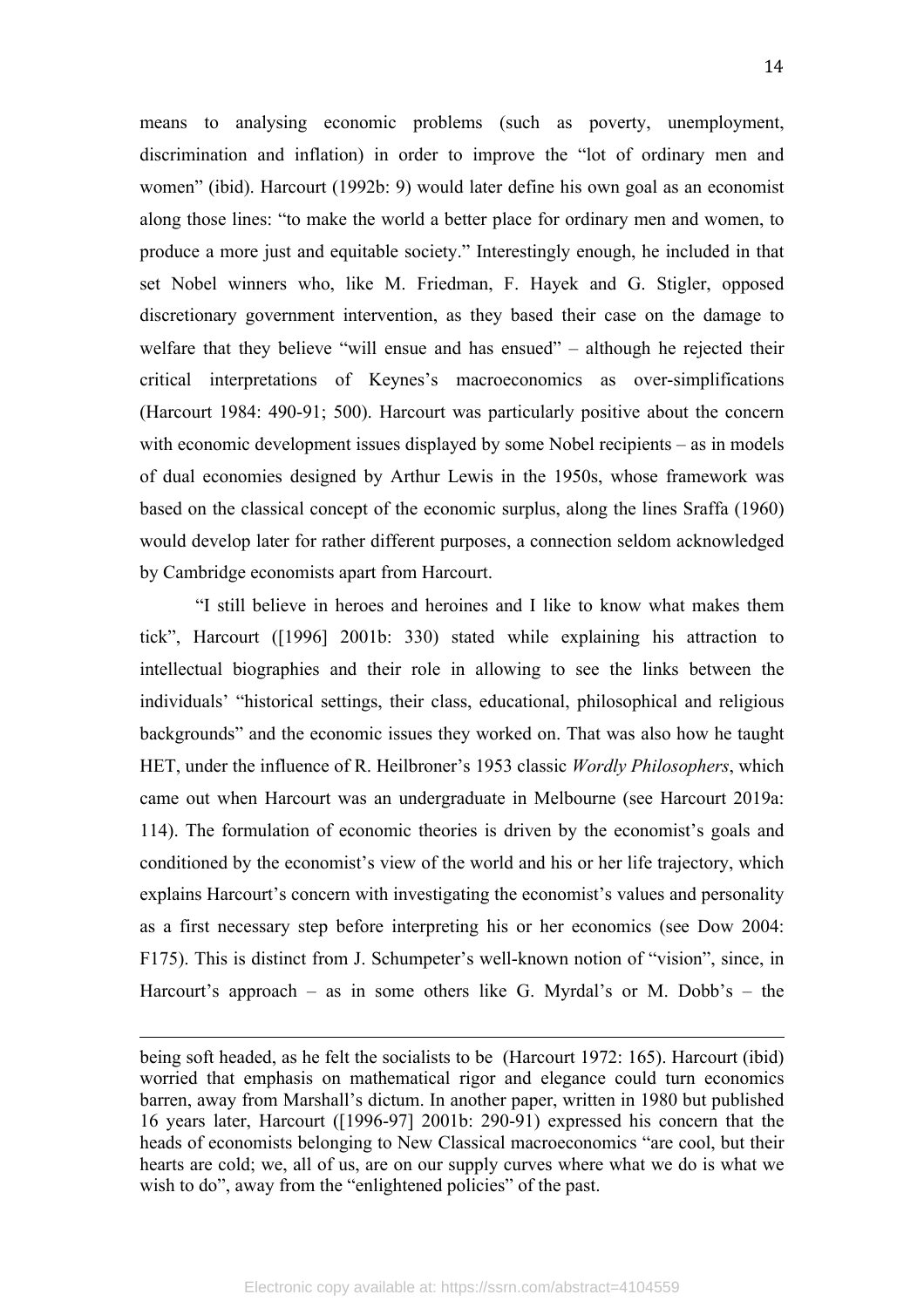means to analysing economic problems (such as poverty, unemployment, discrimination and inflation) in order to improve the "lot of ordinary men and women" (ibid). Harcourt (1992b: 9) would later define his own goal as an economist along those lines: "to make the world a better place for ordinary men and women, to produce a more just and equitable society." Interestingly enough, he included in that set Nobel winners who, like M. Friedman, F. Hayek and G. Stigler, opposed discretionary government intervention, as they based their case on the damage to welfare that they believe "will ensue and has ensued" – although he rejected their critical interpretations of Keynes's macroeconomics as over-simplifications (Harcourt 1984: 490-91; 500). Harcourt was particularly positive about the concern with economic development issues displayed by some Nobel recipients – as in models of dual economies designed by Arthur Lewis in the 1950s, whose framework was based on the classical concept of the economic surplus, along the lines Sraffa (1960) would develop later for rather different purposes, a connection seldom acknowledged by Cambridge economists apart from Harcourt.

"I still believe in heroes and heroines and I like to know what makes them tick", Harcourt ([1996] 2001b: 330) stated while explaining his attraction to intellectual biographies and their role in allowing to see the links between the individuals' "historical settings, their class, educational, philosophical and religious backgrounds" and the economic issues they worked on. That was also how he taught HET, under the influence of R. Heilbroner's 1953 classic *Wordly Philosophers*, which came out when Harcourt was an undergraduate in Melbourne (see Harcourt 2019a: 114). The formulation of economic theories is driven by the economist's goals and conditioned by the economist's view of the world and his or her life trajectory, which explains Harcourt's concern with investigating the economist's values and personality as a first necessary step before interpreting his or her economics (see Dow 2004: F175). This is distinct from J. Schumpeter's well-known notion of "vision", since, in Harcourt's approach – as in some others like G. Myrdal's or M. Dobb's – the

<u> 1989 - Andrea Santa Andrea Andrea Andrea Andrea Andrea Andrea Andrea Andrea Andrea Andrea Andrea Andrea Andr</u>

being soft headed, as he felt the socialists to be (Harcourt 1972: 165). Harcourt (ibid) worried that emphasis on mathematical rigor and elegance could turn economics barren, away from Marshall's dictum. In another paper, written in 1980 but published 16 years later, Harcourt ([1996-97] 2001b: 290-91) expressed his concern that the heads of economists belonging to New Classical macroeconomics "are cool, but their hearts are cold; we, all of us, are on our supply curves where what we do is what we wish to do", away from the "enlightened policies" of the past.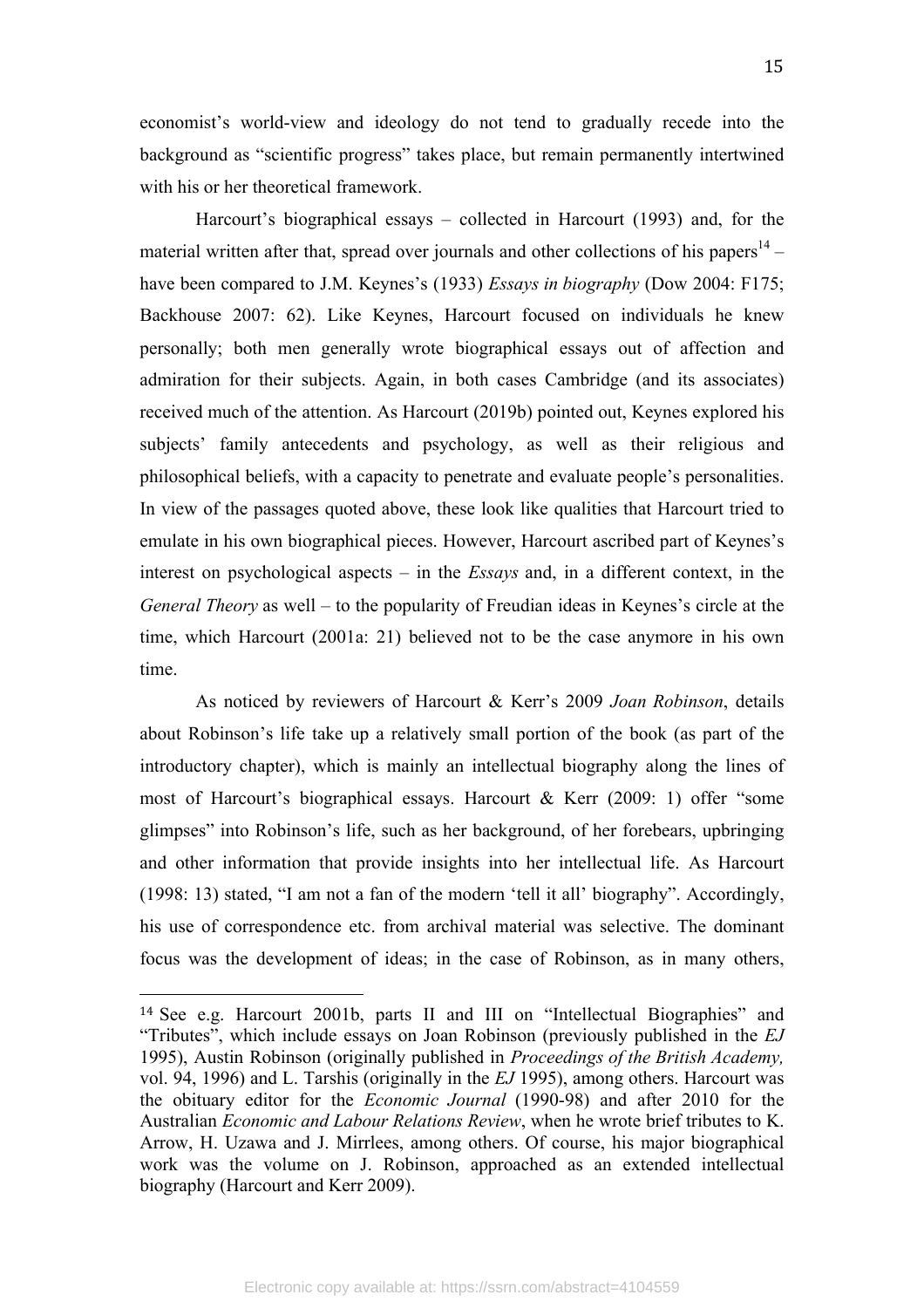economist's world-view and ideology do not tend to gradually recede into the background as "scientific progress" takes place, but remain permanently intertwined with his or her theoretical framework.

Harcourt's biographical essays – collected in Harcourt (1993) and, for the material written after that, spread over journals and other collections of his papers<sup>14</sup> – have been compared to J.M. Keynes's (1933) *Essays in biography* (Dow 2004: F175; Backhouse 2007: 62). Like Keynes, Harcourt focused on individuals he knew personally; both men generally wrote biographical essays out of affection and admiration for their subjects. Again, in both cases Cambridge (and its associates) received much of the attention. As Harcourt (2019b) pointed out, Keynes explored his subjects' family antecedents and psychology, as well as their religious and philosophical beliefs, with a capacity to penetrate and evaluate people's personalities. In view of the passages quoted above, these look like qualities that Harcourt tried to emulate in his own biographical pieces. However, Harcourt ascribed part of Keynes's interest on psychological aspects – in the *Essays* and, in a different context, in the *General Theory* as well – to the popularity of Freudian ideas in Keynes's circle at the time, which Harcourt (2001a: 21) believed not to be the case anymore in his own time.

As noticed by reviewers of Harcourt & Kerr's 2009 *Joan Robinson*, details about Robinson's life take up a relatively small portion of the book (as part of the introductory chapter), which is mainly an intellectual biography along the lines of most of Harcourt's biographical essays. Harcourt & Kerr (2009: 1) offer "some glimpses" into Robinson's life, such as her background, of her forebears, upbringing and other information that provide insights into her intellectual life. As Harcourt (1998: 13) stated, "I am not a fan of the modern 'tell it all' biography". Accordingly, his use of correspondence etc. from archival material was selective. The dominant focus was the development of ideas; in the case of Robinson, as in many others,

<sup>14</sup> See e.g. Harcourt 2001b, parts II and III on "Intellectual Biographies" and "Tributes", which include essays on Joan Robinson (previously published in the *EJ*  1995), Austin Robinson (originally published in *Proceedings of the British Academy,*  vol. 94, 1996) and L. Tarshis (originally in the *EJ* 1995), among others. Harcourt was the obituary editor for the *Economic Journal* (1990-98) and after 2010 for the Australian *Economic and Labour Relations Review*, when he wrote brief tributes to K. Arrow, H. Uzawa and J. Mirrlees, among others. Of course, his major biographical work was the volume on J. Robinson, approached as an extended intellectual biography (Harcourt and Kerr 2009).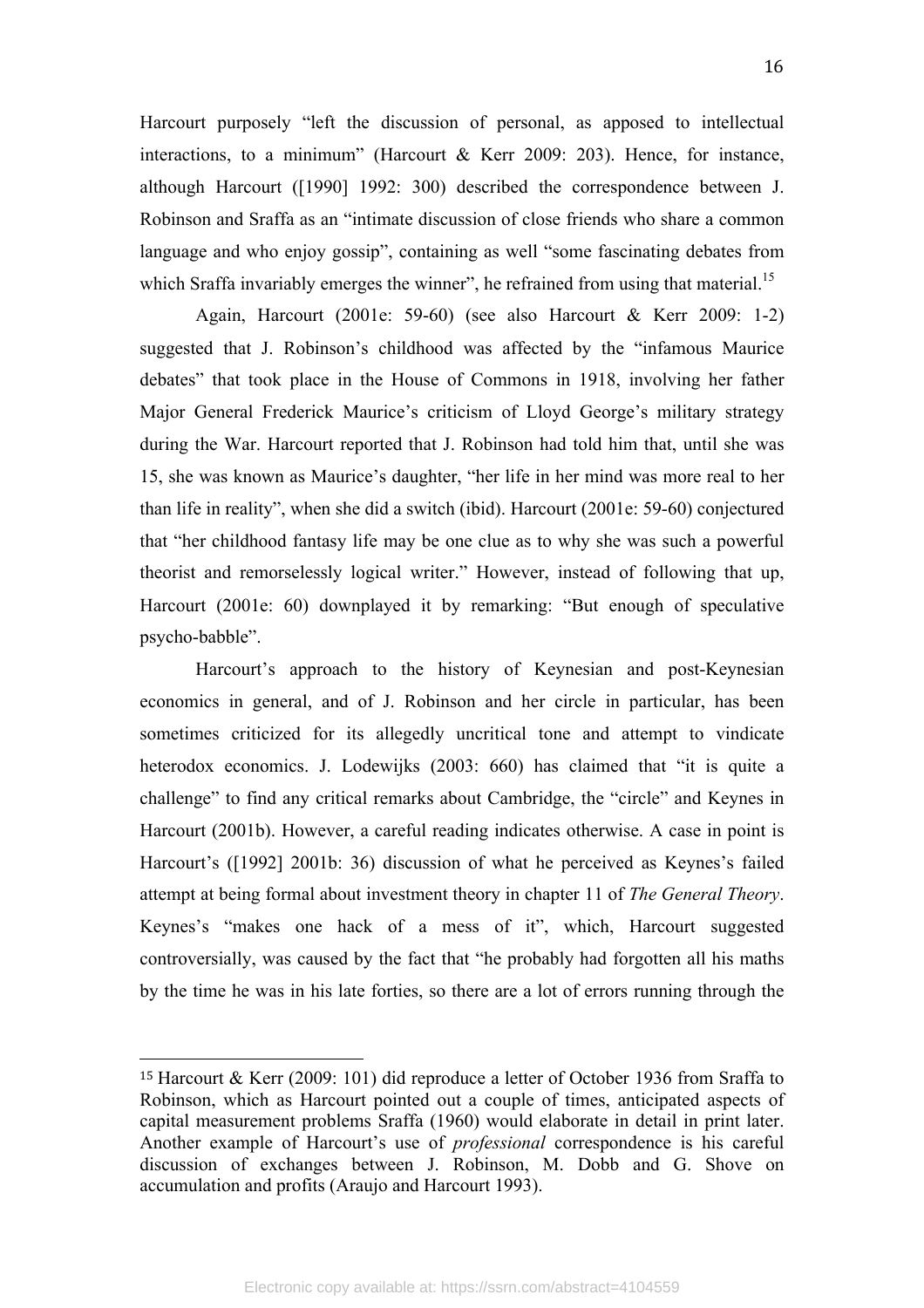Harcourt purposely "left the discussion of personal, as apposed to intellectual interactions, to a minimum" (Harcourt  $\&$  Kerr 2009: 203). Hence, for instance, although Harcourt ([1990] 1992: 300) described the correspondence between J. Robinson and Sraffa as an "intimate discussion of close friends who share a common language and who enjoy gossip", containing as well "some fascinating debates from which Sraffa invariably emerges the winner", he refrained from using that material.<sup>15</sup>

Again, Harcourt (2001e: 59-60) (see also Harcourt & Kerr 2009: 1-2) suggested that J. Robinson's childhood was affected by the "infamous Maurice debates" that took place in the House of Commons in 1918, involving her father Major General Frederick Maurice's criticism of Lloyd George's military strategy during the War. Harcourt reported that J. Robinson had told him that, until she was 15, she was known as Maurice's daughter, "her life in her mind was more real to her than life in reality", when she did a switch (ibid). Harcourt (2001e: 59-60) conjectured that "her childhood fantasy life may be one clue as to why she was such a powerful theorist and remorselessly logical writer." However, instead of following that up, Harcourt (2001e: 60) downplayed it by remarking: "But enough of speculative psycho-babble".

Harcourt's approach to the history of Keynesian and post-Keynesian economics in general, and of J. Robinson and her circle in particular, has been sometimes criticized for its allegedly uncritical tone and attempt to vindicate heterodox economics. J. Lodewijks (2003: 660) has claimed that "it is quite a challenge" to find any critical remarks about Cambridge, the "circle" and Keynes in Harcourt (2001b). However, a careful reading indicates otherwise. A case in point is Harcourt's ([1992] 2001b: 36) discussion of what he perceived as Keynes's failed attempt at being formal about investment theory in chapter 11 of *The General Theory*. Keynes's "makes one hack of a mess of it", which, Harcourt suggested controversially, was caused by the fact that "he probably had forgotten all his maths by the time he was in his late forties, so there are a lot of errors running through the

<sup>15</sup> Harcourt & Kerr (2009: 101) did reproduce a letter of October 1936 from Sraffa to Robinson, which as Harcourt pointed out a couple of times, anticipated aspects of capital measurement problems Sraffa (1960) would elaborate in detail in print later. Another example of Harcourt's use of *professional* correspondence is his careful discussion of exchanges between J. Robinson, M. Dobb and G. Shove on accumulation and profits (Araujo and Harcourt 1993).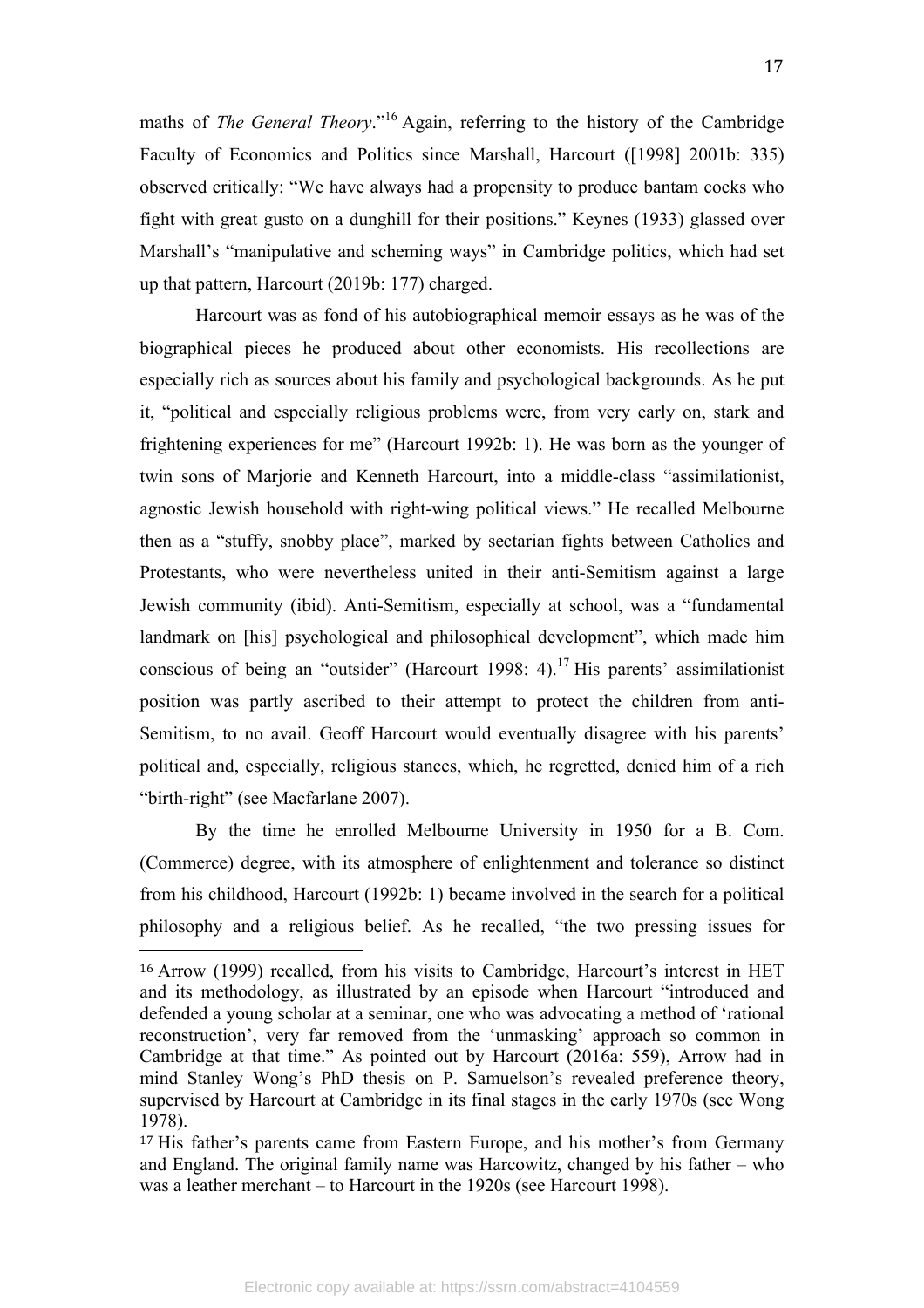maths of *The General Theory*."<sup>16</sup> Again, referring to the history of the Cambridge Faculty of Economics and Politics since Marshall, Harcourt ([1998] 2001b: 335) observed critically: "We have always had a propensity to produce bantam cocks who fight with great gusto on a dunghill for their positions." Keynes (1933) glassed over Marshall's "manipulative and scheming ways" in Cambridge politics, which had set up that pattern, Harcourt (2019b: 177) charged.

Harcourt was as fond of his autobiographical memoir essays as he was of the biographical pieces he produced about other economists. His recollections are especially rich as sources about his family and psychological backgrounds. As he put it, "political and especially religious problems were, from very early on, stark and frightening experiences for me" (Harcourt 1992b: 1). He was born as the younger of twin sons of Marjorie and Kenneth Harcourt, into a middle-class "assimilationist, agnostic Jewish household with right-wing political views." He recalled Melbourne then as a "stuffy, snobby place", marked by sectarian fights between Catholics and Protestants, who were nevertheless united in their anti-Semitism against a large Jewish community (ibid). Anti-Semitism, especially at school, was a "fundamental landmark on [his] psychological and philosophical development", which made him conscious of being an "outsider" (Harcourt 1998: 4).<sup>17</sup> His parents' assimilationist position was partly ascribed to their attempt to protect the children from anti-Semitism, to no avail. Geoff Harcourt would eventually disagree with his parents' political and, especially, religious stances, which, he regretted, denied him of a rich "birth-right" (see Macfarlane 2007).

By the time he enrolled Melbourne University in 1950 for a B. Com. (Commerce) degree, with its atmosphere of enlightenment and tolerance so distinct from his childhood, Harcourt (1992b: 1) became involved in the search for a political philosophy and a religious belief. As he recalled, "the two pressing issues for

<sup>16</sup> Arrow (1999) recalled, from his visits to Cambridge, Harcourt's interest in HET and its methodology, as illustrated by an episode when Harcourt "introduced and defended a young scholar at a seminar, one who was advocating a method of 'rational reconstruction', very far removed from the 'unmasking' approach so common in Cambridge at that time." As pointed out by Harcourt (2016a: 559), Arrow had in mind Stanley Wong's PhD thesis on P. Samuelson's revealed preference theory, supervised by Harcourt at Cambridge in its final stages in the early 1970s (see Wong 1978).

<sup>17</sup> His father's parents came from Eastern Europe, and his mother's from Germany and England. The original family name was Harcowitz, changed by his father – who was a leather merchant – to Harcourt in the 1920s (see Harcourt 1998).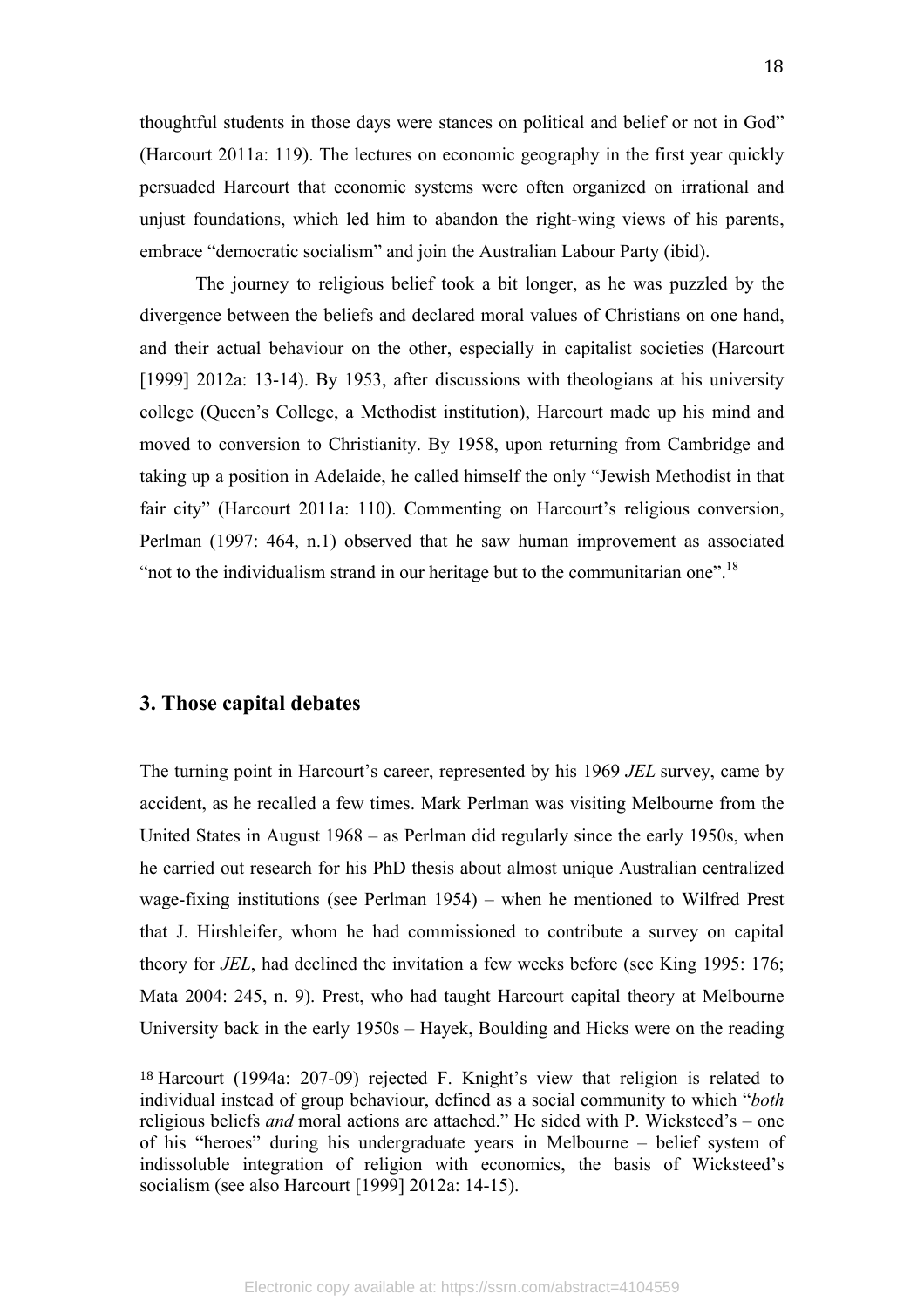thoughtful students in those days were stances on political and belief or not in God" (Harcourt 2011a: 119). The lectures on economic geography in the first year quickly persuaded Harcourt that economic systems were often organized on irrational and unjust foundations, which led him to abandon the right-wing views of his parents, embrace "democratic socialism" and join the Australian Labour Party (ibid).

The journey to religious belief took a bit longer, as he was puzzled by the divergence between the beliefs and declared moral values of Christians on one hand, and their actual behaviour on the other, especially in capitalist societies (Harcourt [1999] 2012a: 13-14). By 1953, after discussions with theologians at his university college (Queen's College, a Methodist institution), Harcourt made up his mind and moved to conversion to Christianity. By 1958, upon returning from Cambridge and taking up a position in Adelaide, he called himself the only "Jewish Methodist in that fair city" (Harcourt 2011a: 110). Commenting on Harcourt's religious conversion, Perlman (1997: 464, n.1) observed that he saw human improvement as associated "not to the individualism strand in our heritage but to the communitarian one".<sup>18</sup>

#### **3. Those capital debates**

 

The turning point in Harcourt's career, represented by his 1969 *JEL* survey, came by accident, as he recalled a few times. Mark Perlman was visiting Melbourne from the United States in August 1968 – as Perlman did regularly since the early 1950s, when he carried out research for his PhD thesis about almost unique Australian centralized wage-fixing institutions (see Perlman 1954) – when he mentioned to Wilfred Prest that J. Hirshleifer, whom he had commissioned to contribute a survey on capital theory for *JEL*, had declined the invitation a few weeks before (see King 1995: 176; Mata 2004: 245, n. 9). Prest, who had taught Harcourt capital theory at Melbourne University back in the early 1950s – Hayek, Boulding and Hicks were on the reading

<sup>18</sup> Harcourt (1994a: 207-09) rejected F. Knight's view that religion is related to individual instead of group behaviour, defined as a social community to which "*both*  religious beliefs *and* moral actions are attached." He sided with P. Wicksteed's – one of his "heroes" during his undergraduate years in Melbourne – belief system of indissoluble integration of religion with economics, the basis of Wicksteed's socialism (see also Harcourt [1999] 2012a: 14-15).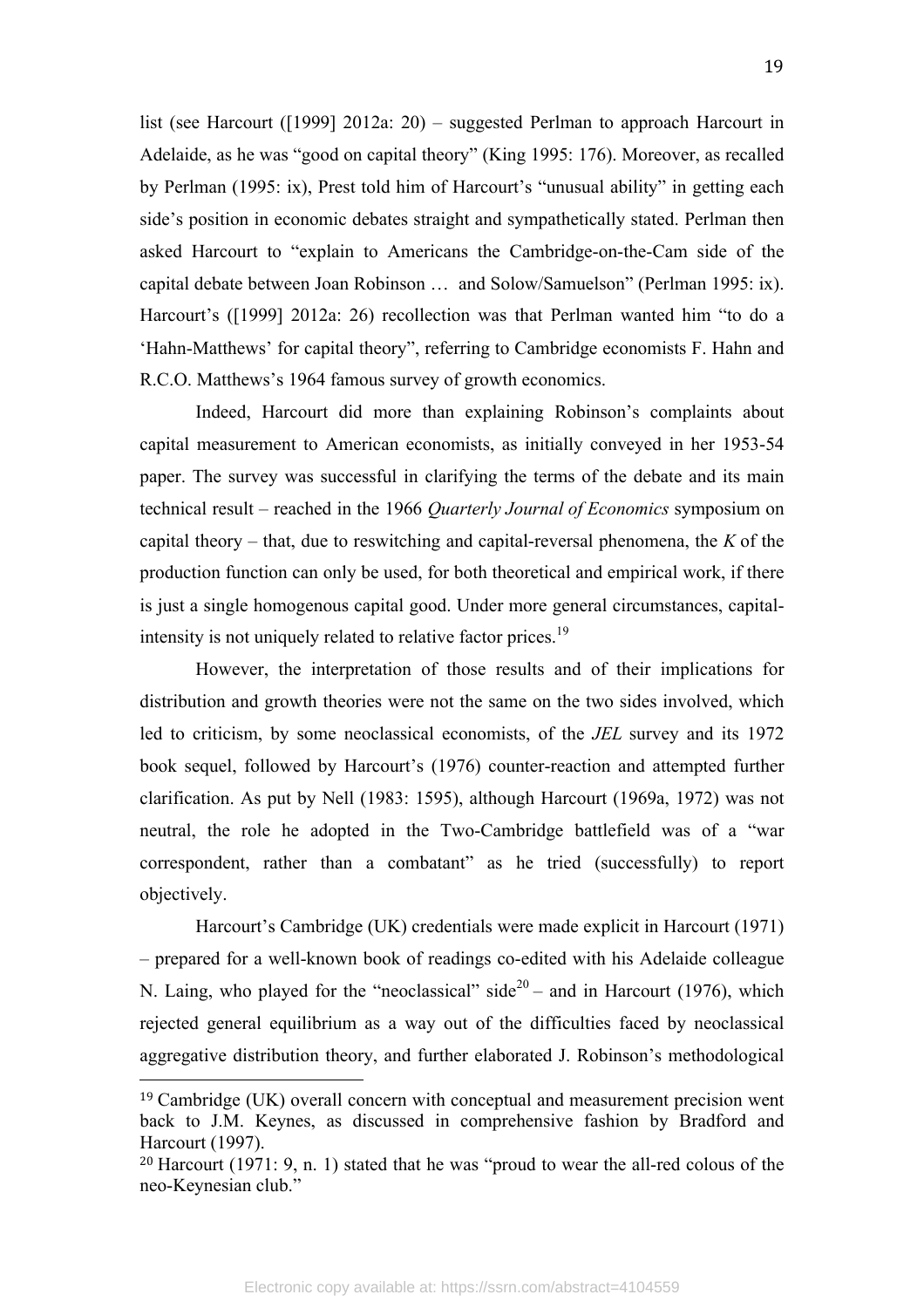list (see Harcourt ([1999] 2012a: 20) – suggested Perlman to approach Harcourt in Adelaide, as he was "good on capital theory" (King 1995: 176). Moreover, as recalled by Perlman (1995: ix), Prest told him of Harcourt's "unusual ability" in getting each side's position in economic debates straight and sympathetically stated. Perlman then asked Harcourt to "explain to Americans the Cambridge-on-the-Cam side of the capital debate between Joan Robinson … and Solow/Samuelson" (Perlman 1995: ix). Harcourt's ([1999] 2012a: 26) recollection was that Perlman wanted him "to do a 'Hahn-Matthews' for capital theory", referring to Cambridge economists F. Hahn and R.C.O. Matthews's 1964 famous survey of growth economics.

Indeed, Harcourt did more than explaining Robinson's complaints about capital measurement to American economists, as initially conveyed in her 1953-54 paper. The survey was successful in clarifying the terms of the debate and its main technical result – reached in the 1966 *Quarterly Journal of Economics* symposium on capital theory – that, due to reswitching and capital-reversal phenomena, the *K* of the production function can only be used, for both theoretical and empirical work, if there is just a single homogenous capital good. Under more general circumstances, capitalintensity is not uniquely related to relative factor prices.<sup>19</sup>

However, the interpretation of those results and of their implications for distribution and growth theories were not the same on the two sides involved, which led to criticism, by some neoclassical economists, of the *JEL* survey and its 1972 book sequel, followed by Harcourt's (1976) counter-reaction and attempted further clarification. As put by Nell (1983: 1595), although Harcourt (1969a, 1972) was not neutral, the role he adopted in the Two-Cambridge battlefield was of a "war correspondent, rather than a combatant" as he tried (successfully) to report objectively.

Harcourt's Cambridge (UK) credentials were made explicit in Harcourt (1971) – prepared for a well-known book of readings co-edited with his Adelaide colleague N. Laing, who played for the "neoclassical" side<sup>20</sup> – and in Harcourt (1976), which rejected general equilibrium as a way out of the difficulties faced by neoclassical aggregative distribution theory, and further elaborated J. Robinson's methodological

 $19$  Cambridge (UK) overall concern with conceptual and measurement precision went back to J.M. Keynes, as discussed in comprehensive fashion by Bradford and Harcourt (1997).

<sup>&</sup>lt;sup>20</sup> Harcourt (1971: 9, n. 1) stated that he was "proud to wear the all-red colous of the neo-Keynesian club."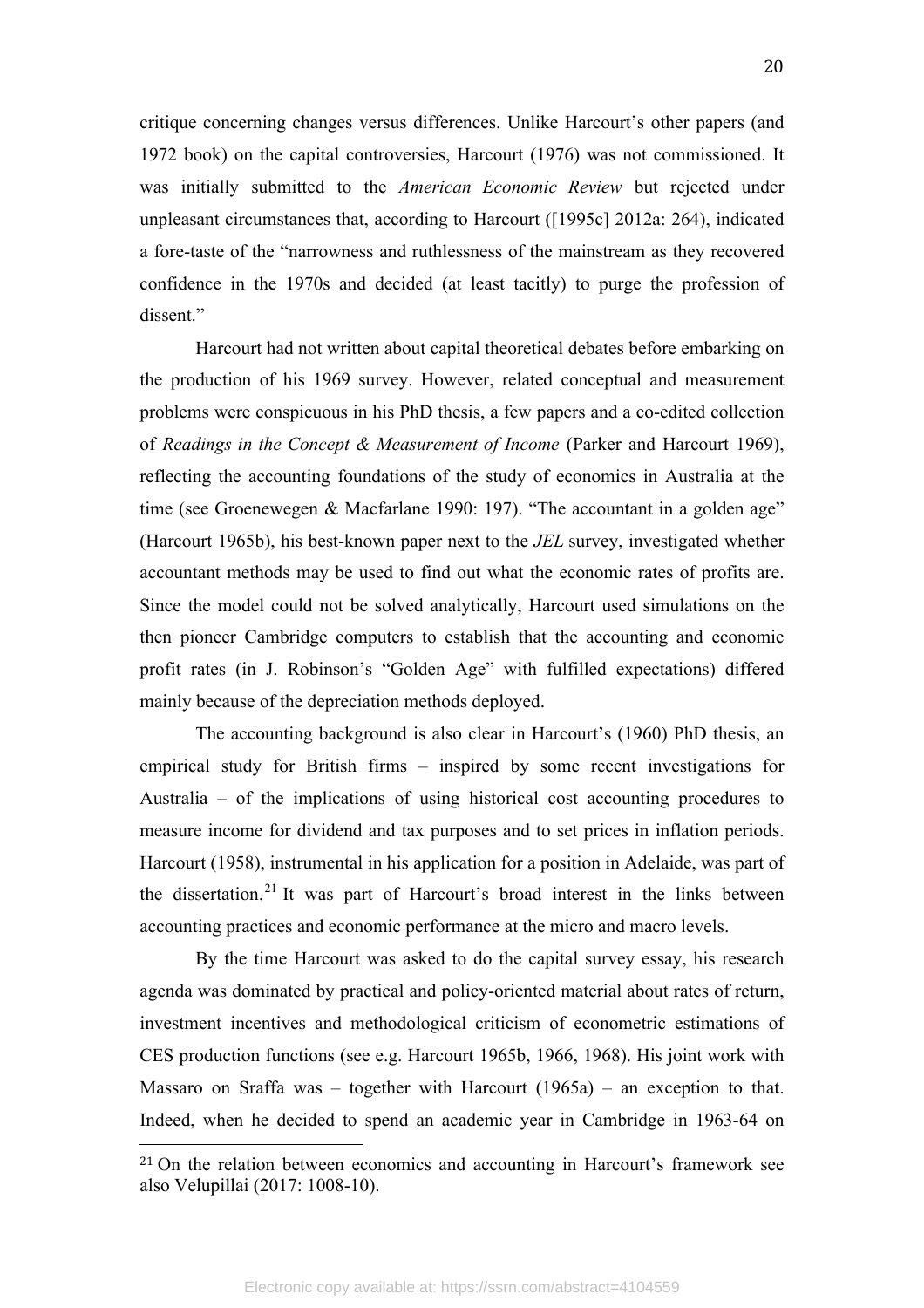critique concerning changes versus differences. Unlike Harcourt's other papers (and 1972 book) on the capital controversies, Harcourt (1976) was not commissioned. It was initially submitted to the *American Economic Review* but rejected under unpleasant circumstances that, according to Harcourt ([1995c] 2012a: 264), indicated a fore-taste of the "narrowness and ruthlessness of the mainstream as they recovered confidence in the 1970s and decided (at least tacitly) to purge the profession of dissent."

Harcourt had not written about capital theoretical debates before embarking on the production of his 1969 survey. However, related conceptual and measurement problems were conspicuous in his PhD thesis, a few papers and a co-edited collection of *Readings in the Concept & Measurement of Income* (Parker and Harcourt 1969), reflecting the accounting foundations of the study of economics in Australia at the time (see Groenewegen & Macfarlane 1990: 197). "The accountant in a golden age" (Harcourt 1965b), his best-known paper next to the *JEL* survey, investigated whether accountant methods may be used to find out what the economic rates of profits are. Since the model could not be solved analytically, Harcourt used simulations on the then pioneer Cambridge computers to establish that the accounting and economic profit rates (in J. Robinson's "Golden Age" with fulfilled expectations) differed mainly because of the depreciation methods deployed.

The accounting background is also clear in Harcourt's (1960) PhD thesis, an empirical study for British firms – inspired by some recent investigations for Australia – of the implications of using historical cost accounting procedures to measure income for dividend and tax purposes and to set prices in inflation periods. Harcourt (1958), instrumental in his application for a position in Adelaide, was part of the dissertation.<sup>21</sup> It was part of Harcourt's broad interest in the links between accounting practices and economic performance at the micro and macro levels.

By the time Harcourt was asked to do the capital survey essay, his research agenda was dominated by practical and policy-oriented material about rates of return, investment incentives and methodological criticism of econometric estimations of CES production functions (see e.g. Harcourt 1965b, 1966, 1968). His joint work with Massaro on Sraffa was – together with Harcourt (1965a) – an exception to that. Indeed, when he decided to spend an academic year in Cambridge in 1963-64 on

<sup>&</sup>lt;sup>21</sup> On the relation between economics and accounting in Harcourt's framework see also Velupillai (2017: 1008-10).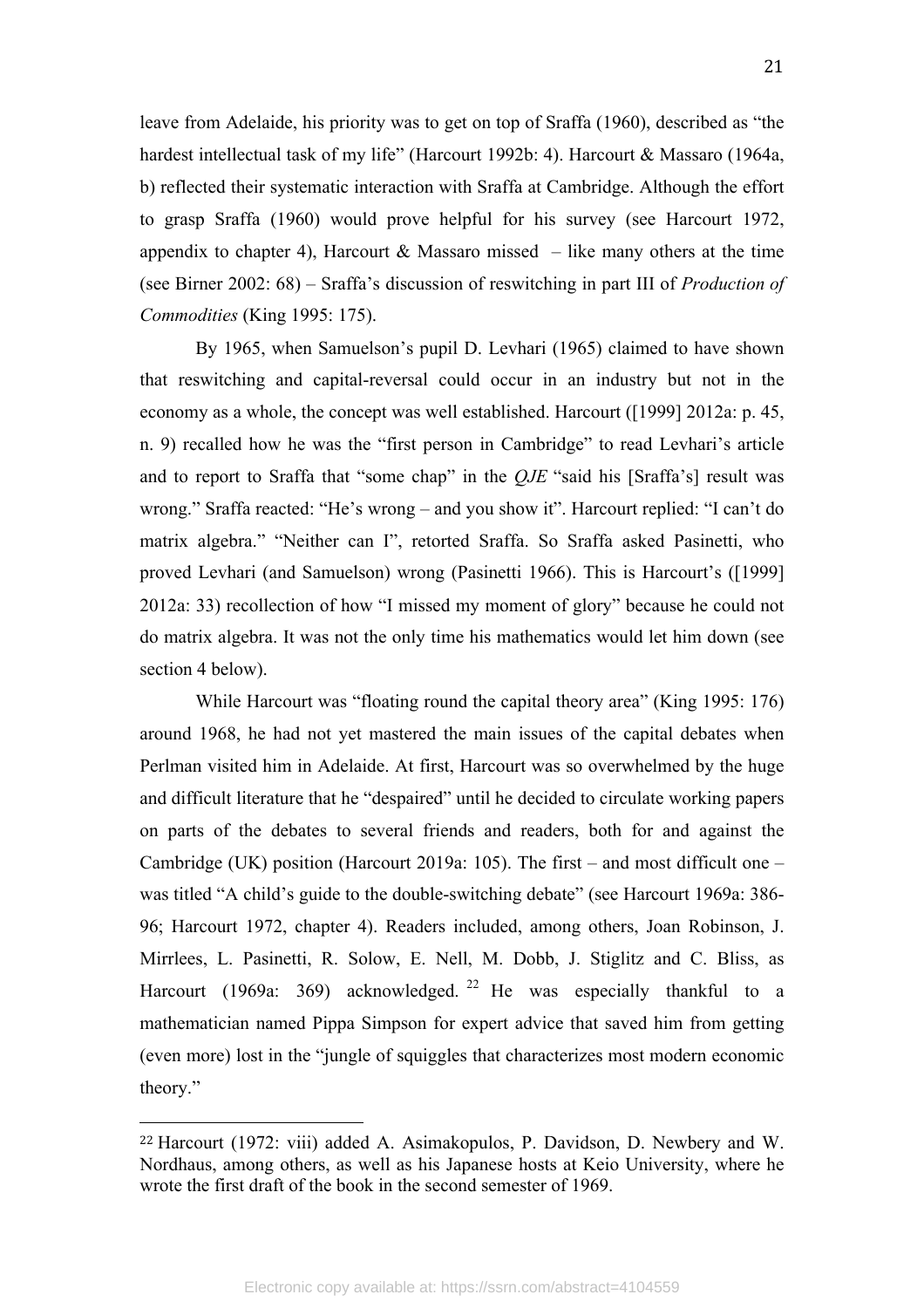leave from Adelaide, his priority was to get on top of Sraffa (1960), described as "the hardest intellectual task of my life" (Harcourt 1992b: 4). Harcourt & Massaro (1964a, b) reflected their systematic interaction with Sraffa at Cambridge. Although the effort to grasp Sraffa (1960) would prove helpful for his survey (see Harcourt 1972, appendix to chapter 4), Harcourt & Massaro missed – like many others at the time (see Birner 2002: 68) – Sraffa's discussion of reswitching in part III of *Production of Commodities* (King 1995: 175).

By 1965, when Samuelson's pupil D. Levhari (1965) claimed to have shown that reswitching and capital-reversal could occur in an industry but not in the economy as a whole, the concept was well established. Harcourt ([1999] 2012a: p. 45, n. 9) recalled how he was the "first person in Cambridge" to read Levhari's article and to report to Sraffa that "some chap" in the *QJE* "said his [Sraffa's] result was wrong." Sraffa reacted: "He's wrong – and you show it". Harcourt replied: "I can't do matrix algebra." "Neither can I", retorted Sraffa. So Sraffa asked Pasinetti, who proved Levhari (and Samuelson) wrong (Pasinetti 1966). This is Harcourt's ([1999] 2012a: 33) recollection of how "I missed my moment of glory" because he could not do matrix algebra. It was not the only time his mathematics would let him down (see section 4 below).

While Harcourt was "floating round the capital theory area" (King 1995: 176) around 1968, he had not yet mastered the main issues of the capital debates when Perlman visited him in Adelaide. At first, Harcourt was so overwhelmed by the huge and difficult literature that he "despaired" until he decided to circulate working papers on parts of the debates to several friends and readers, both for and against the Cambridge (UK) position (Harcourt 2019a: 105). The first – and most difficult one – was titled "A child's guide to the double-switching debate" (see Harcourt 1969a: 386- 96; Harcourt 1972, chapter 4). Readers included, among others, Joan Robinson, J. Mirrlees, L. Pasinetti, R. Solow, E. Nell, M. Dobb, J. Stiglitz and C. Bliss, as Harcourt (1969a: 369) acknowledged. <sup>22</sup> He was especially thankful to a mathematician named Pippa Simpson for expert advice that saved him from getting (even more) lost in the "jungle of squiggles that characterizes most modern economic theory."

<sup>22</sup> Harcourt (1972: viii) added A. Asimakopulos, P. Davidson, D. Newbery and W. Nordhaus, among others, as well as his Japanese hosts at Keio University, where he wrote the first draft of the book in the second semester of 1969.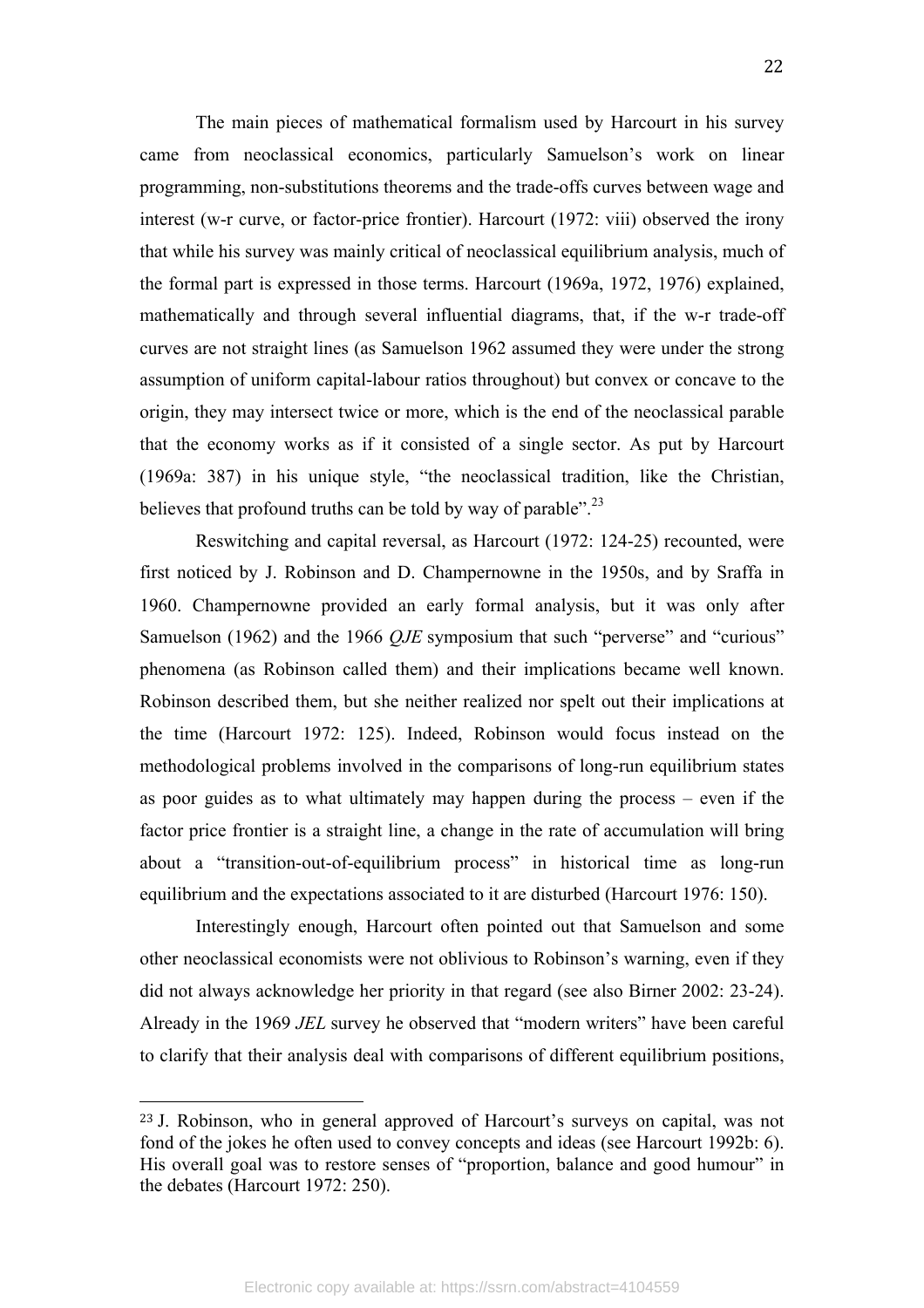The main pieces of mathematical formalism used by Harcourt in his survey came from neoclassical economics, particularly Samuelson's work on linear programming, non-substitutions theorems and the trade-offs curves between wage and interest (w-r curve, or factor-price frontier). Harcourt (1972: viii) observed the irony that while his survey was mainly critical of neoclassical equilibrium analysis, much of the formal part is expressed in those terms. Harcourt (1969a, 1972, 1976) explained, mathematically and through several influential diagrams, that, if the w-r trade-off curves are not straight lines (as Samuelson 1962 assumed they were under the strong assumption of uniform capital-labour ratios throughout) but convex or concave to the origin, they may intersect twice or more, which is the end of the neoclassical parable that the economy works as if it consisted of a single sector. As put by Harcourt (1969a: 387) in his unique style, "the neoclassical tradition, like the Christian, believes that profound truths can be told by way of parable". $^{23}$ 

Reswitching and capital reversal, as Harcourt (1972: 124-25) recounted, were first noticed by J. Robinson and D. Champernowne in the 1950s, and by Sraffa in 1960. Champernowne provided an early formal analysis, but it was only after Samuelson (1962) and the 1966 *QJE* symposium that such "perverse" and "curious" phenomena (as Robinson called them) and their implications became well known. Robinson described them, but she neither realized nor spelt out their implications at the time (Harcourt 1972: 125). Indeed, Robinson would focus instead on the methodological problems involved in the comparisons of long-run equilibrium states as poor guides as to what ultimately may happen during the process – even if the factor price frontier is a straight line, a change in the rate of accumulation will bring about a "transition-out-of-equilibrium process" in historical time as long-run equilibrium and the expectations associated to it are disturbed (Harcourt 1976: 150).

Interestingly enough, Harcourt often pointed out that Samuelson and some other neoclassical economists were not oblivious to Robinson's warning, even if they did not always acknowledge her priority in that regard (see also Birner 2002: 23-24). Already in the 1969 *JEL* survey he observed that "modern writers" have been careful to clarify that their analysis deal with comparisons of different equilibrium positions,

<sup>23</sup> J. Robinson, who in general approved of Harcourt's surveys on capital, was not fond of the jokes he often used to convey concepts and ideas (see Harcourt 1992b: 6). His overall goal was to restore senses of "proportion, balance and good humour" in the debates (Harcourt 1972: 250).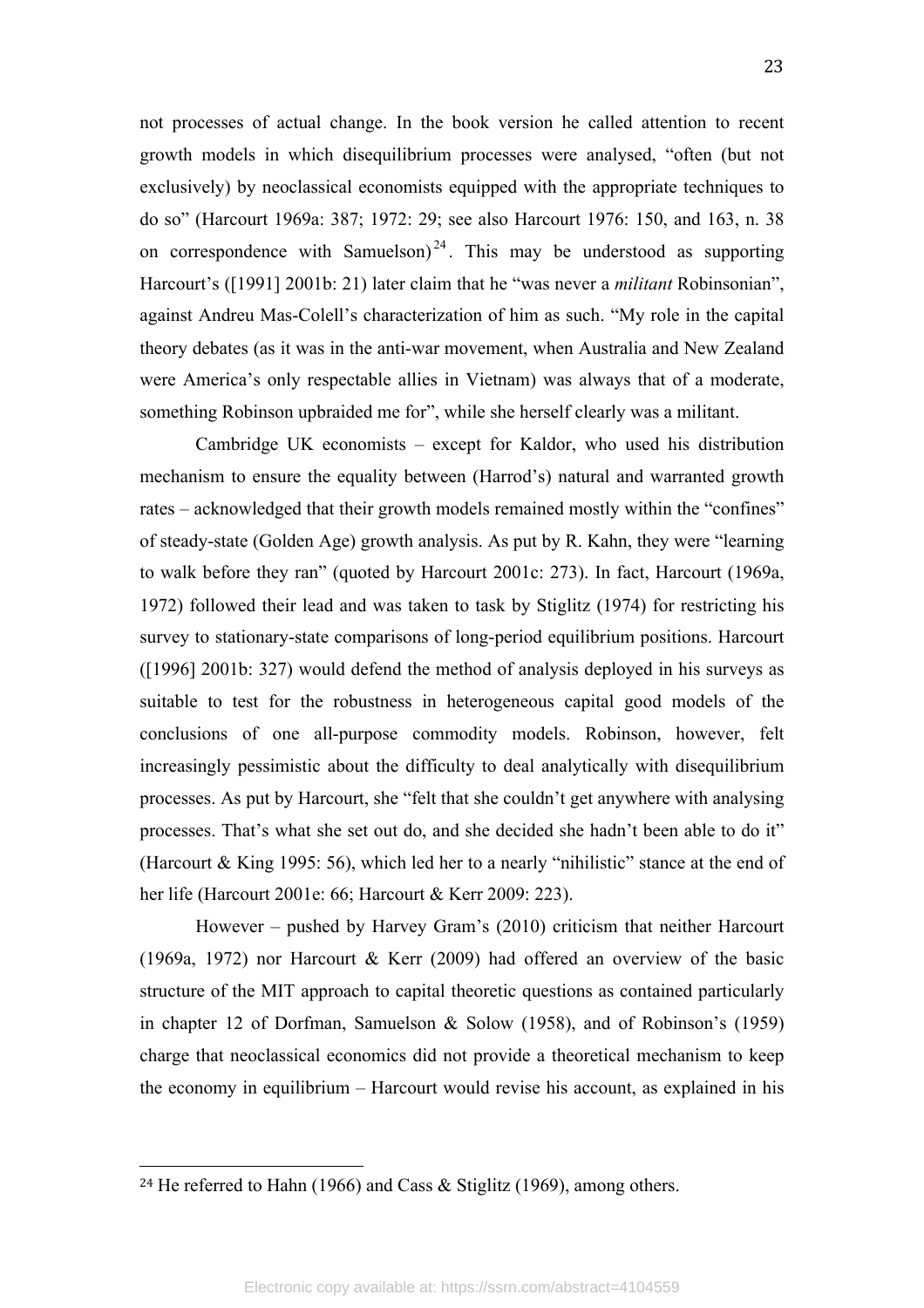not processes of actual change. In the book version he called attention to recent growth models in which disequilibrium processes were analysed, "often (but not exclusively) by neoclassical economists equipped with the appropriate techniques to do so" (Harcourt 1969a: 387; 1972: 29; see also Harcourt 1976: 150, and 163, n. 38 on correspondence with Samuelson)<sup>24</sup>. This may be understood as supporting Harcourt's ([1991] 2001b: 21) later claim that he "was never a *militant* Robinsonian", against Andreu Mas-Colell's characterization of him as such. "My role in the capital theory debates (as it was in the anti-war movement, when Australia and New Zealand were America's only respectable allies in Vietnam) was always that of a moderate, something Robinson upbraided me for", while she herself clearly was a militant.

Cambridge UK economists – except for Kaldor, who used his distribution mechanism to ensure the equality between (Harrod's) natural and warranted growth rates – acknowledged that their growth models remained mostly within the "confines" of steady-state (Golden Age) growth analysis. As put by R. Kahn, they were "learning to walk before they ran" (quoted by Harcourt 2001c: 273). In fact, Harcourt (1969a, 1972) followed their lead and was taken to task by Stiglitz (1974) for restricting his survey to stationary-state comparisons of long-period equilibrium positions. Harcourt ([1996] 2001b: 327) would defend the method of analysis deployed in his surveys as suitable to test for the robustness in heterogeneous capital good models of the conclusions of one all-purpose commodity models. Robinson, however, felt increasingly pessimistic about the difficulty to deal analytically with disequilibrium processes. As put by Harcourt, she "felt that she couldn't get anywhere with analysing processes. That's what she set out do, and she decided she hadn't been able to do it" (Harcourt & King 1995: 56), which led her to a nearly "nihilistic" stance at the end of her life (Harcourt 2001e: 66; Harcourt & Kerr 2009: 223).

However – pushed by Harvey Gram's (2010) criticism that neither Harcourt (1969a, 1972) nor Harcourt & Kerr (2009) had offered an overview of the basic structure of the MIT approach to capital theoretic questions as contained particularly in chapter 12 of Dorfman, Samuelson & Solow (1958), and of Robinson's (1959) charge that neoclassical economics did not provide a theoretical mechanism to keep the economy in equilibrium – Harcourt would revise his account, as explained in his

<sup>&</sup>lt;sup>24</sup> He referred to Hahn (1966) and Cass & Stiglitz (1969), among others.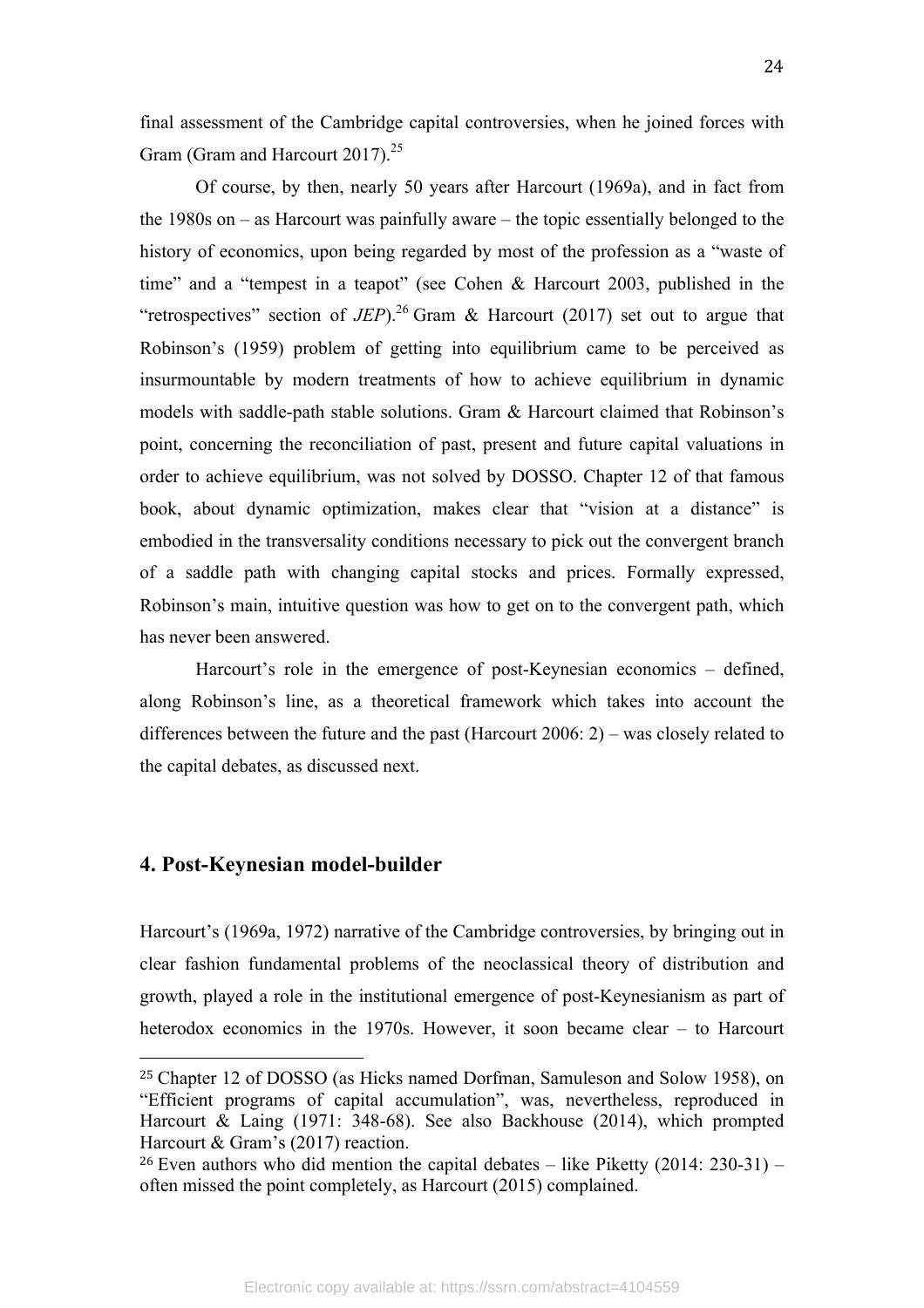final assessment of the Cambridge capital controversies, when he joined forces with Gram (Gram and Harcourt 2017).<sup>25</sup>

Of course, by then, nearly 50 years after Harcourt (1969a), and in fact from the 1980s on – as Harcourt was painfully aware – the topic essentially belonged to the history of economics, upon being regarded by most of the profession as a "waste of time" and a "tempest in a teapot" (see Cohen & Harcourt 2003, published in the "retrospectives" section of *JEP*).<sup>26</sup> Gram & Harcourt (2017) set out to argue that Robinson's (1959) problem of getting into equilibrium came to be perceived as insurmountable by modern treatments of how to achieve equilibrium in dynamic models with saddle-path stable solutions. Gram & Harcourt claimed that Robinson's point, concerning the reconciliation of past, present and future capital valuations in order to achieve equilibrium, was not solved by DOSSO. Chapter 12 of that famous book, about dynamic optimization, makes clear that "vision at a distance" is embodied in the transversality conditions necessary to pick out the convergent branch of a saddle path with changing capital stocks and prices. Formally expressed, Robinson's main, intuitive question was how to get on to the convergent path, which has never been answered.

Harcourt's role in the emergence of post-Keynesian economics – defined, along Robinson's line, as a theoretical framework which takes into account the differences between the future and the past (Harcourt 2006: 2) – was closely related to the capital debates, as discussed next.

#### **4. Post-Keynesian model-builder**

 

Harcourt's (1969a, 1972) narrative of the Cambridge controversies, by bringing out in clear fashion fundamental problems of the neoclassical theory of distribution and growth, played a role in the institutional emergence of post-Keynesianism as part of heterodox economics in the 1970s. However, it soon became clear – to Harcourt

<sup>25</sup> Chapter 12 of DOSSO (as Hicks named Dorfman, Samuleson and Solow 1958), on "Efficient programs of capital accumulation", was, nevertheless, reproduced in Harcourt & Laing (1971: 348-68). See also Backhouse (2014), which prompted Harcourt & Gram's (2017) reaction.

<sup>&</sup>lt;sup>26</sup> Even authors who did mention the capital debates – like Piketty  $(2014: 230-31)$  – often missed the point completely, as Harcourt (2015) complained.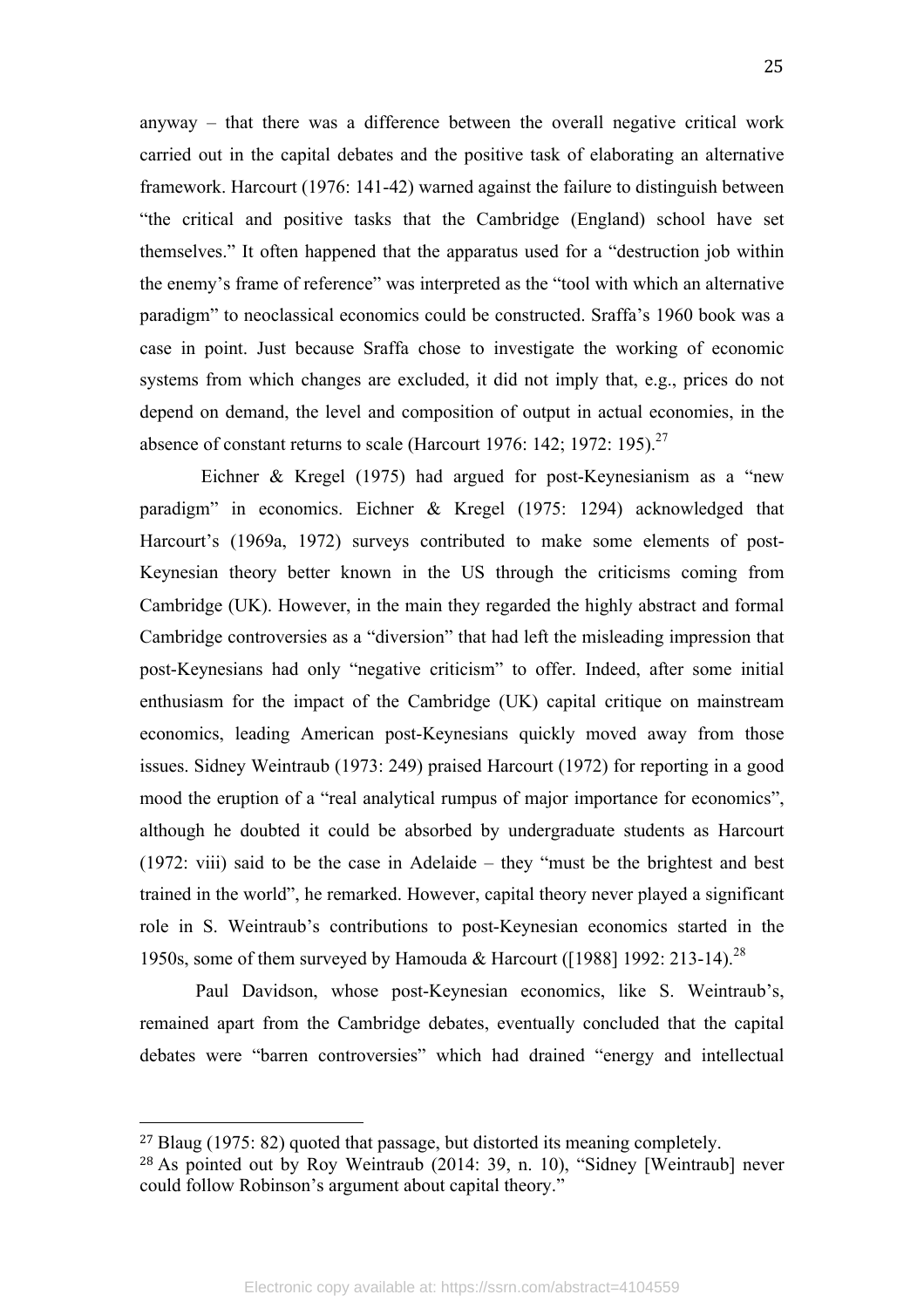anyway – that there was a difference between the overall negative critical work carried out in the capital debates and the positive task of elaborating an alternative framework. Harcourt (1976: 141-42) warned against the failure to distinguish between "the critical and positive tasks that the Cambridge (England) school have set themselves." It often happened that the apparatus used for a "destruction job within the enemy's frame of reference" was interpreted as the "tool with which an alternative paradigm" to neoclassical economics could be constructed. Sraffa's 1960 book was a case in point. Just because Sraffa chose to investigate the working of economic systems from which changes are excluded, it did not imply that, e.g., prices do not depend on demand, the level and composition of output in actual economies, in the absence of constant returns to scale (Harcourt 1976: 142; 1972: 195).<sup>27</sup>

Eichner & Kregel (1975) had argued for post-Keynesianism as a "new paradigm" in economics. Eichner & Kregel (1975: 1294) acknowledged that Harcourt's (1969a, 1972) surveys contributed to make some elements of post-Keynesian theory better known in the US through the criticisms coming from Cambridge (UK). However, in the main they regarded the highly abstract and formal Cambridge controversies as a "diversion" that had left the misleading impression that post-Keynesians had only "negative criticism" to offer. Indeed, after some initial enthusiasm for the impact of the Cambridge (UK) capital critique on mainstream economics, leading American post-Keynesians quickly moved away from those issues. Sidney Weintraub (1973: 249) praised Harcourt (1972) for reporting in a good mood the eruption of a "real analytical rumpus of major importance for economics", although he doubted it could be absorbed by undergraduate students as Harcourt (1972: viii) said to be the case in Adelaide – they "must be the brightest and best trained in the world", he remarked. However, capital theory never played a significant role in S. Weintraub's contributions to post-Keynesian economics started in the 1950s, some of them surveyed by Hamouda & Harcourt ([1988] 1992: 213-14).<sup>28</sup>

Paul Davidson, whose post-Keynesian economics, like S. Weintraub's, remained apart from the Cambridge debates, eventually concluded that the capital debates were "barren controversies" which had drained "energy and intellectual

<sup>27</sup> Blaug (1975: 82) quoted that passage, but distorted its meaning completely. <sup>28</sup> As pointed out by Roy Weintraub (2014: 39, n. 10), "Sidney [Weintraub] never could follow Robinson's argument about capital theory."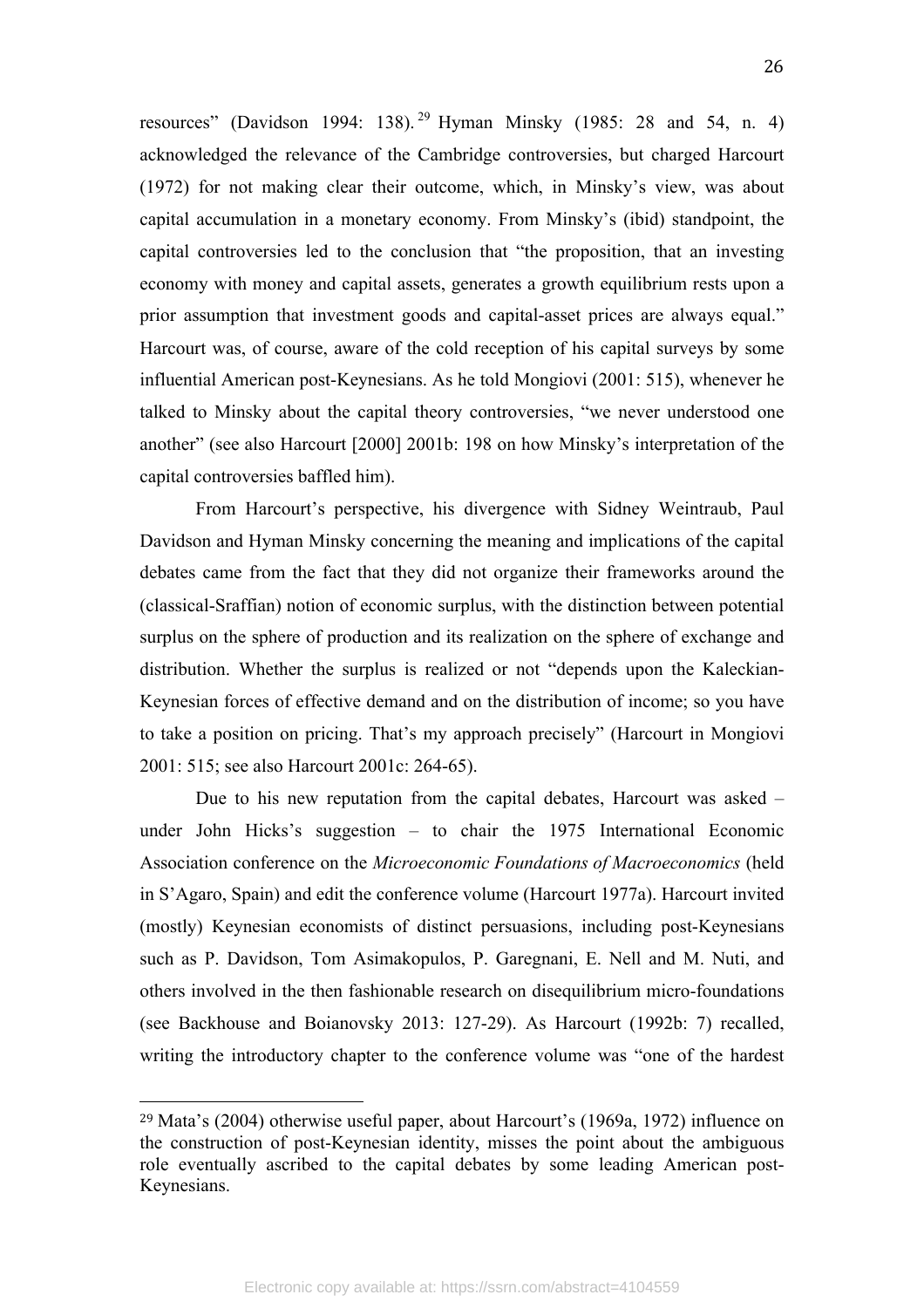resources" (Davidson 1994: 138). <sup>29</sup> Hyman Minsky (1985: 28 and 54, n. 4) acknowledged the relevance of the Cambridge controversies, but charged Harcourt (1972) for not making clear their outcome, which, in Minsky's view, was about capital accumulation in a monetary economy. From Minsky's (ibid) standpoint, the capital controversies led to the conclusion that "the proposition, that an investing economy with money and capital assets, generates a growth equilibrium rests upon a prior assumption that investment goods and capital-asset prices are always equal." Harcourt was, of course, aware of the cold reception of his capital surveys by some influential American post-Keynesians. As he told Mongiovi (2001: 515), whenever he talked to Minsky about the capital theory controversies, "we never understood one another" (see also Harcourt [2000] 2001b: 198 on how Minsky's interpretation of the capital controversies baffled him).

From Harcourt's perspective, his divergence with Sidney Weintraub, Paul Davidson and Hyman Minsky concerning the meaning and implications of the capital debates came from the fact that they did not organize their frameworks around the (classical-Sraffian) notion of economic surplus, with the distinction between potential surplus on the sphere of production and its realization on the sphere of exchange and distribution. Whether the surplus is realized or not "depends upon the Kaleckian-Keynesian forces of effective demand and on the distribution of income; so you have to take a position on pricing. That's my approach precisely" (Harcourt in Mongiovi 2001: 515; see also Harcourt 2001c: 264-65).

Due to his new reputation from the capital debates, Harcourt was asked – under John Hicks's suggestion – to chair the 1975 International Economic Association conference on the *Microeconomic Foundations of Macroeconomics* (held in S'Agaro, Spain) and edit the conference volume (Harcourt 1977a). Harcourt invited (mostly) Keynesian economists of distinct persuasions, including post-Keynesians such as P. Davidson, Tom Asimakopulos, P. Garegnani, E. Nell and M. Nuti, and others involved in the then fashionable research on disequilibrium micro-foundations (see Backhouse and Boianovsky 2013: 127-29). As Harcourt (1992b: 7) recalled, writing the introductory chapter to the conference volume was "one of the hardest

<sup>29</sup> Mata's (2004) otherwise useful paper, about Harcourt's (1969a, 1972) influence on the construction of post-Keynesian identity, misses the point about the ambiguous role eventually ascribed to the capital debates by some leading American post-Keynesians.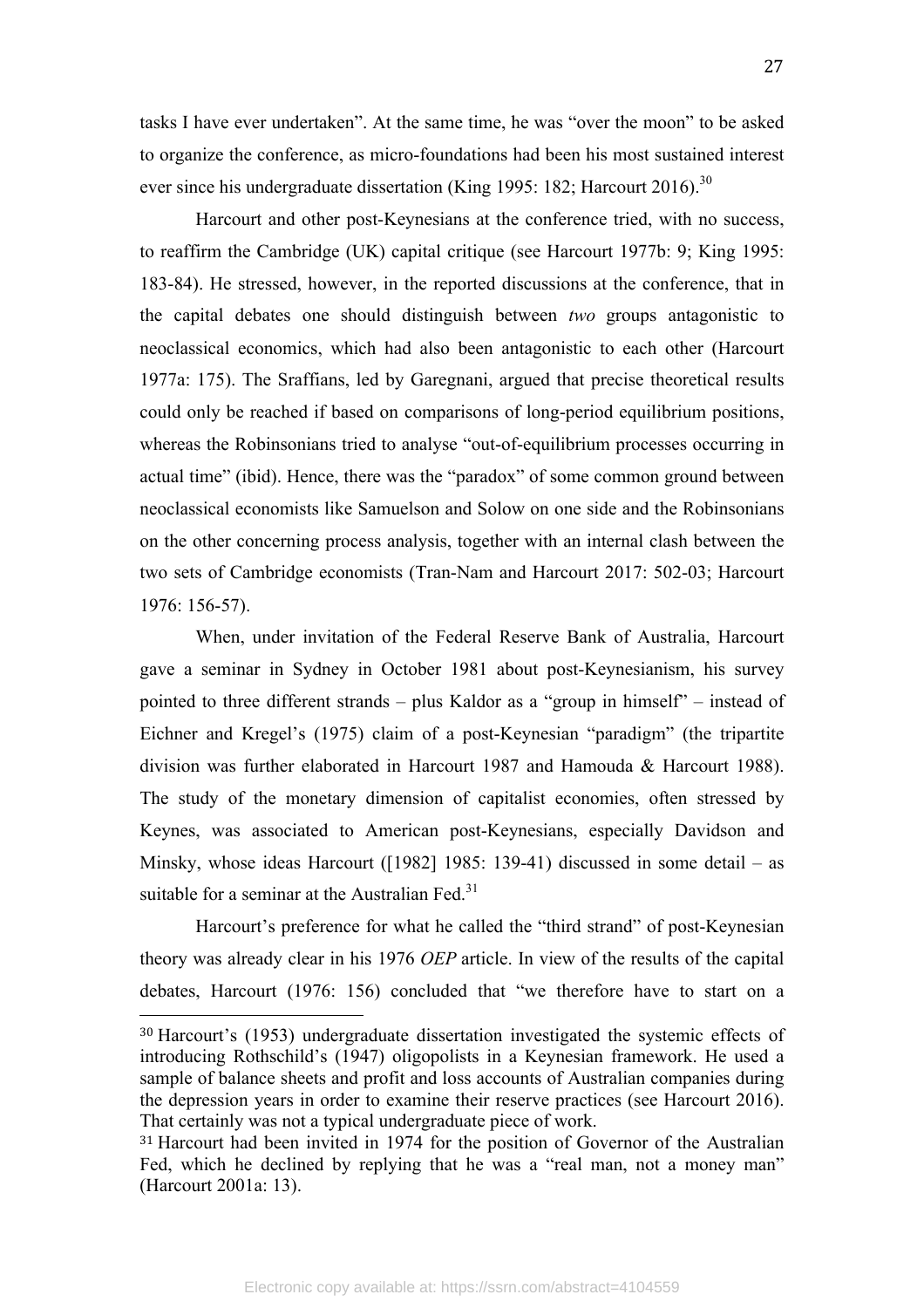tasks I have ever undertaken". At the same time, he was "over the moon" to be asked to organize the conference, as micro-foundations had been his most sustained interest ever since his undergraduate dissertation (King 1995: 182; Harcourt 2016).<sup>30</sup>

Harcourt and other post-Keynesians at the conference tried, with no success, to reaffirm the Cambridge (UK) capital critique (see Harcourt 1977b: 9; King 1995: 183-84). He stressed, however, in the reported discussions at the conference, that in the capital debates one should distinguish between *two* groups antagonistic to neoclassical economics, which had also been antagonistic to each other (Harcourt 1977a: 175). The Sraffians, led by Garegnani, argued that precise theoretical results could only be reached if based on comparisons of long-period equilibrium positions, whereas the Robinsonians tried to analyse "out-of-equilibrium processes occurring in actual time" (ibid). Hence, there was the "paradox" of some common ground between neoclassical economists like Samuelson and Solow on one side and the Robinsonians on the other concerning process analysis, together with an internal clash between the two sets of Cambridge economists (Tran-Nam and Harcourt 2017: 502-03; Harcourt 1976: 156-57).

When, under invitation of the Federal Reserve Bank of Australia, Harcourt gave a seminar in Sydney in October 1981 about post-Keynesianism, his survey pointed to three different strands – plus Kaldor as a "group in himself" – instead of Eichner and Kregel's (1975) claim of a post-Keynesian "paradigm" (the tripartite division was further elaborated in Harcourt 1987 and Hamouda & Harcourt 1988). The study of the monetary dimension of capitalist economies, often stressed by Keynes, was associated to American post-Keynesians, especially Davidson and Minsky, whose ideas Harcourt ( $[1982]$  1985: 139-41) discussed in some detail – as suitable for a seminar at the Australian Fed $^{31}$ 

Harcourt's preference for what he called the "third strand" of post-Keynesian theory was already clear in his 1976 *OEP* article. In view of the results of the capital debates, Harcourt (1976: 156) concluded that "we therefore have to start on a

<sup>30</sup> Harcourt's (1953) undergraduate dissertation investigated the systemic effects of introducing Rothschild's (1947) oligopolists in a Keynesian framework. He used a sample of balance sheets and profit and loss accounts of Australian companies during the depression years in order to examine their reserve practices (see Harcourt 2016). That certainly was not a typical undergraduate piece of work.

<sup>31</sup> Harcourt had been invited in 1974 for the position of Governor of the Australian Fed, which he declined by replying that he was a "real man, not a money man" (Harcourt 2001a: 13).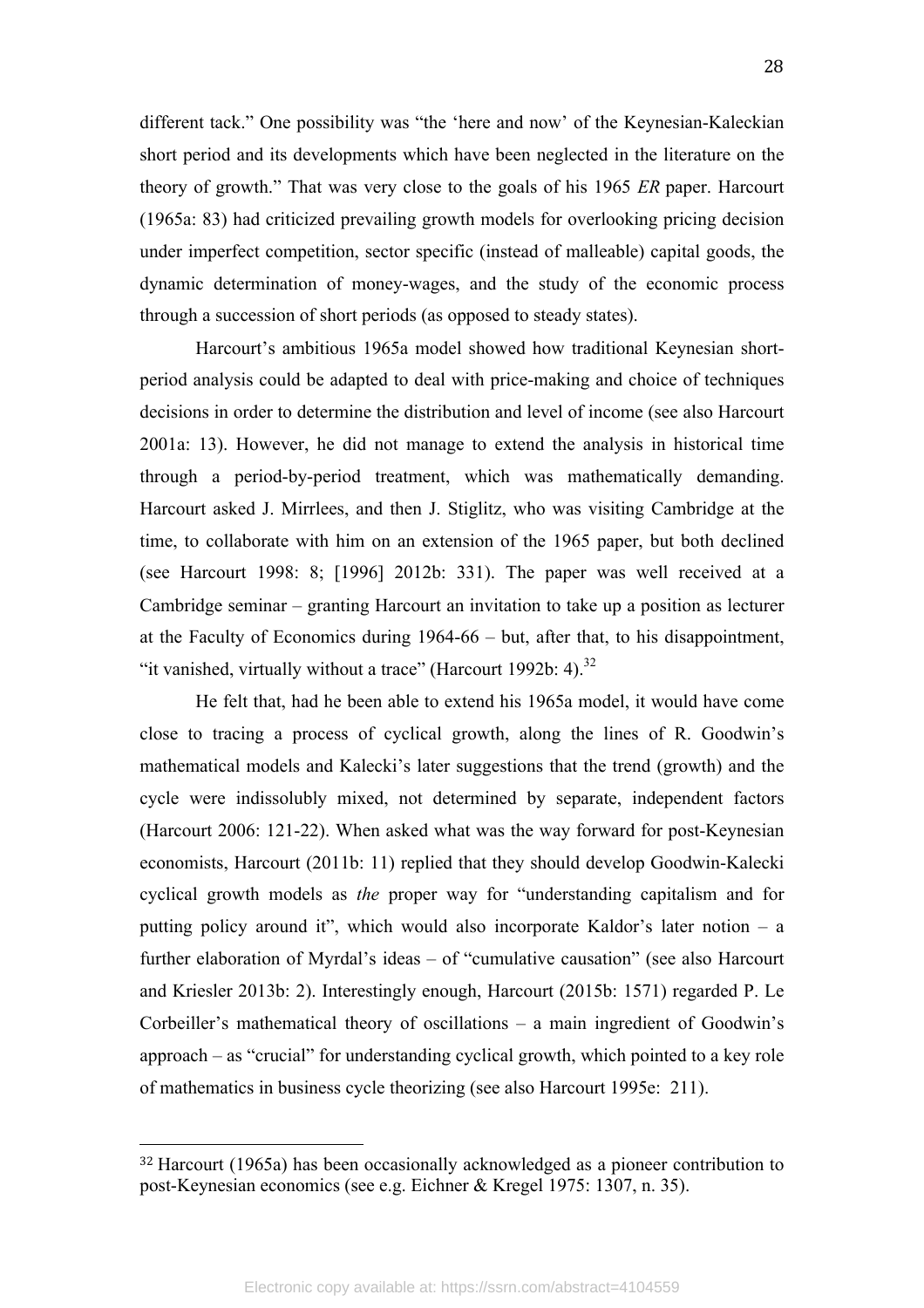different tack." One possibility was "the 'here and now' of the Keynesian-Kaleckian short period and its developments which have been neglected in the literature on the theory of growth." That was very close to the goals of his 1965 *ER* paper. Harcourt (1965a: 83) had criticized prevailing growth models for overlooking pricing decision under imperfect competition, sector specific (instead of malleable) capital goods, the dynamic determination of money-wages, and the study of the economic process through a succession of short periods (as opposed to steady states).

Harcourt's ambitious 1965a model showed how traditional Keynesian shortperiod analysis could be adapted to deal with price-making and choice of techniques decisions in order to determine the distribution and level of income (see also Harcourt 2001a: 13). However, he did not manage to extend the analysis in historical time through a period-by-period treatment, which was mathematically demanding. Harcourt asked J. Mirrlees, and then J. Stiglitz, who was visiting Cambridge at the time, to collaborate with him on an extension of the 1965 paper, but both declined (see Harcourt 1998: 8; [1996] 2012b: 331). The paper was well received at a Cambridge seminar – granting Harcourt an invitation to take up a position as lecturer at the Faculty of Economics during 1964-66 – but, after that, to his disappointment, "it vanished, virtually without a trace" (Harcourt 1992b: 4). $^{32}$ 

He felt that, had he been able to extend his 1965a model, it would have come close to tracing a process of cyclical growth, along the lines of R. Goodwin's mathematical models and Kalecki's later suggestions that the trend (growth) and the cycle were indissolubly mixed, not determined by separate, independent factors (Harcourt 2006: 121-22). When asked what was the way forward for post-Keynesian economists, Harcourt (2011b: 11) replied that they should develop Goodwin-Kalecki cyclical growth models as *the* proper way for "understanding capitalism and for putting policy around it", which would also incorporate Kaldor's later notion – a further elaboration of Myrdal's ideas – of "cumulative causation" (see also Harcourt and Kriesler 2013b: 2). Interestingly enough, Harcourt (2015b: 1571) regarded P. Le Corbeiller's mathematical theory of oscillations – a main ingredient of Goodwin's approach – as "crucial" for understanding cyclical growth, which pointed to a key role of mathematics in business cycle theorizing (see also Harcourt 1995e: 211).

<sup>32</sup> Harcourt (1965a) has been occasionally acknowledged as a pioneer contribution to post-Keynesian economics (see e.g. Eichner & Kregel 1975: 1307, n. 35).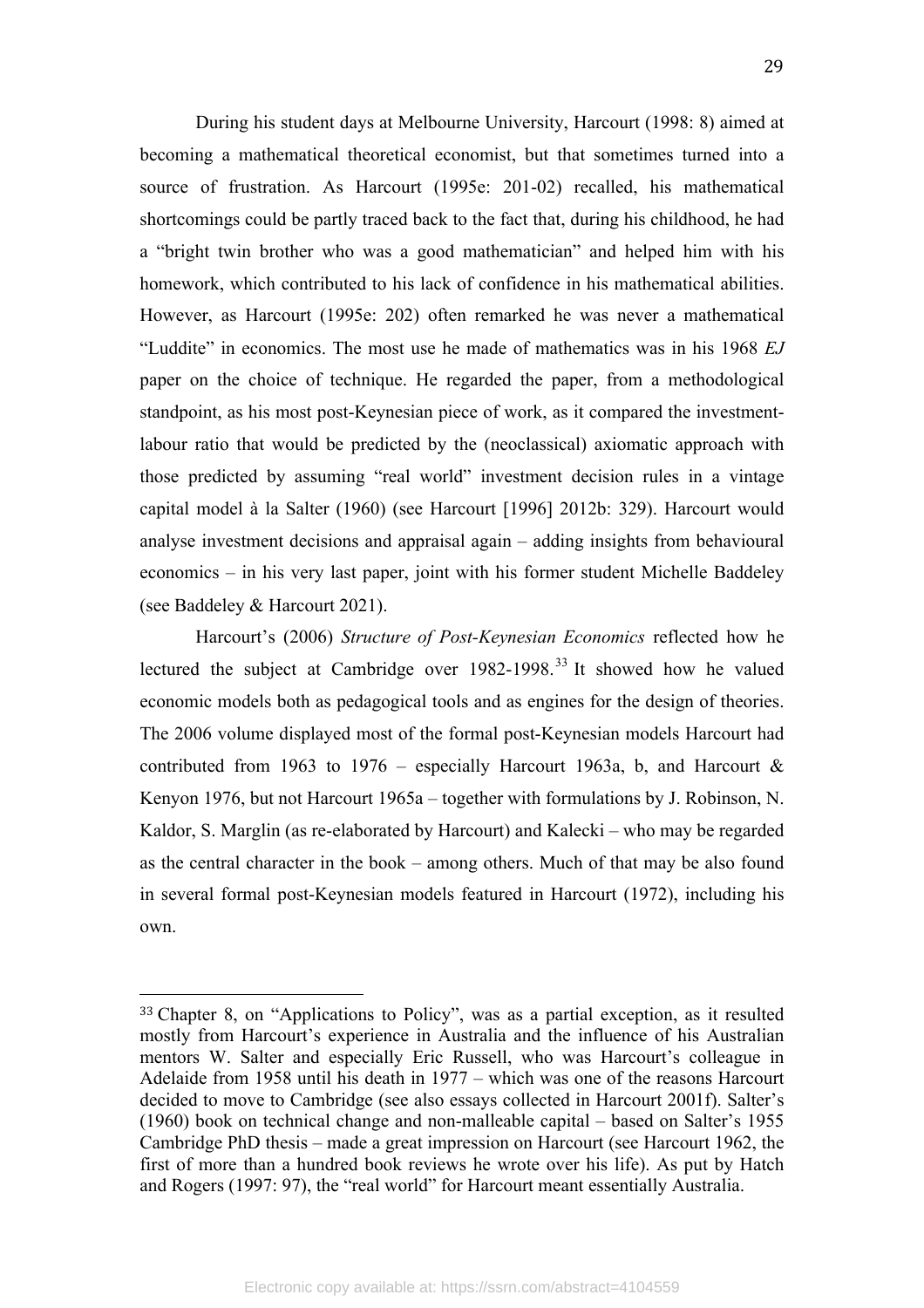During his student days at Melbourne University, Harcourt (1998: 8) aimed at becoming a mathematical theoretical economist, but that sometimes turned into a source of frustration. As Harcourt (1995e: 201-02) recalled, his mathematical shortcomings could be partly traced back to the fact that, during his childhood, he had a "bright twin brother who was a good mathematician" and helped him with his homework, which contributed to his lack of confidence in his mathematical abilities. However, as Harcourt (1995e: 202) often remarked he was never a mathematical "Luddite" in economics. The most use he made of mathematics was in his 1968 *EJ*  paper on the choice of technique. He regarded the paper, from a methodological standpoint, as his most post-Keynesian piece of work, as it compared the investmentlabour ratio that would be predicted by the (neoclassical) axiomatic approach with those predicted by assuming "real world" investment decision rules in a vintage capital model à la Salter (1960) (see Harcourt [1996] 2012b: 329). Harcourt would analyse investment decisions and appraisal again – adding insights from behavioural economics – in his very last paper, joint with his former student Michelle Baddeley (see Baddeley & Harcourt 2021).

Harcourt's (2006) *Structure of Post-Keynesian Economics* reflected how he lectured the subject at Cambridge over 1982-1998.<sup>33</sup> It showed how he valued economic models both as pedagogical tools and as engines for the design of theories. The 2006 volume displayed most of the formal post-Keynesian models Harcourt had contributed from 1963 to 1976 – especially Harcourt 1963a, b, and Harcourt  $\&$ Kenyon 1976, but not Harcourt 1965a – together with formulations by J. Robinson, N. Kaldor, S. Marglin (as re-elaborated by Harcourt) and Kalecki – who may be regarded as the central character in the book – among others. Much of that may be also found in several formal post-Keynesian models featured in Harcourt (1972), including his own.

<sup>33</sup> Chapter 8, on "Applications to Policy", was as a partial exception, as it resulted mostly from Harcourt's experience in Australia and the influence of his Australian mentors W. Salter and especially Eric Russell, who was Harcourt's colleague in Adelaide from 1958 until his death in 1977 – which was one of the reasons Harcourt decided to move to Cambridge (see also essays collected in Harcourt 2001f). Salter's (1960) book on technical change and non-malleable capital – based on Salter's 1955 Cambridge PhD thesis – made a great impression on Harcourt (see Harcourt 1962, the first of more than a hundred book reviews he wrote over his life). As put by Hatch and Rogers (1997: 97), the "real world" for Harcourt meant essentially Australia.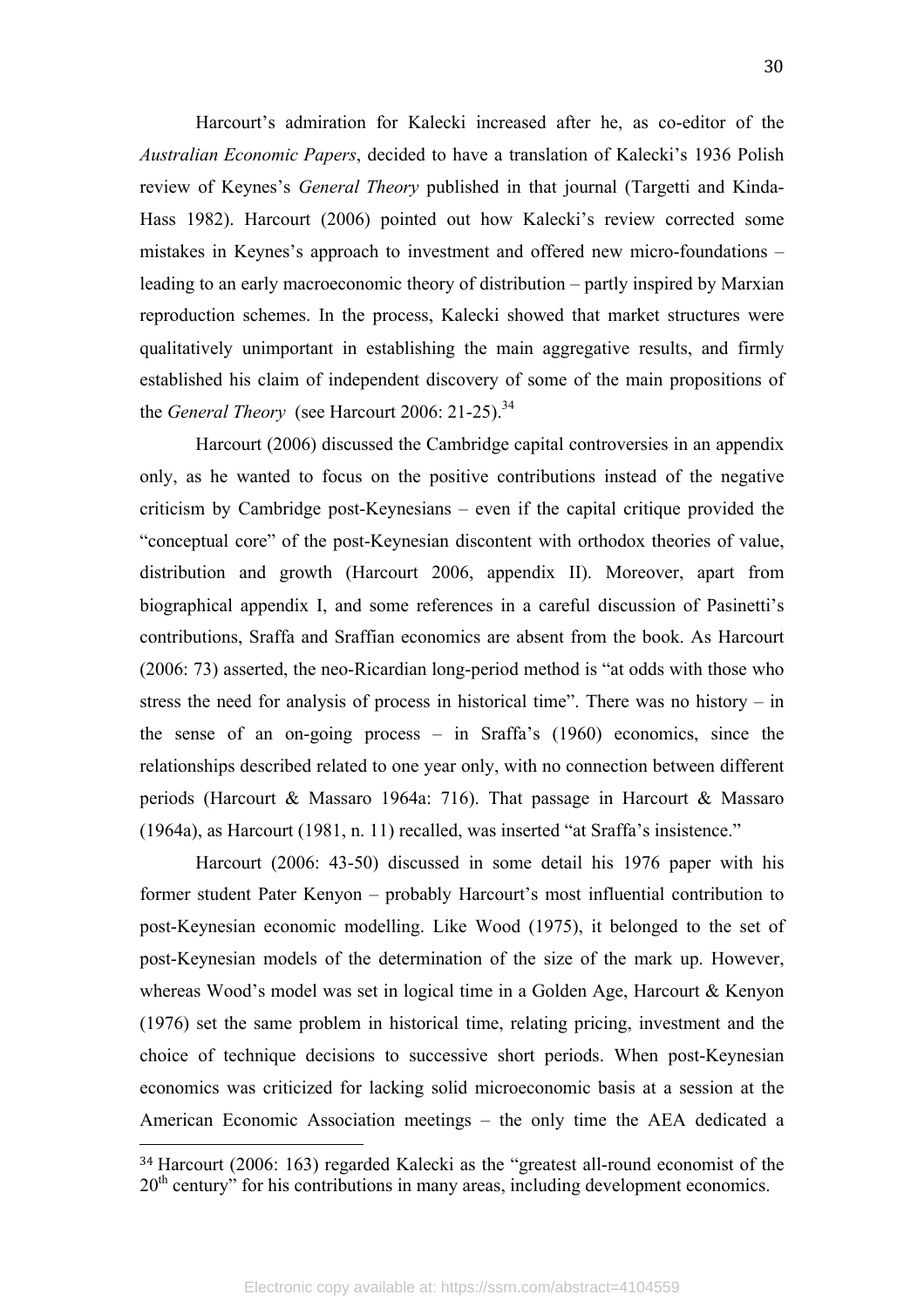Harcourt's admiration for Kalecki increased after he, as co-editor of the *Australian Economic Papers*, decided to have a translation of Kalecki's 1936 Polish review of Keynes's *General Theory* published in that journal (Targetti and Kinda-Hass 1982). Harcourt (2006) pointed out how Kalecki's review corrected some mistakes in Keynes's approach to investment and offered new micro-foundations – leading to an early macroeconomic theory of distribution – partly inspired by Marxian reproduction schemes. In the process, Kalecki showed that market structures were qualitatively unimportant in establishing the main aggregative results, and firmly established his claim of independent discovery of some of the main propositions of the *General Theory* (see Harcourt 2006: 21-25).<sup>34</sup>

Harcourt (2006) discussed the Cambridge capital controversies in an appendix only, as he wanted to focus on the positive contributions instead of the negative criticism by Cambridge post-Keynesians – even if the capital critique provided the "conceptual core" of the post-Keynesian discontent with orthodox theories of value, distribution and growth (Harcourt 2006, appendix II). Moreover, apart from biographical appendix I, and some references in a careful discussion of Pasinetti's contributions, Sraffa and Sraffian economics are absent from the book. As Harcourt (2006: 73) asserted, the neo-Ricardian long-period method is "at odds with those who stress the need for analysis of process in historical time". There was no history – in the sense of an on-going process – in Sraffa's (1960) economics, since the relationships described related to one year only, with no connection between different periods (Harcourt & Massaro 1964a: 716). That passage in Harcourt & Massaro (1964a), as Harcourt (1981, n. 11) recalled, was inserted "at Sraffa's insistence."

Harcourt (2006: 43-50) discussed in some detail his 1976 paper with his former student Pater Kenyon – probably Harcourt's most influential contribution to post-Keynesian economic modelling. Like Wood (1975), it belonged to the set of post-Keynesian models of the determination of the size of the mark up. However, whereas Wood's model was set in logical time in a Golden Age, Harcourt & Kenyon (1976) set the same problem in historical time, relating pricing, investment and the choice of technique decisions to successive short periods. When post-Keynesian economics was criticized for lacking solid microeconomic basis at a session at the American Economic Association meetings – the only time the AEA dedicated a

<sup>34</sup> Harcourt (2006: 163) regarded Kalecki as the "greatest all-round economist of the 20<sup>th</sup> century" for his contributions in many areas, including development economics.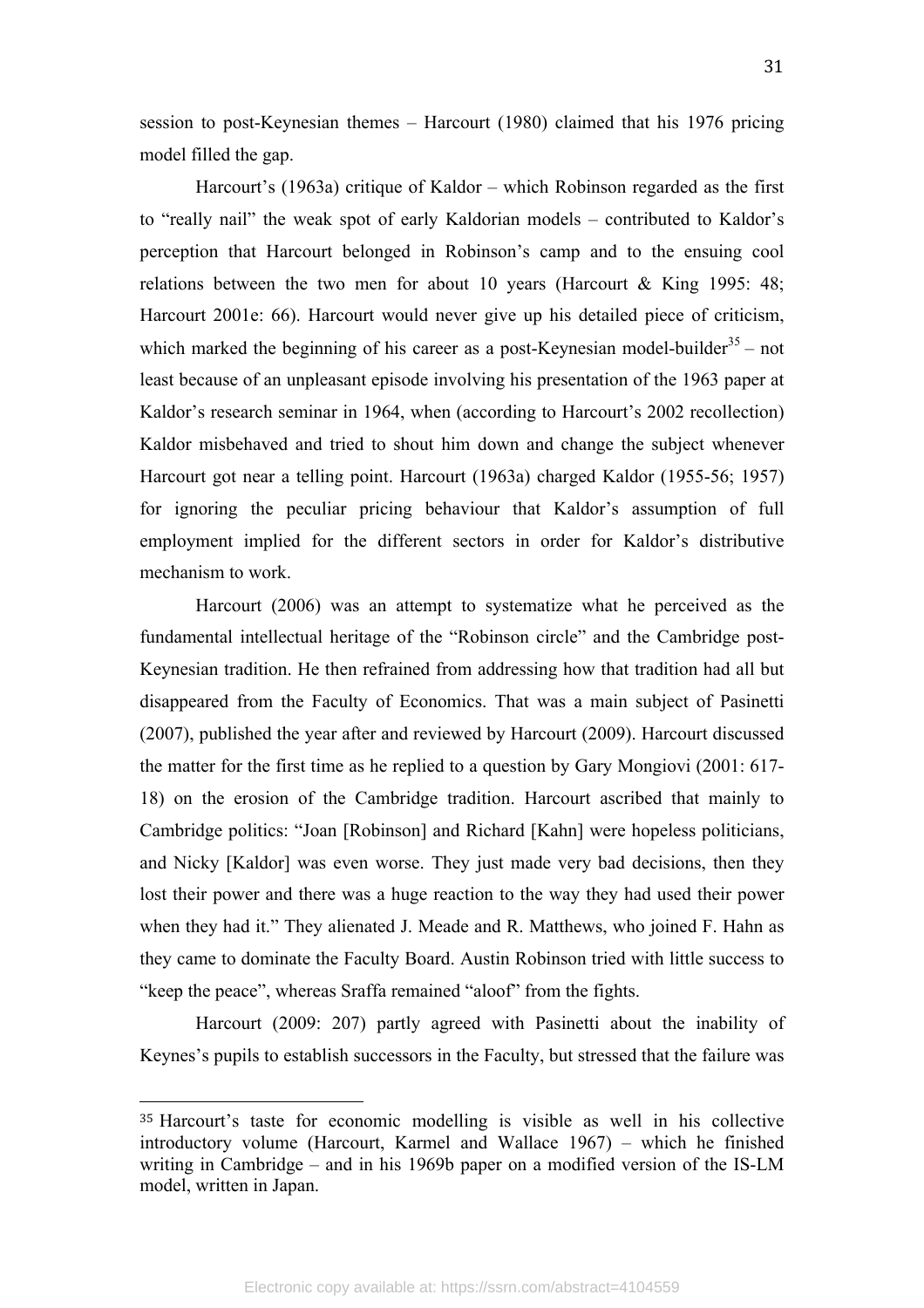session to post-Keynesian themes – Harcourt (1980) claimed that his 1976 pricing model filled the gap.

Harcourt's (1963a) critique of Kaldor – which Robinson regarded as the first to "really nail" the weak spot of early Kaldorian models – contributed to Kaldor's perception that Harcourt belonged in Robinson's camp and to the ensuing cool relations between the two men for about 10 years (Harcourt & King 1995: 48; Harcourt 2001e: 66). Harcourt would never give up his detailed piece of criticism, which marked the beginning of his career as a post-Keynesian model-builder<sup>35</sup> – not least because of an unpleasant episode involving his presentation of the 1963 paper at Kaldor's research seminar in 1964, when (according to Harcourt's 2002 recollection) Kaldor misbehaved and tried to shout him down and change the subject whenever Harcourt got near a telling point. Harcourt (1963a) charged Kaldor (1955-56; 1957) for ignoring the peculiar pricing behaviour that Kaldor's assumption of full employment implied for the different sectors in order for Kaldor's distributive mechanism to work.

Harcourt (2006) was an attempt to systematize what he perceived as the fundamental intellectual heritage of the "Robinson circle" and the Cambridge post-Keynesian tradition. He then refrained from addressing how that tradition had all but disappeared from the Faculty of Economics. That was a main subject of Pasinetti (2007), published the year after and reviewed by Harcourt (2009). Harcourt discussed the matter for the first time as he replied to a question by Gary Mongiovi (2001: 617- 18) on the erosion of the Cambridge tradition. Harcourt ascribed that mainly to Cambridge politics: "Joan [Robinson] and Richard [Kahn] were hopeless politicians, and Nicky [Kaldor] was even worse. They just made very bad decisions, then they lost their power and there was a huge reaction to the way they had used their power when they had it." They alienated J. Meade and R. Matthews, who joined F. Hahn as they came to dominate the Faculty Board. Austin Robinson tried with little success to "keep the peace", whereas Sraffa remained "aloof" from the fights.

Harcourt (2009: 207) partly agreed with Pasinetti about the inability of Keynes's pupils to establish successors in the Faculty, but stressed that the failure was

<sup>35</sup> Harcourt's taste for economic modelling is visible as well in his collective introductory volume (Harcourt, Karmel and Wallace 1967) – which he finished writing in Cambridge – and in his 1969b paper on a modified version of the IS-LM model, written in Japan.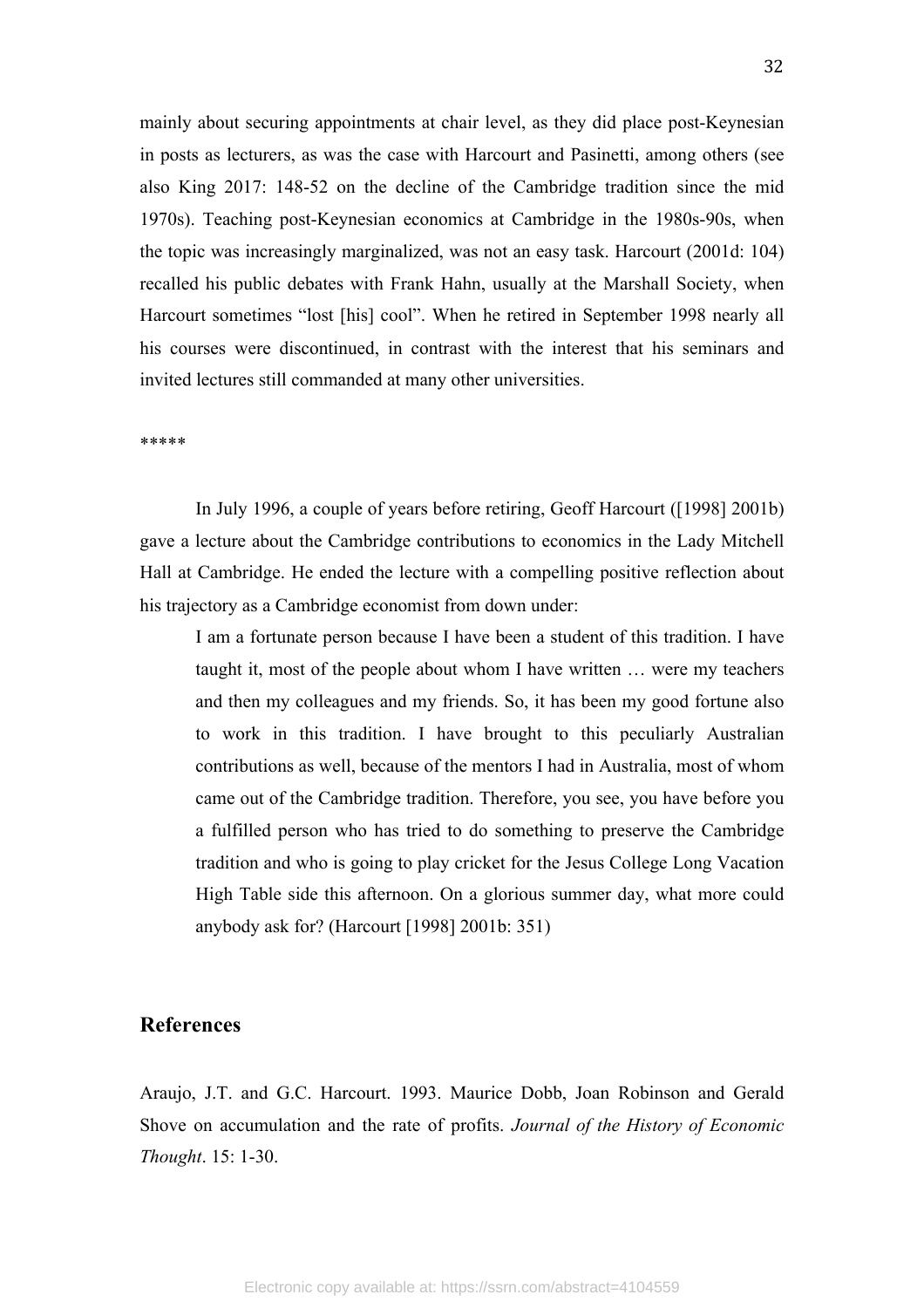mainly about securing appointments at chair level, as they did place post-Keynesian in posts as lecturers, as was the case with Harcourt and Pasinetti, among others (see also King 2017: 148-52 on the decline of the Cambridge tradition since the mid 1970s). Teaching post-Keynesian economics at Cambridge in the 1980s-90s, when the topic was increasingly marginalized, was not an easy task. Harcourt (2001d: 104) recalled his public debates with Frank Hahn, usually at the Marshall Society, when Harcourt sometimes "lost [his] cool". When he retired in September 1998 nearly all his courses were discontinued, in contrast with the interest that his seminars and invited lectures still commanded at many other universities.

\*\*\*\*\*

In July 1996, a couple of years before retiring, Geoff Harcourt ([1998] 2001b) gave a lecture about the Cambridge contributions to economics in the Lady Mitchell Hall at Cambridge. He ended the lecture with a compelling positive reflection about his trajectory as a Cambridge economist from down under:

I am a fortunate person because I have been a student of this tradition. I have taught it, most of the people about whom I have written … were my teachers and then my colleagues and my friends. So, it has been my good fortune also to work in this tradition. I have brought to this peculiarly Australian contributions as well, because of the mentors I had in Australia, most of whom came out of the Cambridge tradition. Therefore, you see, you have before you a fulfilled person who has tried to do something to preserve the Cambridge tradition and who is going to play cricket for the Jesus College Long Vacation High Table side this afternoon. On a glorious summer day, what more could anybody ask for? (Harcourt [1998] 2001b: 351)

### **References**

Araujo, J.T. and G.C. Harcourt. 1993. Maurice Dobb, Joan Robinson and Gerald Shove on accumulation and the rate of profits. *Journal of the History of Economic Thought*. 15: 1-30.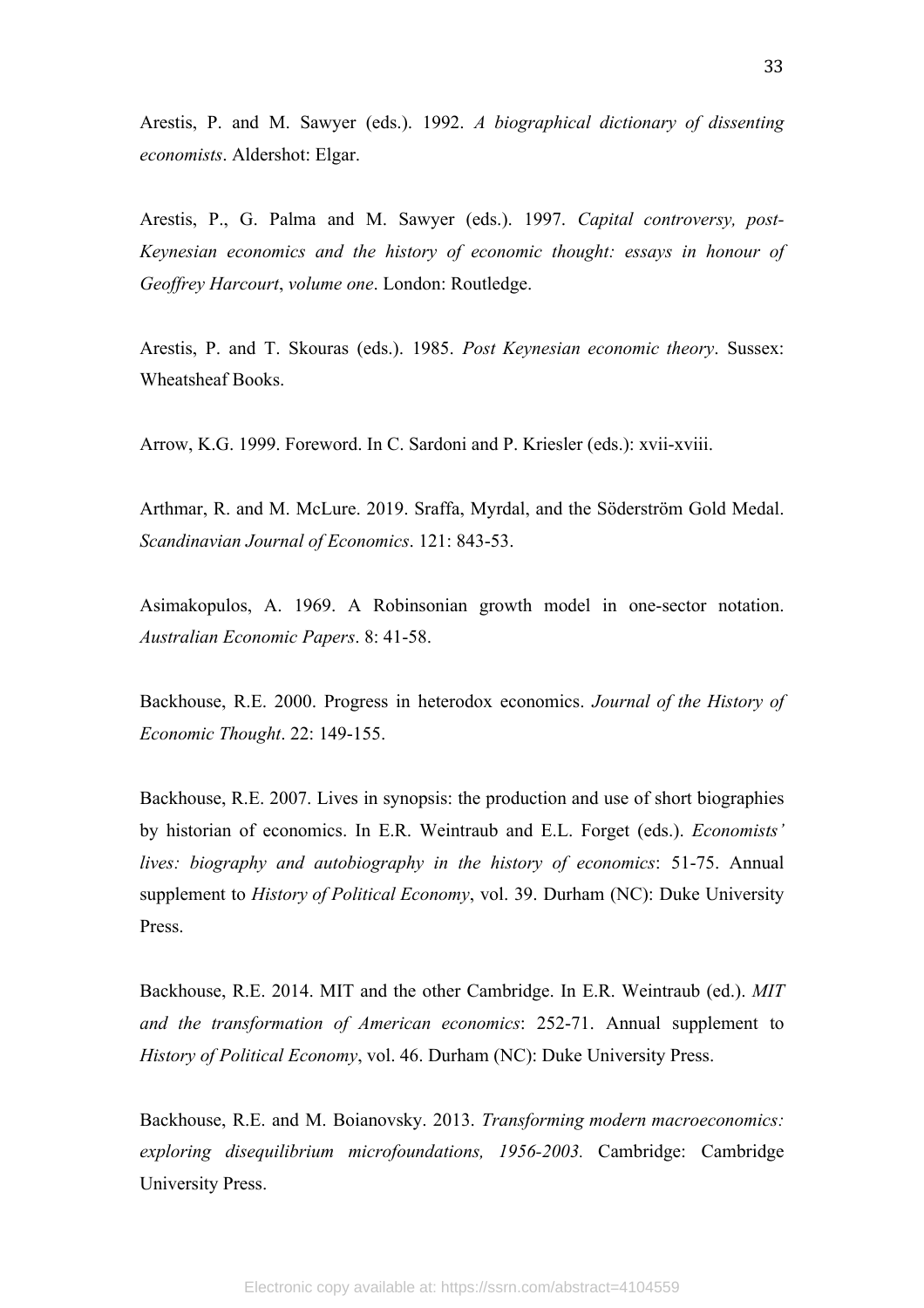Arestis, P. and M. Sawyer (eds.). 1992. *A biographical dictionary of dissenting economists*. Aldershot: Elgar.

Arestis, P., G. Palma and M. Sawyer (eds.). 1997. *Capital controversy, post-Keynesian economics and the history of economic thought: essays in honour of Geoffrey Harcourt*, *volume one*. London: Routledge.

Arestis, P. and T. Skouras (eds.). 1985. *Post Keynesian economic theory*. Sussex: Wheatsheaf Books.

Arrow, K.G. 1999. Foreword. In C. Sardoni and P. Kriesler (eds.): xvii-xviii.

Arthmar, R. and M. McLure. 2019. Sraffa, Myrdal, and the Söderström Gold Medal. *Scandinavian Journal of Economics*. 121: 843-53.

Asimakopulos, A. 1969. A Robinsonian growth model in one-sector notation. *Australian Economic Papers*. 8: 41-58.

Backhouse, R.E. 2000. Progress in heterodox economics. *Journal of the History of Economic Thought*. 22: 149-155.

Backhouse, R.E. 2007. Lives in synopsis: the production and use of short biographies by historian of economics. In E.R. Weintraub and E.L. Forget (eds.). *Economists' lives: biography and autobiography in the history of economics*: 51-75. Annual supplement to *History of Political Economy*, vol. 39. Durham (NC): Duke University Press.

Backhouse, R.E. 2014. MIT and the other Cambridge. In E.R. Weintraub (ed.). *MIT and the transformation of American economics*: 252-71. Annual supplement to *History of Political Economy*, vol. 46. Durham (NC): Duke University Press.

Backhouse, R.E. and M. Boianovsky. 2013. *Transforming modern macroeconomics: exploring disequilibrium microfoundations, 1956-2003.* Cambridge: Cambridge University Press.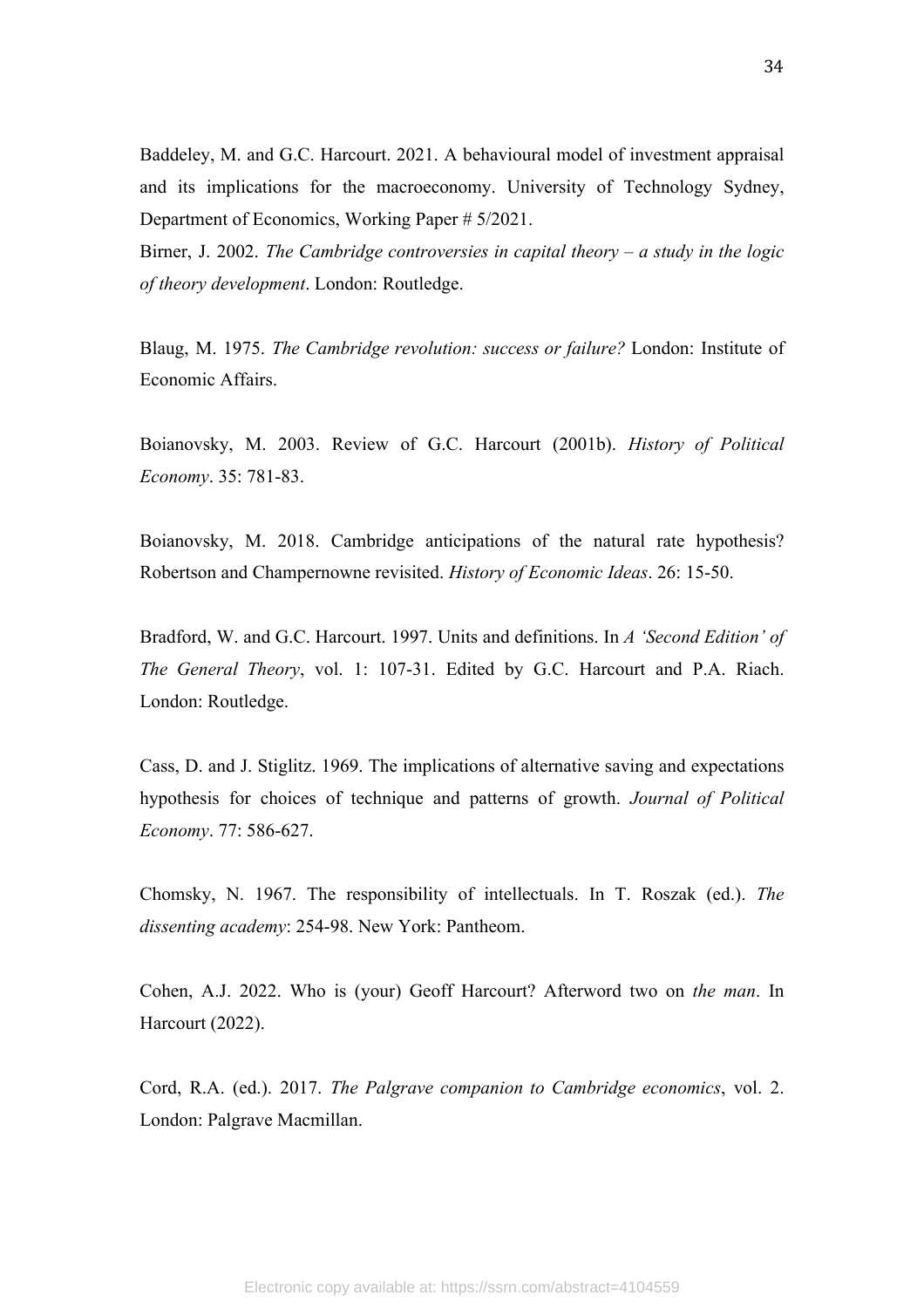Baddeley, M. and G.C. Harcourt. 2021. A behavioural model of investment appraisal and its implications for the macroeconomy. University of Technology Sydney, Department of Economics, Working Paper # 5/2021.

Birner, J. 2002. *The Cambridge controversies in capital theory – a study in the logic of theory development*. London: Routledge.

Blaug, M. 1975. *The Cambridge revolution: success or failure?* London: Institute of Economic Affairs.

Boianovsky, M. 2003. Review of G.C. Harcourt (2001b). *History of Political Economy*. 35: 781-83.

Boianovsky, M. 2018. Cambridge anticipations of the natural rate hypothesis? Robertson and Champernowne revisited. *History of Economic Ideas*. 26: 15-50.

Bradford, W. and G.C. Harcourt. 1997. Units and definitions. In *A 'Second Edition' of The General Theory*, vol. 1: 107-31. Edited by G.C. Harcourt and P.A. Riach. London: Routledge.

Cass, D. and J. Stiglitz. 1969. The implications of alternative saving and expectations hypothesis for choices of technique and patterns of growth. *Journal of Political Economy*. 77: 586-627.

Chomsky, N. 1967. The responsibility of intellectuals. In T. Roszak (ed.). *The dissenting academy*: 254-98. New York: Pantheom.

Cohen, A.J. 2022. Who is (your) Geoff Harcourt? Afterword two on *the man*. In Harcourt (2022).

Cord, R.A. (ed.). 2017. *The Palgrave companion to Cambridge economics*, vol. 2. London: Palgrave Macmillan.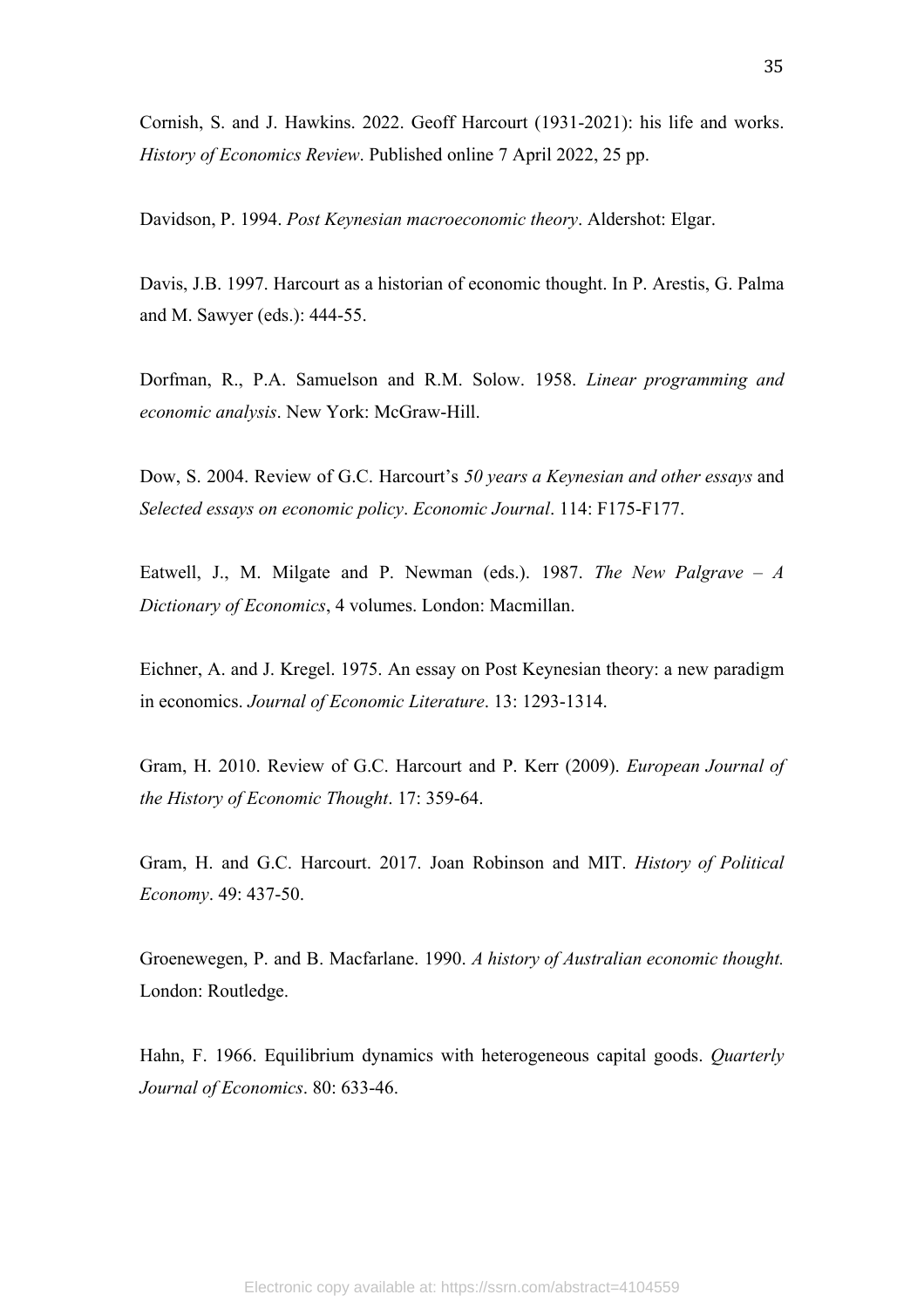Cornish, S. and J. Hawkins. 2022. Geoff Harcourt (1931-2021): his life and works. *History of Economics Review*. Published online 7 April 2022, 25 pp.

Davidson, P. 1994. *Post Keynesian macroeconomic theory*. Aldershot: Elgar.

Davis, J.B. 1997. Harcourt as a historian of economic thought. In P. Arestis, G. Palma and M. Sawyer (eds.): 444-55.

Dorfman, R., P.A. Samuelson and R.M. Solow. 1958. *Linear programming and economic analysis*. New York: McGraw-Hill.

Dow, S. 2004. Review of G.C. Harcourt's *50 years a Keynesian and other essays* and *Selected essays on economic policy*. *Economic Journal*. 114: F175-F177.

Eatwell, J., M. Milgate and P. Newman (eds.). 1987. *The New Palgrave – A Dictionary of Economics*, 4 volumes. London: Macmillan.

Eichner, A. and J. Kregel. 1975. An essay on Post Keynesian theory: a new paradigm in economics. *Journal of Economic Literature*. 13: 1293-1314.

Gram, H. 2010. Review of G.C. Harcourt and P. Kerr (2009). *European Journal of the History of Economic Thought*. 17: 359-64.

Gram, H. and G.C. Harcourt. 2017. Joan Robinson and MIT. *History of Political Economy*. 49: 437-50.

Groenewegen, P. and B. Macfarlane. 1990. *A history of Australian economic thought.*  London: Routledge.

Hahn, F. 1966. Equilibrium dynamics with heterogeneous capital goods. *Quarterly Journal of Economics*. 80: 633-46.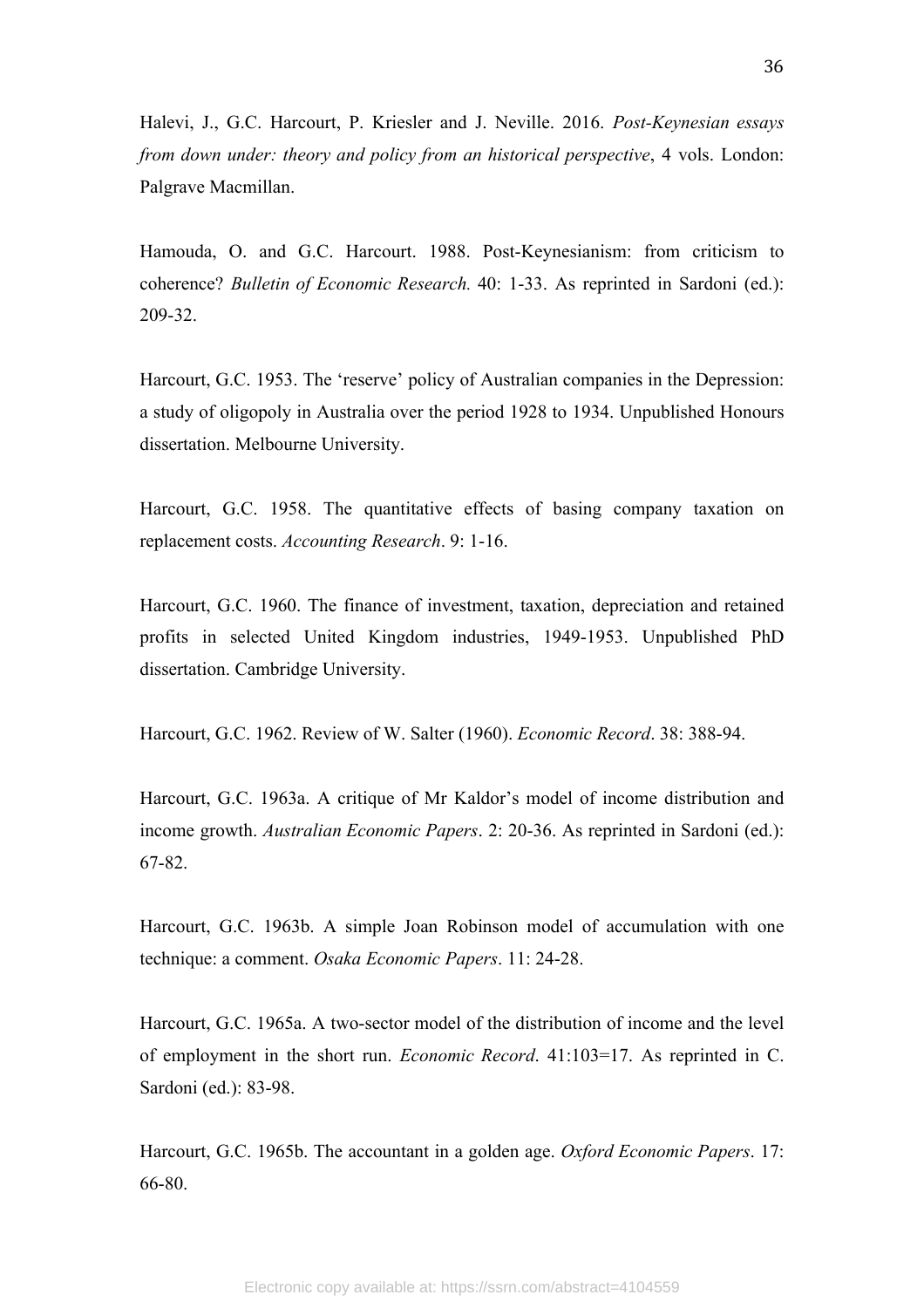Halevi, J., G.C. Harcourt, P. Kriesler and J. Neville. 2016. *Post-Keynesian essays from down under: theory and policy from an historical perspective*, 4 vols. London: Palgrave Macmillan.

Hamouda, O. and G.C. Harcourt. 1988. Post-Keynesianism: from criticism to coherence? *Bulletin of Economic Research.* 40: 1-33. As reprinted in Sardoni (ed.): 209-32.

Harcourt, G.C. 1953. The 'reserve' policy of Australian companies in the Depression: a study of oligopoly in Australia over the period 1928 to 1934. Unpublished Honours dissertation. Melbourne University.

Harcourt, G.C. 1958. The quantitative effects of basing company taxation on replacement costs. *Accounting Research*. 9: 1-16.

Harcourt, G.C. 1960. The finance of investment, taxation, depreciation and retained profits in selected United Kingdom industries, 1949-1953. Unpublished PhD dissertation. Cambridge University.

Harcourt, G.C. 1962. Review of W. Salter (1960). *Economic Record*. 38: 388-94.

Harcourt, G.C. 1963a. A critique of Mr Kaldor's model of income distribution and income growth. *Australian Economic Papers*. 2: 20-36. As reprinted in Sardoni (ed.): 67-82.

Harcourt, G.C. 1963b. A simple Joan Robinson model of accumulation with one technique: a comment. *Osaka Economic Papers*. 11: 24-28.

Harcourt, G.C. 1965a. A two-sector model of the distribution of income and the level of employment in the short run. *Economic Record*. 41:103=17. As reprinted in C. Sardoni (ed.): 83-98.

Harcourt, G.C. 1965b. The accountant in a golden age. *Oxford Economic Papers*. 17: 66-80.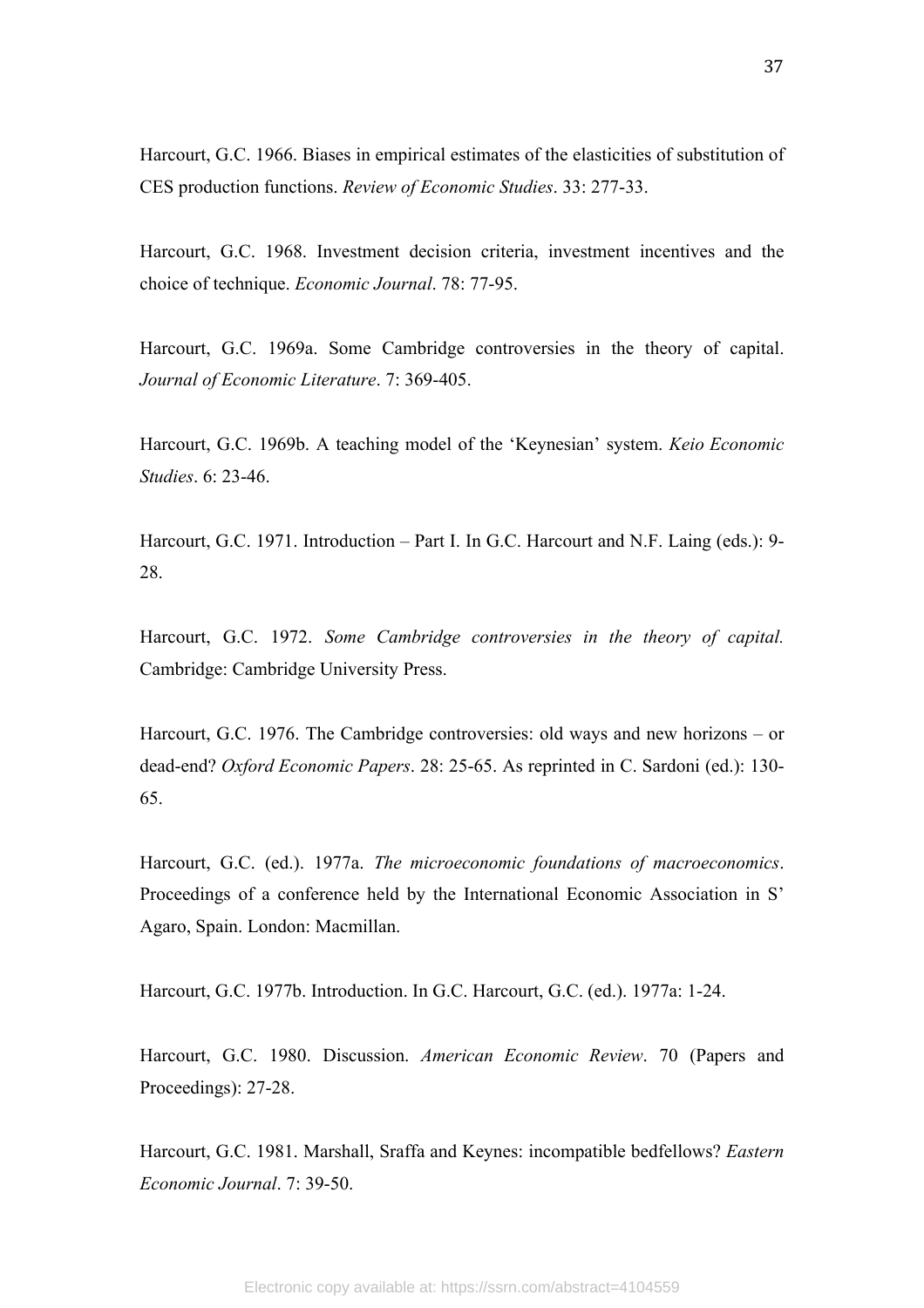Harcourt, G.C. 1966. Biases in empirical estimates of the elasticities of substitution of CES production functions. *Review of Economic Studies*. 33: 277-33.

Harcourt, G.C. 1968. Investment decision criteria, investment incentives and the choice of technique. *Economic Journal*. 78: 77-95.

Harcourt, G.C. 1969a. Some Cambridge controversies in the theory of capital. *Journal of Economic Literature*. 7: 369-405.

Harcourt, G.C. 1969b. A teaching model of the 'Keynesian' system. *Keio Economic Studies*. 6: 23-46.

Harcourt, G.C. 1971. Introduction – Part I. In G.C. Harcourt and N.F. Laing (eds.): 9- 28.

Harcourt, G.C. 1972. *Some Cambridge controversies in the theory of capital.* Cambridge: Cambridge University Press.

Harcourt, G.C. 1976. The Cambridge controversies: old ways and new horizons – or dead-end? *Oxford Economic Papers*. 28: 25-65. As reprinted in C. Sardoni (ed.): 130- 65.

Harcourt, G.C. (ed.). 1977a. *The microeconomic foundations of macroeconomics*. Proceedings of a conference held by the International Economic Association in S' Agaro, Spain. London: Macmillan.

Harcourt, G.C. 1977b. Introduction. In G.C. Harcourt, G.C. (ed.). 1977a: 1-24.

Harcourt, G.C. 1980. Discussion. *American Economic Review*. 70 (Papers and Proceedings): 27-28.

Harcourt, G.C. 1981. Marshall, Sraffa and Keynes: incompatible bedfellows? *Eastern Economic Journal*. 7: 39-50.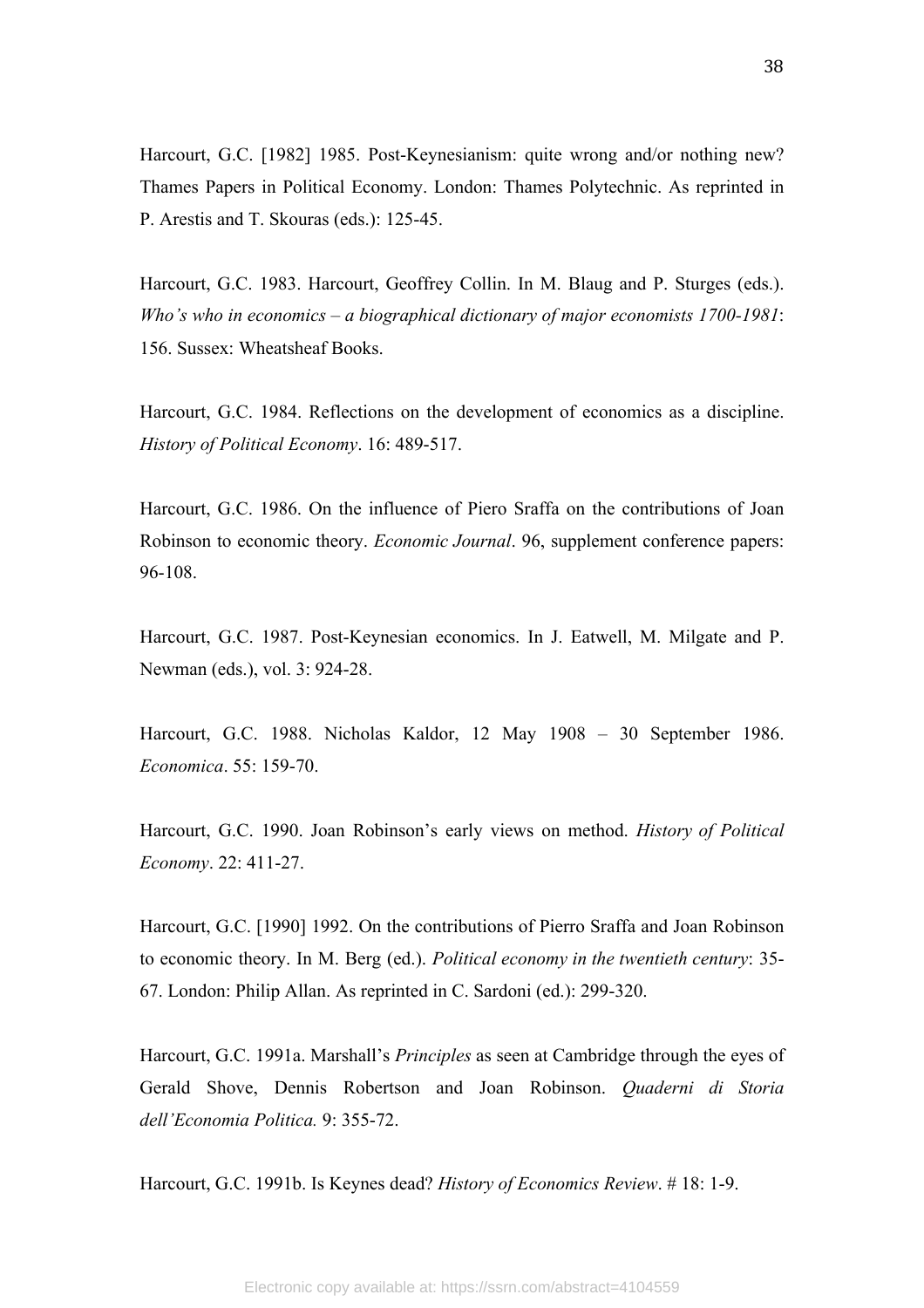Harcourt, G.C. [1982] 1985. Post-Keynesianism: quite wrong and/or nothing new? Thames Papers in Political Economy. London: Thames Polytechnic. As reprinted in P. Arestis and T. Skouras (eds.): 125-45.

Harcourt, G.C. 1983. Harcourt, Geoffrey Collin. In M. Blaug and P. Sturges (eds.). *Who's who in economics – a biographical dictionary of major economists 1700-1981*: 156. Sussex: Wheatsheaf Books.

Harcourt, G.C. 1984. Reflections on the development of economics as a discipline. *History of Political Economy*. 16: 489-517.

Harcourt, G.C. 1986. On the influence of Piero Sraffa on the contributions of Joan Robinson to economic theory. *Economic Journal*. 96, supplement conference papers: 96-108.

Harcourt, G.C. 1987. Post-Keynesian economics. In J. Eatwell, M. Milgate and P. Newman (eds.), vol. 3: 924-28.

Harcourt, G.C. 1988. Nicholas Kaldor, 12 May 1908 – 30 September 1986. *Economica*. 55: 159-70.

Harcourt, G.C. 1990. Joan Robinson's early views on method. *History of Political Economy*. 22: 411-27.

Harcourt, G.C. [1990] 1992. On the contributions of Pierro Sraffa and Joan Robinson to economic theory. In M. Berg (ed.). *Political economy in the twentieth century*: 35- 67. London: Philip Allan. As reprinted in C. Sardoni (ed.): 299-320.

Harcourt, G.C. 1991a. Marshall's *Principles* as seen at Cambridge through the eyes of Gerald Shove, Dennis Robertson and Joan Robinson. *Quaderni di Storia dell'Economia Politica.* 9: 355-72.

Harcourt, G.C. 1991b. Is Keynes dead? *History of Economics Review*. # 18: 1-9.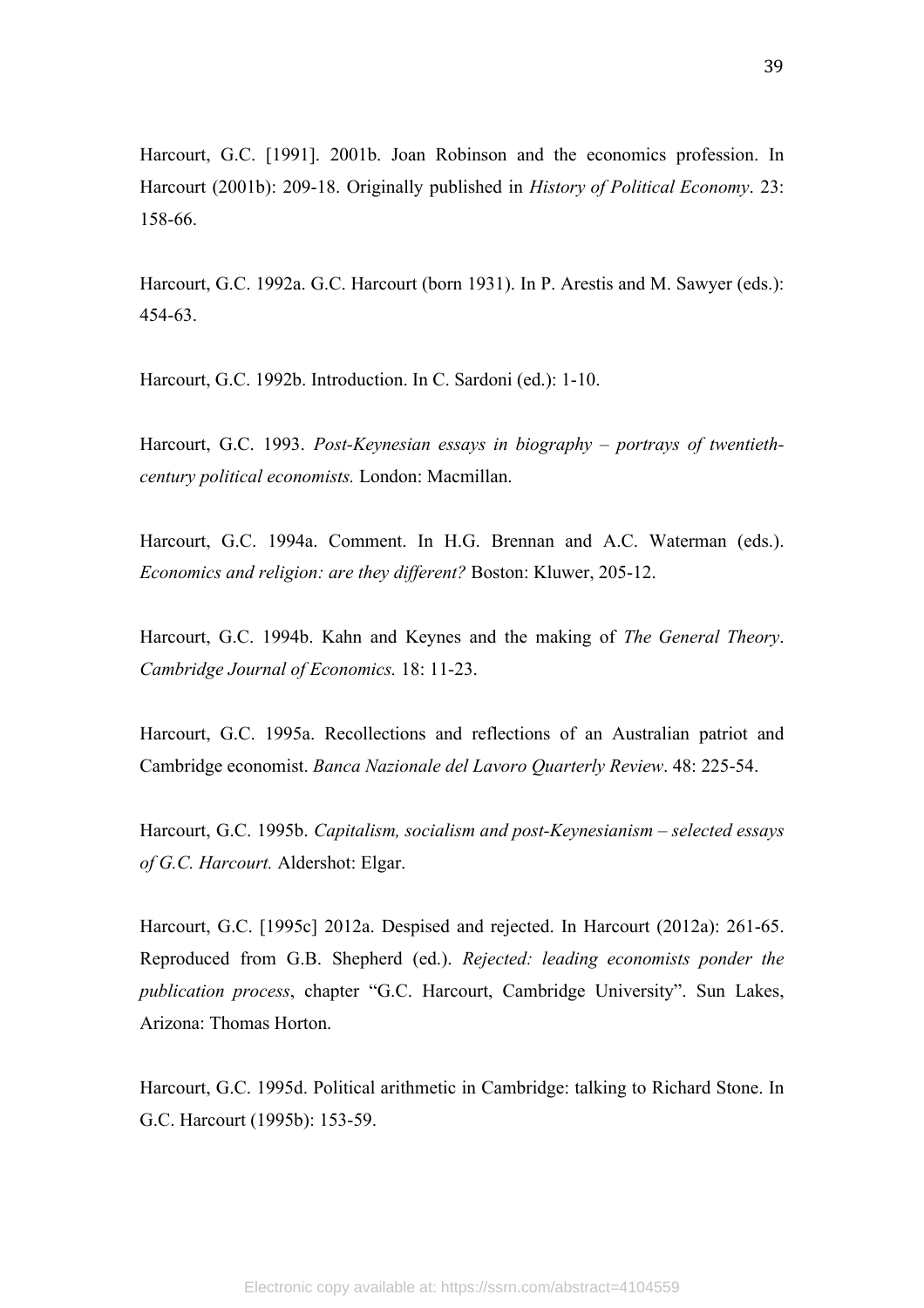Harcourt, G.C. [1991]. 2001b. Joan Robinson and the economics profession. In Harcourt (2001b): 209-18. Originally published in *History of Political Economy*. 23: 158-66.

Harcourt, G.C. 1992a. G.C. Harcourt (born 1931). In P. Arestis and M. Sawyer (eds.): 454-63.

Harcourt, G.C. 1992b. Introduction. In C. Sardoni (ed.): 1-10.

Harcourt, G.C. 1993. *Post-Keynesian essays in biography – portrays of twentiethcentury political economists.* London: Macmillan.

Harcourt, G.C. 1994a. Comment. In H.G. Brennan and A.C. Waterman (eds.). *Economics and religion: are they different?* Boston: Kluwer, 205-12.

Harcourt, G.C. 1994b. Kahn and Keynes and the making of *The General Theory*. *Cambridge Journal of Economics.* 18: 11-23.

Harcourt, G.C. 1995a. Recollections and reflections of an Australian patriot and Cambridge economist. *Banca Nazionale del Lavoro Quarterly Review*. 48: 225-54.

Harcourt, G.C. 1995b. *Capitalism, socialism and post-Keynesianism – selected essays of G.C. Harcourt.* Aldershot: Elgar.

Harcourt, G.C. [1995c] 2012a. Despised and rejected. In Harcourt (2012a): 261-65. Reproduced from G.B. Shepherd (ed.). *Rejected: leading economists ponder the publication process*, chapter "G.C. Harcourt, Cambridge University". Sun Lakes, Arizona: Thomas Horton.

Harcourt, G.C. 1995d. Political arithmetic in Cambridge: talking to Richard Stone. In G.C. Harcourt (1995b): 153-59.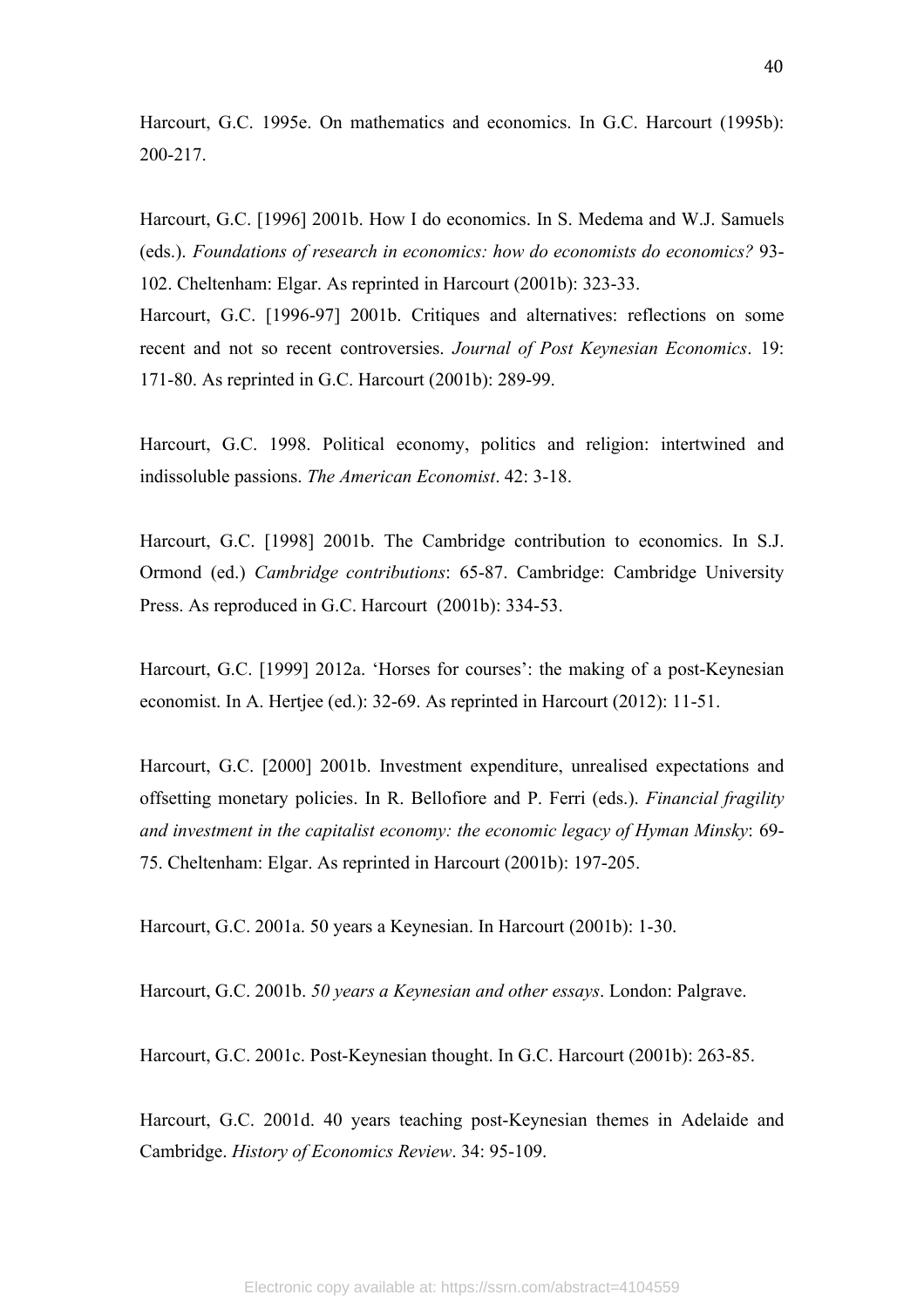Harcourt, G.C. 1995e. On mathematics and economics. In G.C. Harcourt (1995b): 200-217.

Harcourt, G.C. [1996] 2001b. How I do economics. In S. Medema and W.J. Samuels (eds.). *Foundations of research in economics: how do economists do economics?* 93- 102. Cheltenham: Elgar. As reprinted in Harcourt (2001b): 323-33.

Harcourt, G.C. [1996-97] 2001b. Critiques and alternatives: reflections on some recent and not so recent controversies. *Journal of Post Keynesian Economics*. 19: 171-80. As reprinted in G.C. Harcourt (2001b): 289-99.

Harcourt, G.C. 1998. Political economy, politics and religion: intertwined and indissoluble passions. *The American Economist*. 42: 3-18.

Harcourt, G.C. [1998] 2001b. The Cambridge contribution to economics. In S.J. Ormond (ed.) *Cambridge contributions*: 65-87. Cambridge: Cambridge University Press. As reproduced in G.C. Harcourt (2001b): 334-53.

Harcourt, G.C. [1999] 2012a. 'Horses for courses': the making of a post-Keynesian economist. In A. Hertjee (ed.): 32-69. As reprinted in Harcourt (2012): 11-51.

Harcourt, G.C. [2000] 2001b. Investment expenditure, unrealised expectations and offsetting monetary policies. In R. Bellofiore and P. Ferri (eds.). *Financial fragility and investment in the capitalist economy: the economic legacy of Hyman Minsky*: 69- 75. Cheltenham: Elgar. As reprinted in Harcourt (2001b): 197-205.

Harcourt, G.C. 2001a. 50 years a Keynesian. In Harcourt (2001b): 1-30.

Harcourt, G.C. 2001b. *50 years a Keynesian and other essays*. London: Palgrave.

Harcourt, G.C. 2001c. Post-Keynesian thought. In G.C. Harcourt (2001b): 263-85.

Harcourt, G.C. 2001d. 40 years teaching post-Keynesian themes in Adelaide and Cambridge. *History of Economics Review*. 34: 95-109.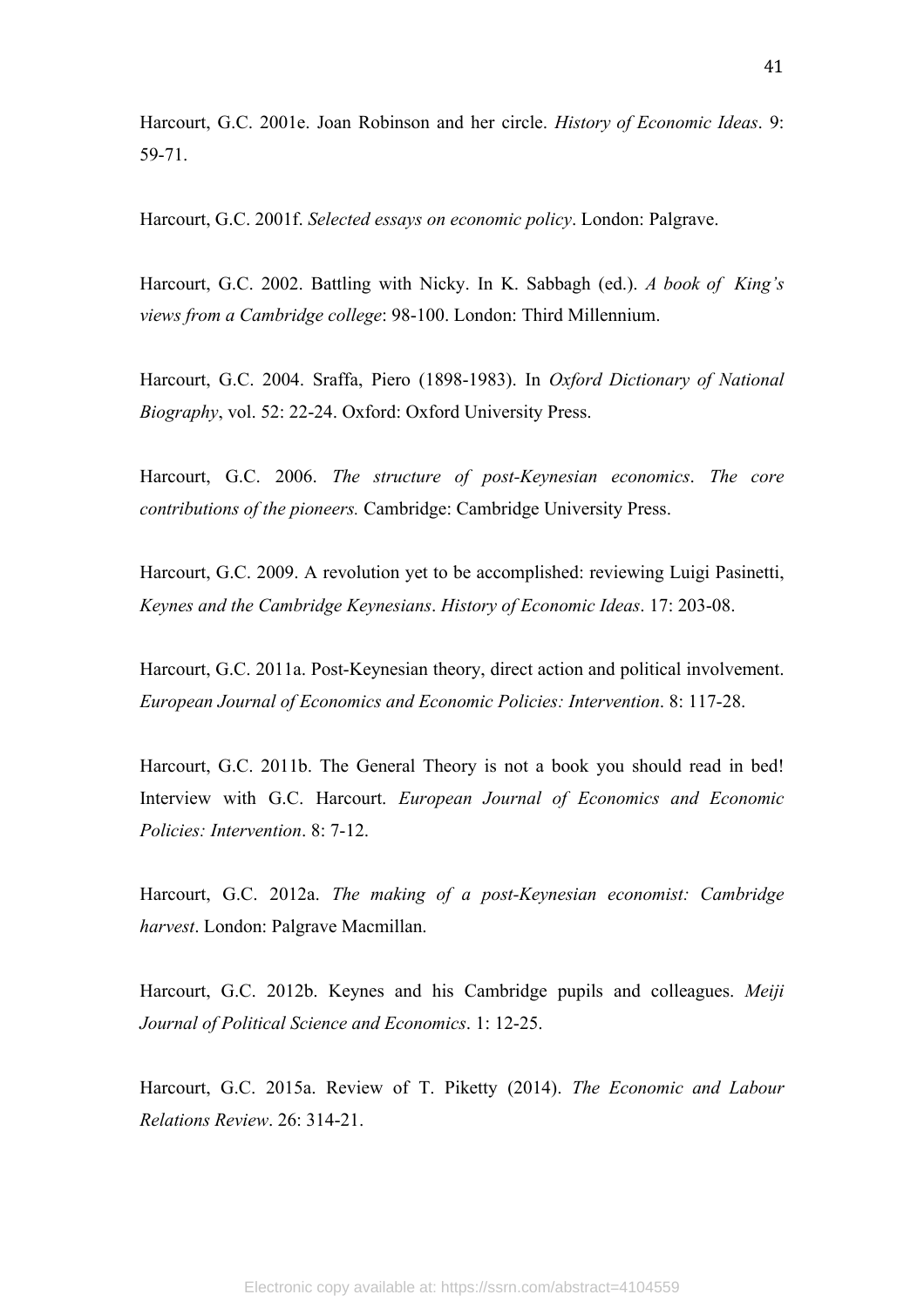Harcourt, G.C. 2001e. Joan Robinson and her circle. *History of Economic Ideas*. 9: 59-71.

Harcourt, G.C. 2001f. *Selected essays on economic policy*. London: Palgrave.

Harcourt, G.C. 2002. Battling with Nicky. In K. Sabbagh (ed.). *A book of King's views from a Cambridge college*: 98-100. London: Third Millennium.

Harcourt, G.C. 2004. Sraffa, Piero (1898-1983). In *Oxford Dictionary of National Biography*, vol. 52: 22-24. Oxford: Oxford University Press.

Harcourt, G.C. 2006. *The structure of post-Keynesian economics*. *The core contributions of the pioneers.* Cambridge: Cambridge University Press.

Harcourt, G.C. 2009. A revolution yet to be accomplished: reviewing Luigi Pasinetti, *Keynes and the Cambridge Keynesians*. *History of Economic Ideas*. 17: 203-08.

Harcourt, G.C. 2011a. Post-Keynesian theory, direct action and political involvement. *European Journal of Economics and Economic Policies: Intervention*. 8: 117-28.

Harcourt, G.C. 2011b. The General Theory is not a book you should read in bed! Interview with G.C. Harcourt. *European Journal of Economics and Economic Policies: Intervention*. 8: 7-12.

Harcourt, G.C. 2012a. *The making of a post-Keynesian economist: Cambridge harvest*. London: Palgrave Macmillan.

Harcourt, G.C. 2012b. Keynes and his Cambridge pupils and colleagues. *Meiji Journal of Political Science and Economics*. 1: 12-25.

Harcourt, G.C. 2015a. Review of T. Piketty (2014). *The Economic and Labour Relations Review*. 26: 314-21.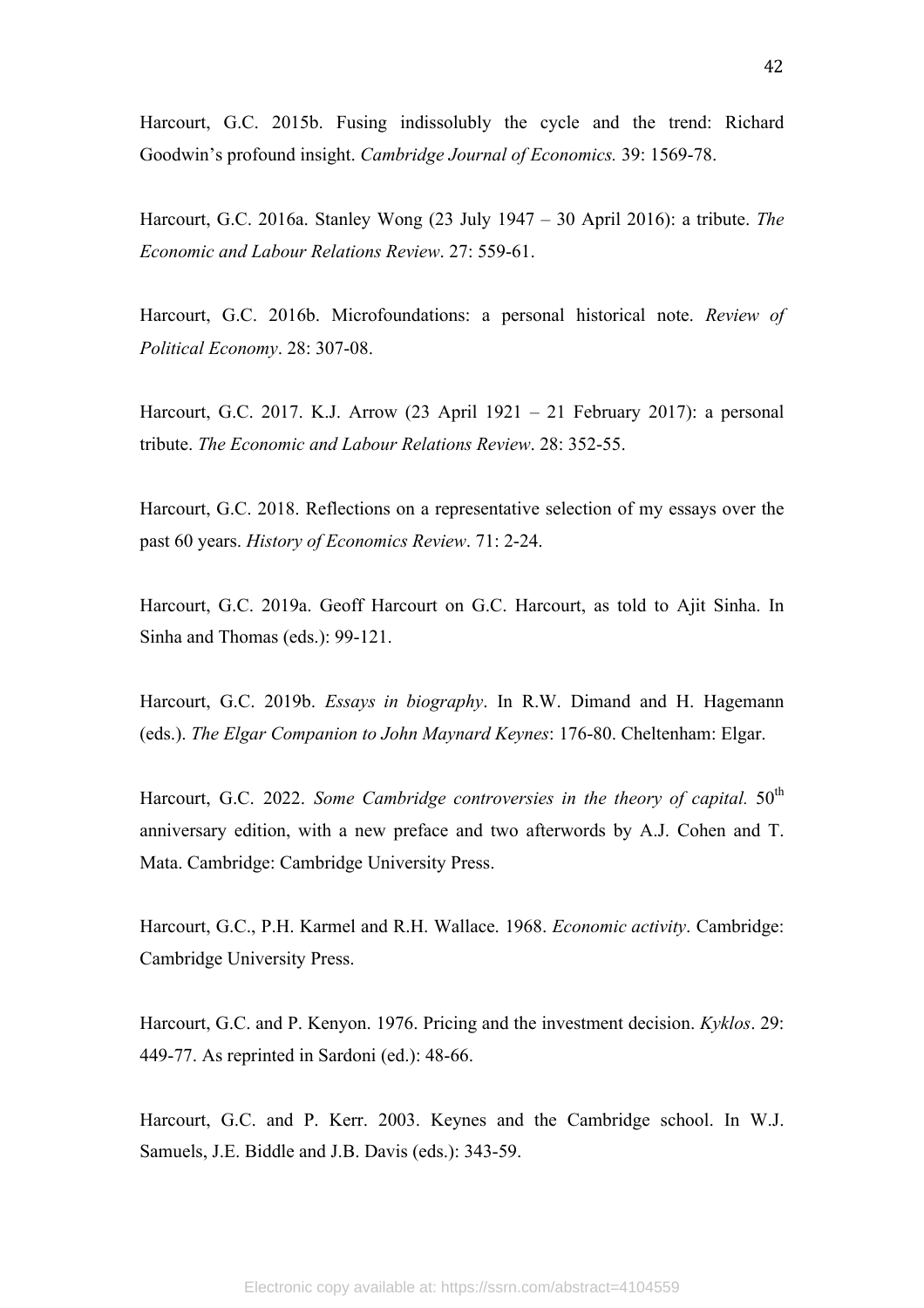Harcourt, G.C. 2015b. Fusing indissolubly the cycle and the trend: Richard Goodwin's profound insight. *Cambridge Journal of Economics.* 39: 1569-78.

Harcourt, G.C. 2016a. Stanley Wong (23 July 1947 – 30 April 2016): a tribute. *The Economic and Labour Relations Review*. 27: 559-61.

Harcourt, G.C. 2016b. Microfoundations: a personal historical note. *Review of Political Economy*. 28: 307-08.

Harcourt, G.C. 2017. K.J. Arrow (23 April 1921 – 21 February 2017): a personal tribute. *The Economic and Labour Relations Review*. 28: 352-55.

Harcourt, G.C. 2018. Reflections on a representative selection of my essays over the past 60 years. *History of Economics Review*. 71: 2-24.

Harcourt, G.C. 2019a. Geoff Harcourt on G.C. Harcourt, as told to Ajit Sinha. In Sinha and Thomas (eds.): 99-121.

Harcourt, G.C. 2019b. *Essays in biography*. In R.W. Dimand and H. Hagemann (eds.). *The Elgar Companion to John Maynard Keynes*: 176-80. Cheltenham: Elgar.

Harcourt, G.C. 2022. *Some Cambridge controversies in the theory of capital.* 50<sup>th</sup> anniversary edition, with a new preface and two afterwords by A.J. Cohen and T. Mata. Cambridge: Cambridge University Press.

Harcourt, G.C., P.H. Karmel and R.H. Wallace. 1968. *Economic activity*. Cambridge: Cambridge University Press.

Harcourt, G.C. and P. Kenyon. 1976. Pricing and the investment decision. *Kyklos*. 29: 449-77. As reprinted in Sardoni (ed.): 48-66.

Harcourt, G.C. and P. Kerr. 2003. Keynes and the Cambridge school. In W.J. Samuels, J.E. Biddle and J.B. Davis (eds.): 343-59.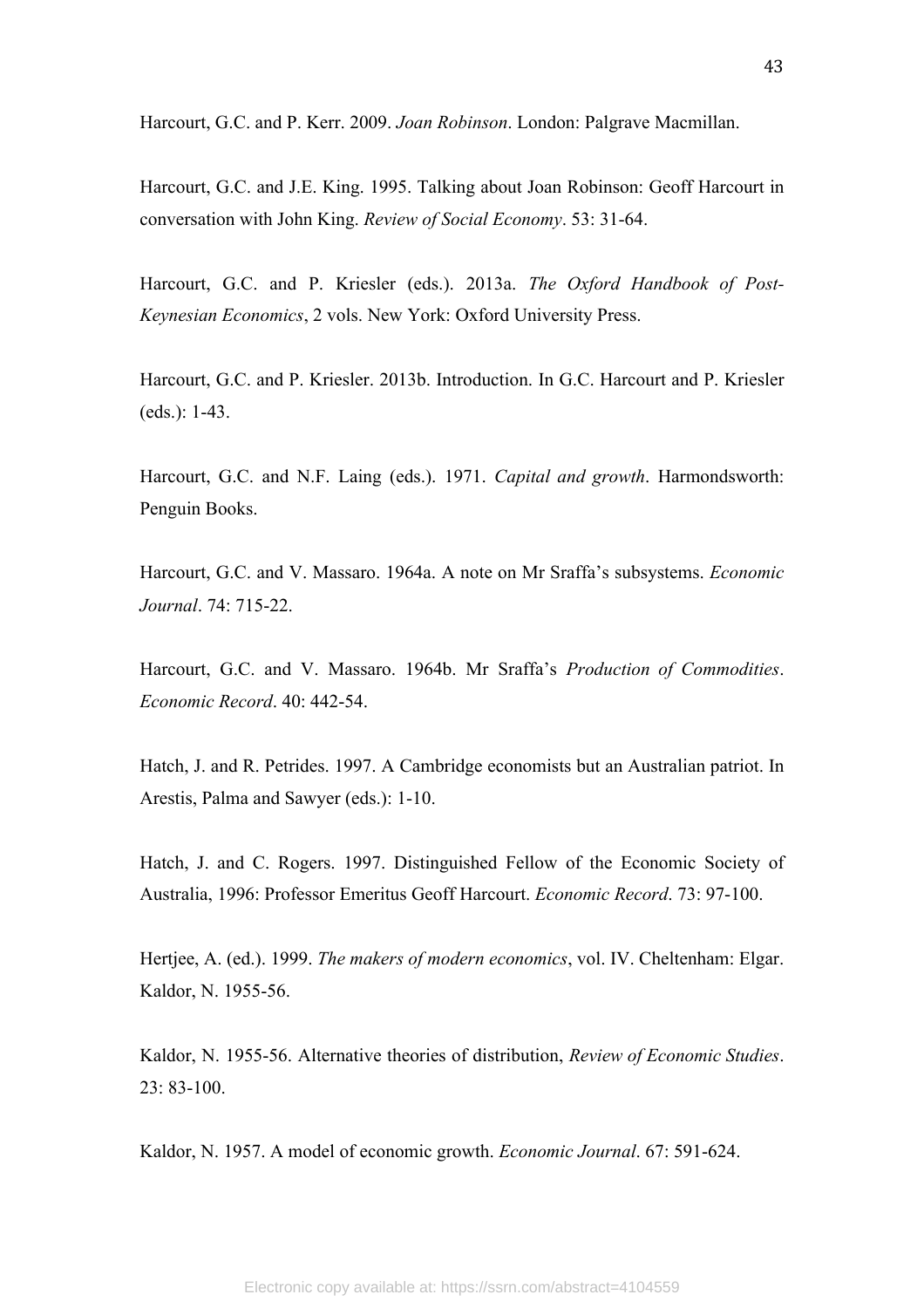Harcourt, G.C. and P. Kerr. 2009. *Joan Robinson*. London: Palgrave Macmillan.

Harcourt, G.C. and J.E. King. 1995. Talking about Joan Robinson: Geoff Harcourt in conversation with John King. *Review of Social Economy*. 53: 31-64.

Harcourt, G.C. and P. Kriesler (eds.). 2013a. *The Oxford Handbook of Post-Keynesian Economics*, 2 vols. New York: Oxford University Press.

Harcourt, G.C. and P. Kriesler. 2013b. Introduction. In G.C. Harcourt and P. Kriesler (eds.): 1-43.

Harcourt, G.C. and N.F. Laing (eds.). 1971. *Capital and growth*. Harmondsworth: Penguin Books.

Harcourt, G.C. and V. Massaro. 1964a. A note on Mr Sraffa's subsystems. *Economic Journal*. 74: 715-22.

Harcourt, G.C. and V. Massaro. 1964b. Mr Sraffa's *Production of Commodities*. *Economic Record*. 40: 442-54.

Hatch, J. and R. Petrides. 1997. A Cambridge economists but an Australian patriot. In Arestis, Palma and Sawyer (eds.): 1-10.

Hatch, J. and C. Rogers. 1997. Distinguished Fellow of the Economic Society of Australia, 1996: Professor Emeritus Geoff Harcourt. *Economic Record*. 73: 97-100.

Hertjee, A. (ed.). 1999. *The makers of modern economics*, vol. IV. Cheltenham: Elgar. Kaldor, N. 1955-56.

Kaldor, N. 1955-56. Alternative theories of distribution, *Review of Economic Studies*. 23: 83-100.

Kaldor, N. 1957. A model of economic growth. *Economic Journal*. 67: 591-624.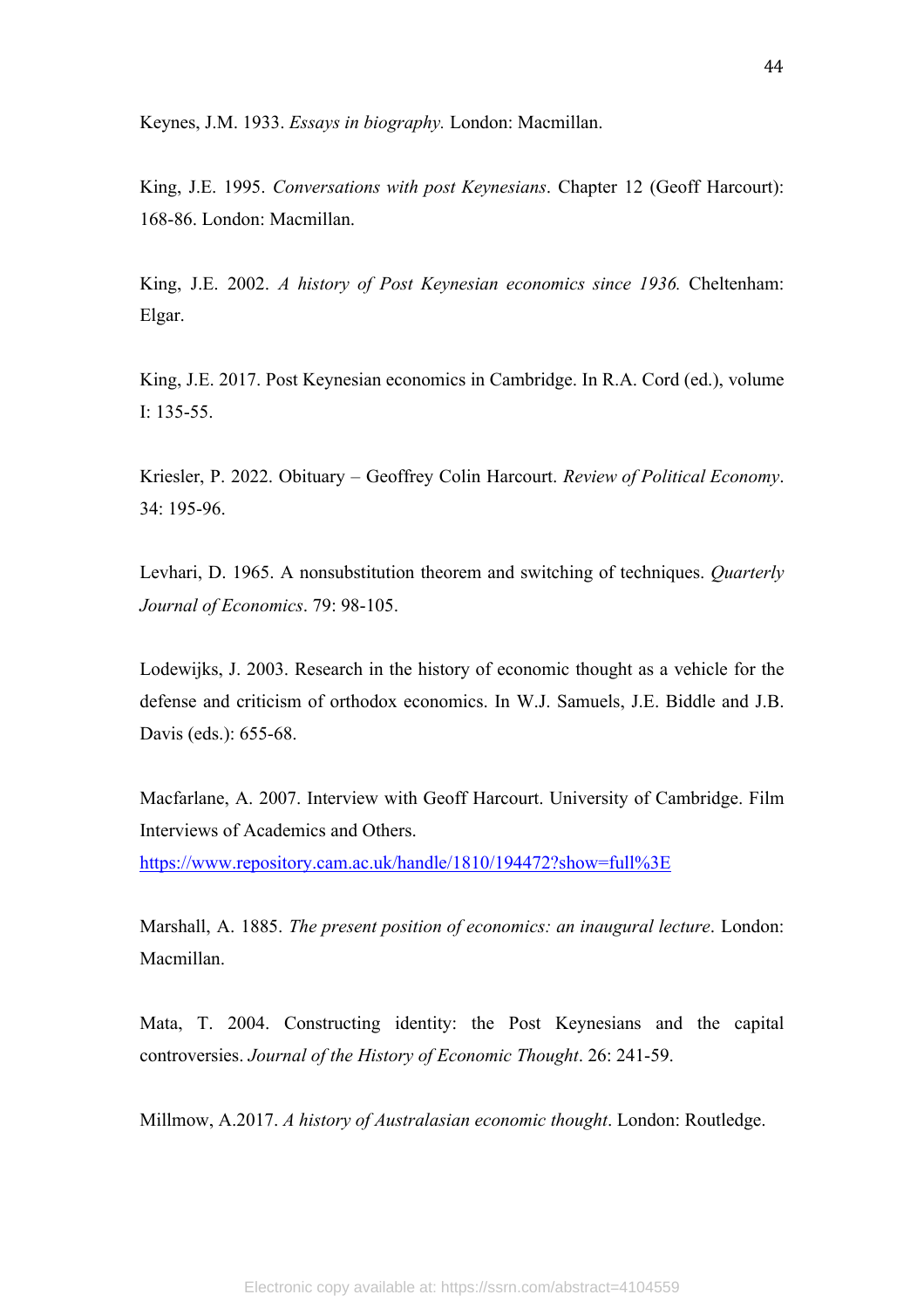Keynes, J.M. 1933. *Essays in biography.* London: Macmillan.

King, J.E. 1995. *Conversations with post Keynesians*. Chapter 12 (Geoff Harcourt): 168-86. London: Macmillan.

King, J.E. 2002. *A history of Post Keynesian economics since 1936.* Cheltenham: Elgar.

King, J.E. 2017. Post Keynesian economics in Cambridge. In R.A. Cord (ed.), volume I: 135-55.

Kriesler, P. 2022. Obituary – Geoffrey Colin Harcourt. *Review of Political Economy*. 34: 195-96.

Levhari, D. 1965. A nonsubstitution theorem and switching of techniques. *Quarterly Journal of Economics*. 79: 98-105.

Lodewijks, J. 2003. Research in the history of economic thought as a vehicle for the defense and criticism of orthodox economics. In W.J. Samuels, J.E. Biddle and J.B. Davis (eds.): 655-68.

Macfarlane, A. 2007. Interview with Geoff Harcourt. University of Cambridge. Film Interviews of Academics and Others.

https://www.repository.cam.ac.uk/handle/1810/194472?show=full%3E

Marshall, A. 1885. *The present position of economics: an inaugural lecture*. London: Macmillan.

Mata, T. 2004. Constructing identity: the Post Keynesians and the capital controversies. *Journal of the History of Economic Thought*. 26: 241-59.

Millmow, A.2017. *A history of Australasian economic thought*. London: Routledge.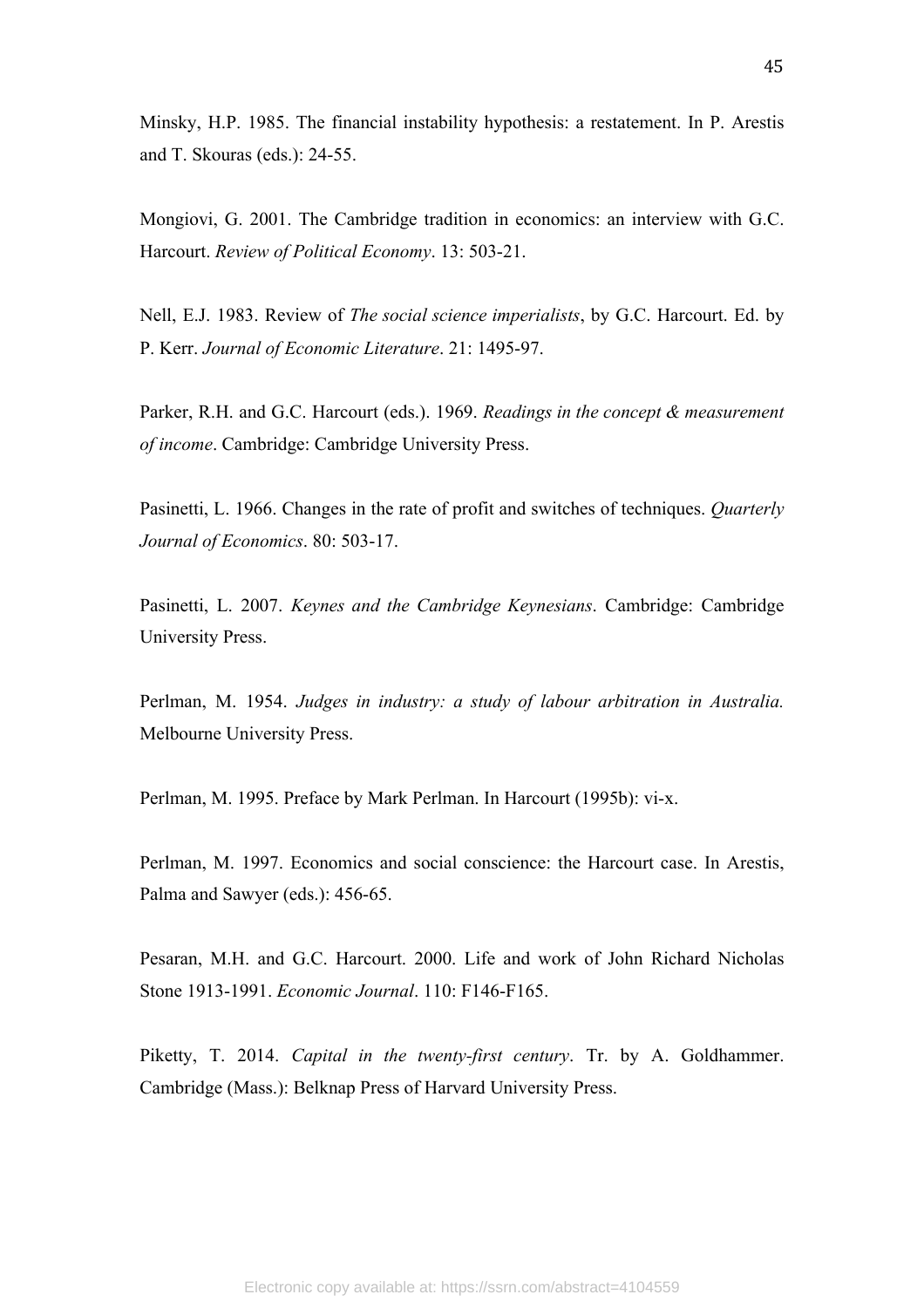Minsky, H.P. 1985. The financial instability hypothesis: a restatement. In P. Arestis and T. Skouras (eds.): 24-55.

Mongiovi, G. 2001. The Cambridge tradition in economics: an interview with G.C. Harcourt. *Review of Political Economy*. 13: 503-21.

Nell, E.J. 1983. Review of *The social science imperialists*, by G.C. Harcourt. Ed. by P. Kerr. *Journal of Economic Literature*. 21: 1495-97.

Parker, R.H. and G.C. Harcourt (eds.). 1969. *Readings in the concept & measurement of income*. Cambridge: Cambridge University Press.

Pasinetti, L. 1966. Changes in the rate of profit and switches of techniques. *Quarterly Journal of Economics*. 80: 503-17.

Pasinetti, L. 2007. *Keynes and the Cambridge Keynesians*. Cambridge: Cambridge University Press.

Perlman, M. 1954. *Judges in industry: a study of labour arbitration in Australia.*  Melbourne University Press.

Perlman, M. 1995. Preface by Mark Perlman. In Harcourt (1995b): vi-x.

Perlman, M. 1997. Economics and social conscience: the Harcourt case. In Arestis, Palma and Sawyer (eds.): 456-65.

Pesaran, M.H. and G.C. Harcourt. 2000. Life and work of John Richard Nicholas Stone 1913-1991. *Economic Journal*. 110: F146-F165.

Piketty, T. 2014. *Capital in the twenty-first century*. Tr. by A. Goldhammer. Cambridge (Mass.): Belknap Press of Harvard University Press.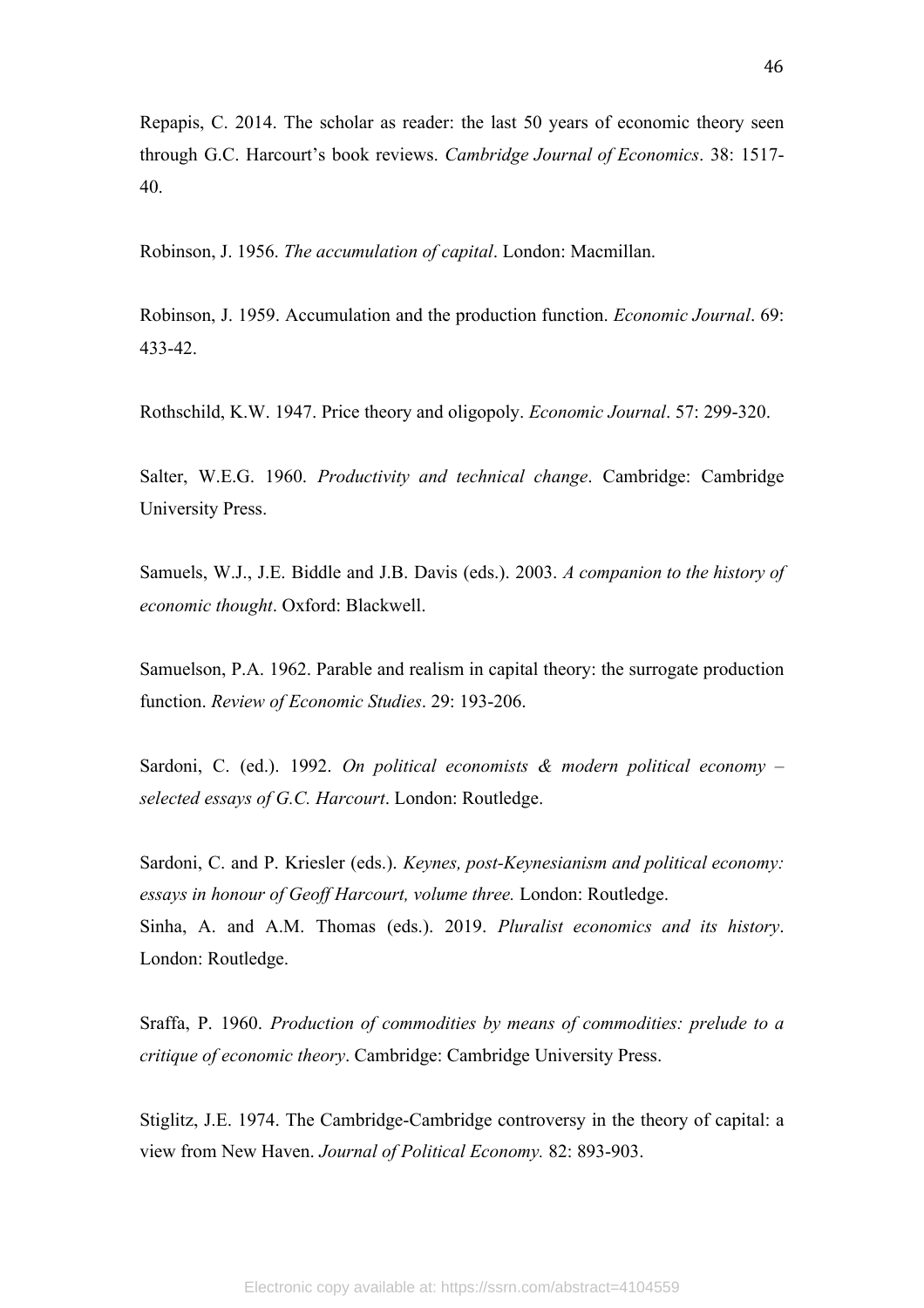Repapis, C. 2014. The scholar as reader: the last 50 years of economic theory seen through G.C. Harcourt's book reviews. *Cambridge Journal of Economics*. 38: 1517- 40.

Robinson, J. 1956. *The accumulation of capital*. London: Macmillan.

Robinson, J. 1959. Accumulation and the production function. *Economic Journal*. 69: 433-42.

Rothschild, K.W. 1947. Price theory and oligopoly. *Economic Journal*. 57: 299-320.

Salter, W.E.G. 1960. *Productivity and technical change*. Cambridge: Cambridge University Press.

Samuels, W.J., J.E. Biddle and J.B. Davis (eds.). 2003. *A companion to the history of economic thought*. Oxford: Blackwell.

Samuelson, P.A. 1962. Parable and realism in capital theory: the surrogate production function. *Review of Economic Studies*. 29: 193-206.

Sardoni, C. (ed.). 1992. *On political economists & modern political economy – selected essays of G.C. Harcourt*. London: Routledge.

Sardoni, C. and P. Kriesler (eds.). *Keynes, post-Keynesianism and political economy: essays in honour of Geoff Harcourt, volume three.* London: Routledge. Sinha, A. and A.M. Thomas (eds.). 2019. *Pluralist economics and its history*. London: Routledge.

Sraffa, P. 1960. *Production of commodities by means of commodities: prelude to a critique of economic theory*. Cambridge: Cambridge University Press.

Stiglitz, J.E. 1974. The Cambridge-Cambridge controversy in the theory of capital: a view from New Haven. *Journal of Political Economy.* 82: 893-903.